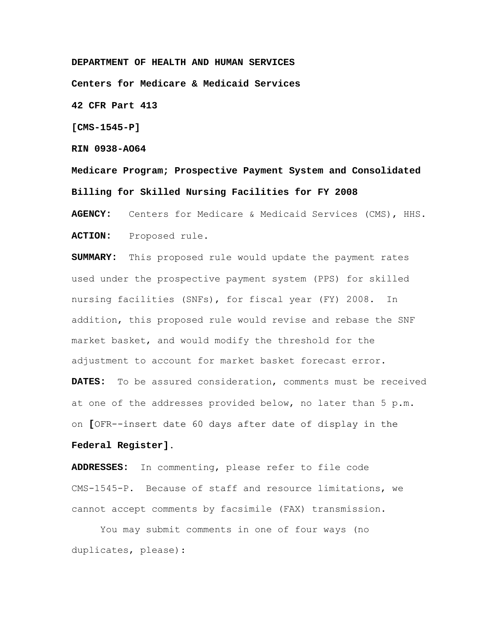**DEPARTMENT OF HEALTH AND HUMAN SERVICES**

**Centers for Medicare & Medicaid Services** 

**42 CFR Part 413** 

**[CMS-1545-P]** 

**RIN 0938-AO64** 

**Medicare Program; Prospective Payment System and Consolidated Billing for Skilled Nursing Facilities for FY 2008** 

**AGENCY:** Centers for Medicare & Medicaid Services (CMS), HHS. **ACTION:** Proposed rule.

**SUMMARY:** This proposed rule would update the payment rates used under the prospective payment system (PPS) for skilled nursing facilities (SNFs), for fiscal year (FY) 2008. In addition, this proposed rule would revise and rebase the SNF market basket, and would modify the threshold for the adjustment to account for market basket forecast error.

**DATES:** To be assured consideration, comments must be received at one of the addresses provided below, no later than 5 p.m. on **[**OFR--insert date 60 days after date of display in the

### **Federal Register]**.

**ADDRESSES:** In commenting, please refer to file code CMS-1545-P. Because of staff and resource limitations, we cannot accept comments by facsimile (FAX) transmission.

 You may submit comments in one of four ways (no duplicates, please):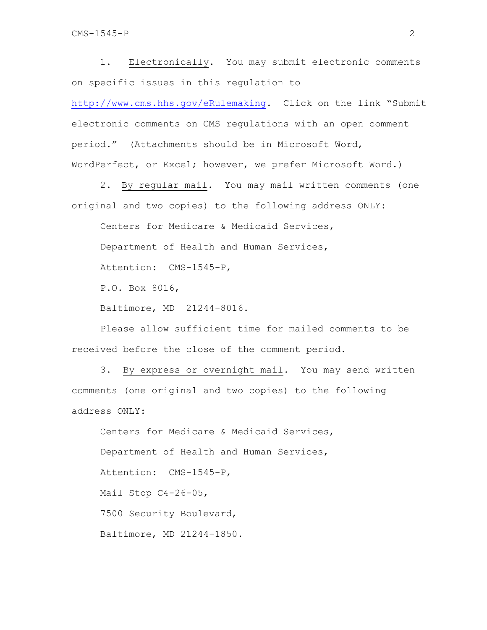1. Electronically. You may submit electronic comments on specific issues in this regulation to

http://www.cms.hhs.gov/eRulemaking. Click on the link "Submit electronic comments on CMS regulations with an open comment period." (Attachments should be in Microsoft Word, WordPerfect, or Excel; however, we prefer Microsoft Word.)

2. By regular mail. You may mail written comments (one original and two copies) to the following address ONLY:

Centers for Medicare & Medicaid Services,

Department of Health and Human Services,

Attention: CMS-1545-P,

P.O. Box 8016,

Baltimore, MD 21244-8016.

Please allow sufficient time for mailed comments to be received before the close of the comment period.

3. By express or overnight mail. You may send written comments (one original and two copies) to the following address ONLY:

 Centers for Medicare & Medicaid Services, Department of Health and Human Services, Attention: CMS-1545-P, Mail Stop C4-26-05, 7500 Security Boulevard, Baltimore, MD 21244-1850.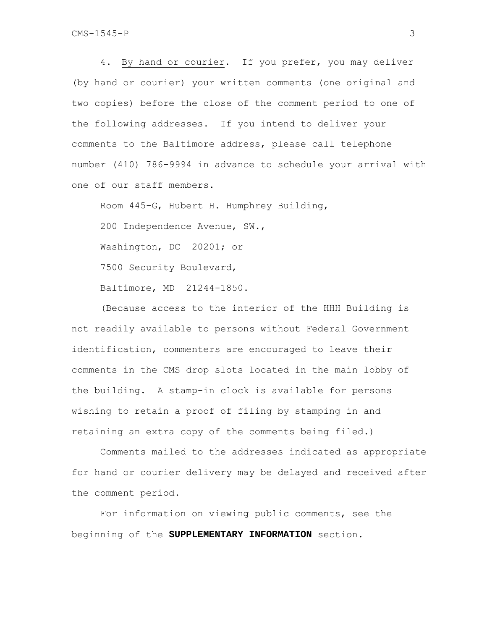4. By hand or courier. If you prefer, you may deliver (by hand or courier) your written comments (one original and two copies) before the close of the comment period to one of the following addresses. If you intend to deliver your comments to the Baltimore address, please call telephone number (410) 786-9994 in advance to schedule your arrival with one of our staff members.

Room 445-G, Hubert H. Humphrey Building, 200 Independence Avenue, SW., Washington, DC 20201; or 7500 Security Boulevard, Baltimore, MD 21244-1850.

 (Because access to the interior of the HHH Building is not readily available to persons without Federal Government identification, commenters are encouraged to leave their comments in the CMS drop slots located in the main lobby of the building. A stamp-in clock is available for persons wishing to retain a proof of filing by stamping in and retaining an extra copy of the comments being filed.)

Comments mailed to the addresses indicated as appropriate for hand or courier delivery may be delayed and received after the comment period.

For information on viewing public comments, see the beginning of the **SUPPLEMENTARY INFORMATION** section.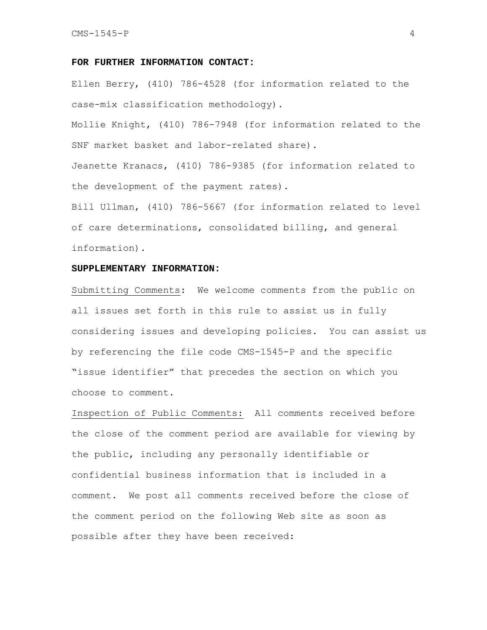#### **FOR FURTHER INFORMATION CONTACT:**

Ellen Berry, (410) 786-4528 (for information related to the case-mix classification methodology).

Mollie Knight, (410) 786-7948 (for information related to the SNF market basket and labor-related share).

Jeanette Kranacs, (410) 786-9385 (for information related to the development of the payment rates).

Bill Ullman, (410) 786-5667 (for information related to level of care determinations, consolidated billing, and general information).

#### **SUPPLEMENTARY INFORMATION:**

Submitting Comments: We welcome comments from the public on all issues set forth in this rule to assist us in fully considering issues and developing policies. You can assist us by referencing the file code CMS-1545-P and the specific "issue identifier" that precedes the section on which you choose to comment.

Inspection of Public Comments:All comments received before the close of the comment period are available for viewing by the public, including any personally identifiable or confidential business information that is included in a comment. We post all comments received before the close of the comment period on the following Web site as soon as possible after they have been received: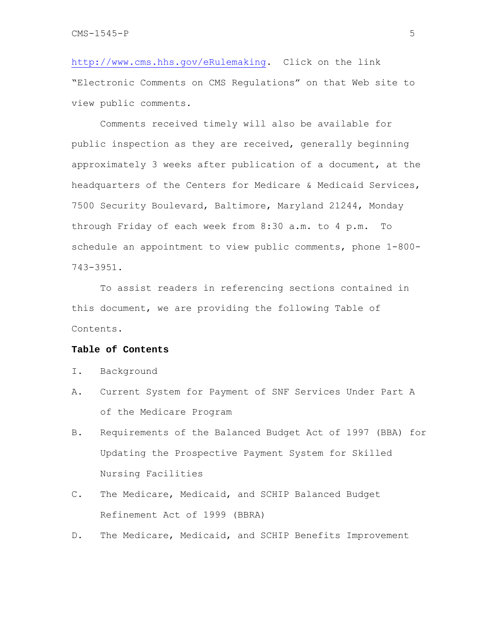http://www.cms.hhs.gov/eRulemaking. Click on the link "Electronic Comments on CMS Regulations" on that Web site to view public comments.

 Comments received timely will also be available for public inspection as they are received, generally beginning approximately 3 weeks after publication of a document, at the headquarters of the Centers for Medicare & Medicaid Services, 7500 Security Boulevard, Baltimore, Maryland 21244, Monday through Friday of each week from 8:30 a.m. to 4 p.m. To schedule an appointment to view public comments, phone 1-800- 743-3951.

To assist readers in referencing sections contained in this document, we are providing the following Table of Contents.

### **Table of Contents**

- I. Background
- A. Current System for Payment of SNF Services Under Part A of the Medicare Program
- B. Requirements of the Balanced Budget Act of 1997 (BBA) for Updating the Prospective Payment System for Skilled Nursing Facilities
- C. The Medicare, Medicaid, and SCHIP Balanced Budget Refinement Act of 1999 (BBRA)
- D. The Medicare, Medicaid, and SCHIP Benefits Improvement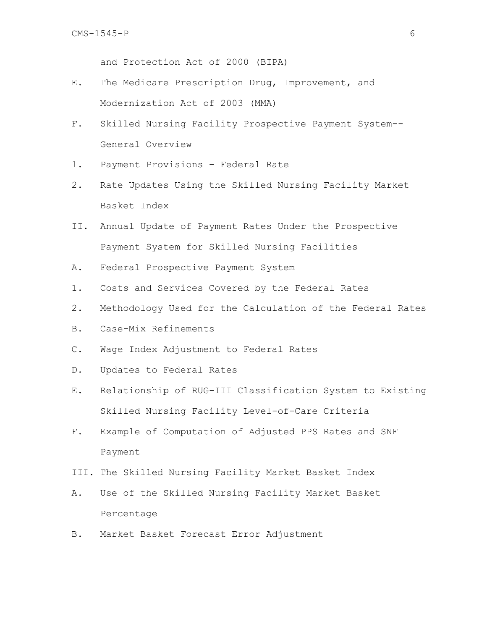and Protection Act of 2000 (BIPA)

- E. The Medicare Prescription Drug, Improvement, and Modernization Act of 2003 (MMA)
- F. Skilled Nursing Facility Prospective Payment System-- General Overview
- 1. Payment Provisions Federal Rate
- 2. Rate Updates Using the Skilled Nursing Facility Market Basket Index
- II. Annual Update of Payment Rates Under the Prospective Payment System for Skilled Nursing Facilities
- A. Federal Prospective Payment System
- 1. Costs and Services Covered by the Federal Rates
- 2. Methodology Used for the Calculation of the Federal Rates
- B. Case-Mix Refinements
- C. Wage Index Adjustment to Federal Rates
- D. Updates to Federal Rates
- E. Relationship of RUG-III Classification System to Existing Skilled Nursing Facility Level-of-Care Criteria
- F. Example of Computation of Adjusted PPS Rates and SNF Payment
- III. The Skilled Nursing Facility Market Basket Index
- A. Use of the Skilled Nursing Facility Market Basket Percentage
- B. Market Basket Forecast Error Adjustment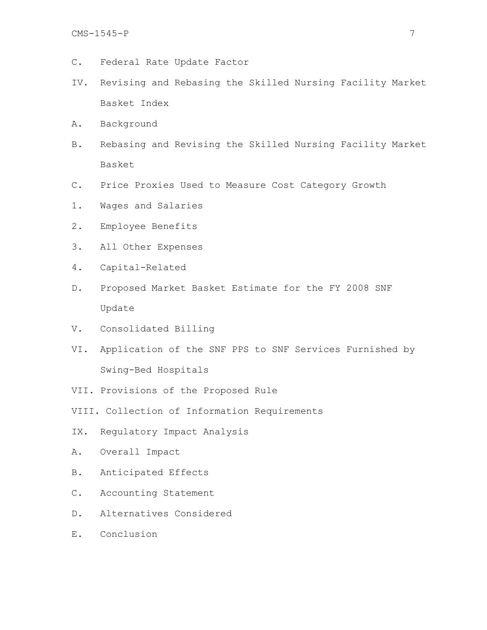- C. Federal Rate Update Factor
- IV. Revising and Rebasing the Skilled Nursing Facility Market Basket Index
- A. Background
- B. Rebasing and Revising the Skilled Nursing Facility Market Basket
- C. Price Proxies Used to Measure Cost Category Growth
- 1. Wages and Salaries
- 2. Employee Benefits
- 3. All Other Expenses
- 4. Capital-Related
- D. Proposed Market Basket Estimate for the FY 2008 SNF Update
- V. Consolidated Billing
- VI. Application of the SNF PPS to SNF Services Furnished by Swing-Bed Hospitals
- VII. Provisions of the Proposed Rule
- VIII. Collection of Information Requirements
- IX. Regulatory Impact Analysis
- A. Overall Impact
- B. Anticipated Effects
- C. Accounting Statement
- D. Alternatives Considered
- E. Conclusion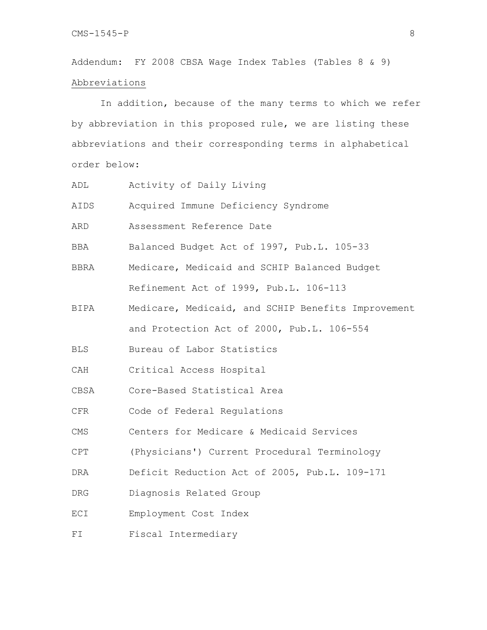Addendum: FY 2008 CBSA Wage Index Tables (Tables 8 & 9) Abbreviations

 In addition, because of the many terms to which we refer by abbreviation in this proposed rule, we are listing these abbreviations and their corresponding terms in alphabetical order below:

| ADL  | Activity of Daily Living                           |
|------|----------------------------------------------------|
| AIDS | Acquired Immune Deficiency Syndrome                |
| ARD  | Assessment Reference Date                          |
| BBA  | Balanced Budget Act of 1997, Pub.L. 105-33         |
| BBRA | Medicare, Medicaid and SCHIP Balanced Budget       |
|      | Refinement Act of 1999, Pub.L. 106-113             |
| BIPA | Medicare, Medicaid, and SCHIP Benefits Improvement |
|      | and Protection Act of 2000, Pub.L. 106-554         |
| BLS  | Bureau of Labor Statistics                         |
| CAH  | Critical Access Hospital                           |
| CBSA | Core-Based Statistical Area                        |
| CFR  | Code of Federal Regulations                        |
| CMS  | Centers for Medicare & Medicaid Services           |
| CPT  | (Physicians') Current Procedural Terminology       |
| DRA  | Deficit Reduction Act of 2005, Pub.L. 109-171      |
| DRG  | Diagnosis Related Group                            |
| ECI  | Employment Cost Index                              |
| FI   | Fiscal Intermediary                                |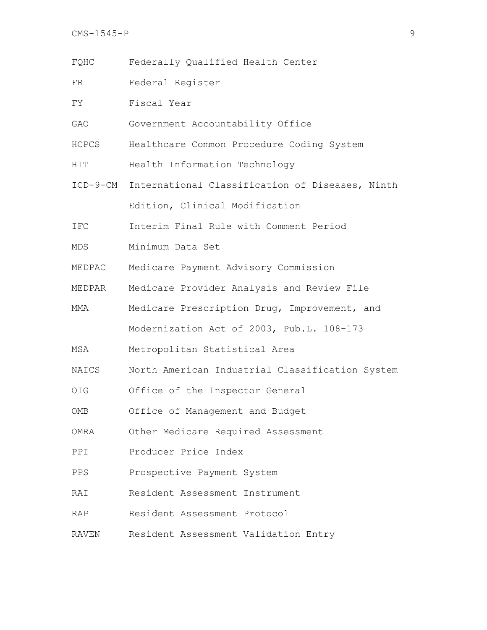FR Federal Register

FY Fiscal Year

- GAO Government Accountability Office
- HCPCS Healthcare Common Procedure Coding System
- HIT Health Information Technology
- ICD-9-CM International Classification of Diseases, Ninth Edition, Clinical Modification
- IFC Interim Final Rule with Comment Period
- MDS Minimum Data Set
- MEDPAC Medicare Payment Advisory Commission
- MEDPAR Medicare Provider Analysis and Review File
- MMA Medicare Prescription Drug, Improvement, and Modernization Act of 2003, Pub.L. 108-173
- MSA Metropolitan Statistical Area
- NAICS North American Industrial Classification System
- OIG Office of the Inspector General
- OMB Office of Management and Budget
- OMRA Other Medicare Required Assessment
- PPI Producer Price Index
- PPS Prospective Payment System
- RAI Resident Assessment Instrument
- RAP Resident Assessment Protocol
- RAVEN Resident Assessment Validation Entry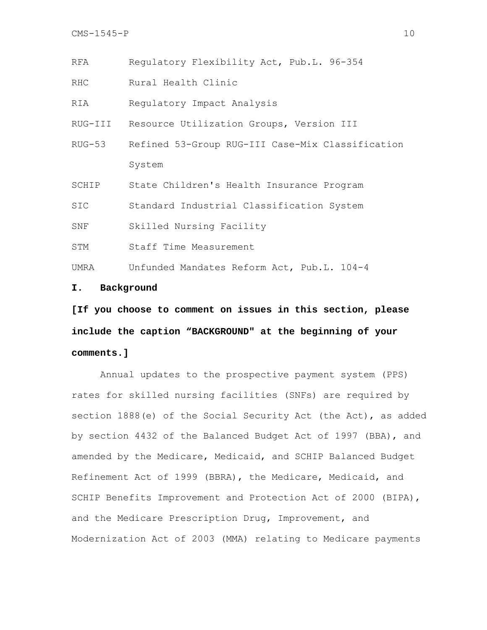RFA Regulatory Flexibility Act, Pub.L. 96-354

RHC Rural Health Clinic

RIA Regulatory Impact Analysis

RUG-III Resource Utilization Groups, Version III

RUG-53 Refined 53-Group RUG-III Case-Mix Classification System

SCHIP State Children's Health Insurance Program

SIC Standard Industrial Classification System

SNF Skilled Nursing Facility

STM Staff Time Measurement

UMRA Unfunded Mandates Reform Act, Pub.L. 104-4

### **I. Background**

**[If you choose to comment on issues in this section, please include the caption "BACKGROUND" at the beginning of your comments.]** 

 Annual updates to the prospective payment system (PPS) rates for skilled nursing facilities (SNFs) are required by section 1888(e) of the Social Security Act (the Act), as added by section 4432 of the Balanced Budget Act of 1997 (BBA), and amended by the Medicare, Medicaid, and SCHIP Balanced Budget Refinement Act of 1999 (BBRA), the Medicare, Medicaid, and SCHIP Benefits Improvement and Protection Act of 2000 (BIPA), and the Medicare Prescription Drug, Improvement, and Modernization Act of 2003 (MMA) relating to Medicare payments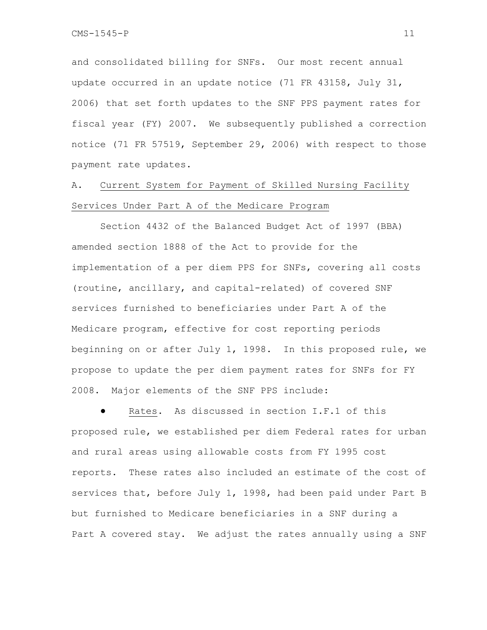and consolidated billing for SNFs. Our most recent annual update occurred in an update notice (71 FR 43158, July 31, 2006) that set forth updates to the SNF PPS payment rates for fiscal year (FY) 2007. We subsequently published a correction notice (71 FR 57519, September 29, 2006) with respect to those payment rate updates.

# A. Current System for Payment of Skilled Nursing Facility Services Under Part A of the Medicare Program

 Section 4432 of the Balanced Budget Act of 1997 (BBA) amended section 1888 of the Act to provide for the implementation of a per diem PPS for SNFs, covering all costs (routine, ancillary, and capital-related) of covered SNF services furnished to beneficiaries under Part A of the Medicare program, effective for cost reporting periods beginning on or after July 1, 1998. In this proposed rule, we propose to update the per diem payment rates for SNFs for FY 2008. Major elements of the SNF PPS include:

Rates. As discussed in section I.F.1 of this proposed rule, we established per diem Federal rates for urban and rural areas using allowable costs from FY 1995 cost reports. These rates also included an estimate of the cost of services that, before July 1, 1998, had been paid under Part B but furnished to Medicare beneficiaries in a SNF during a Part A covered stay. We adjust the rates annually using a SNF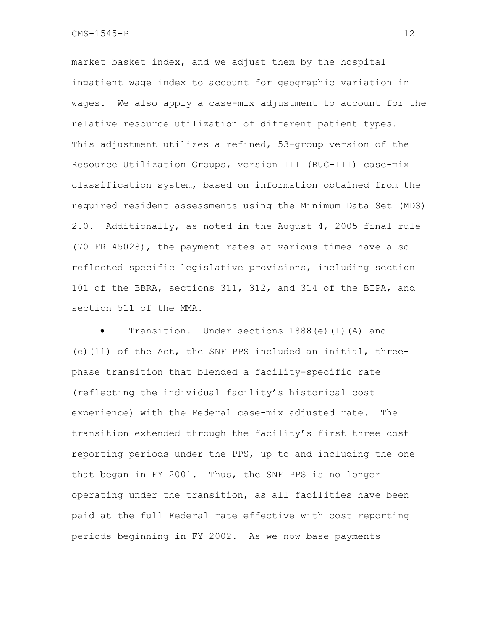market basket index, and we adjust them by the hospital inpatient wage index to account for geographic variation in wages. We also apply a case-mix adjustment to account for the relative resource utilization of different patient types. This adjustment utilizes a refined, 53-group version of the Resource Utilization Groups, version III (RUG-III) case-mix classification system, based on information obtained from the required resident assessments using the Minimum Data Set (MDS) 2.0. Additionally, as noted in the August 4, 2005 final rule (70 FR 45028), the payment rates at various times have also reflected specific legislative provisions, including section 101 of the BBRA, sections 311, 312, and 314 of the BIPA, and section 511 of the MMA.

Transition. Under sections 1888(e)(1)(A) and (e)(11) of the Act, the SNF PPS included an initial, threephase transition that blended a facility-specific rate (reflecting the individual facility's historical cost experience) with the Federal case-mix adjusted rate. The transition extended through the facility's first three cost reporting periods under the PPS, up to and including the one that began in FY 2001. Thus, the SNF PPS is no longer operating under the transition, as all facilities have been paid at the full Federal rate effective with cost reporting periods beginning in FY 2002. As we now base payments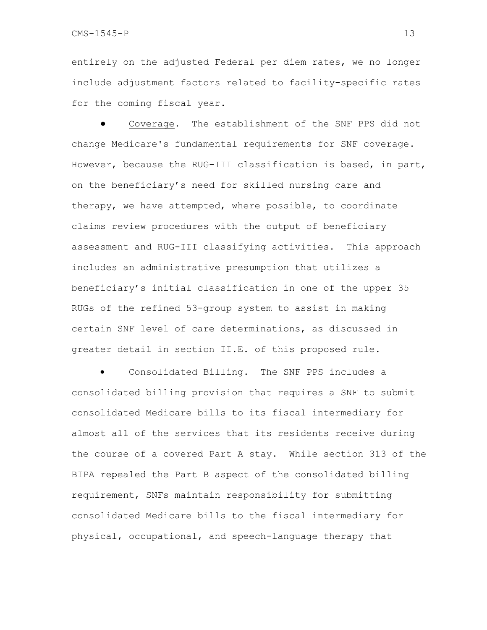entirely on the adjusted Federal per diem rates, we no longer include adjustment factors related to facility-specific rates for the coming fiscal year.

Coverage. The establishment of the SNF PPS did not change Medicare's fundamental requirements for SNF coverage. However, because the RUG-III classification is based, in part, on the beneficiary's need for skilled nursing care and therapy, we have attempted, where possible, to coordinate claims review procedures with the output of beneficiary assessment and RUG-III classifying activities. This approach includes an administrative presumption that utilizes a beneficiary's initial classification in one of the upper 35 RUGs of the refined 53-group system to assist in making certain SNF level of care determinations, as discussed in greater detail in section II.E. of this proposed rule.

Consolidated Billing. The SNF PPS includes a consolidated billing provision that requires a SNF to submit consolidated Medicare bills to its fiscal intermediary for almost all of the services that its residents receive during the course of a covered Part A stay. While section 313 of the BIPA repealed the Part B aspect of the consolidated billing requirement, SNFs maintain responsibility for submitting consolidated Medicare bills to the fiscal intermediary for physical, occupational, and speech-language therapy that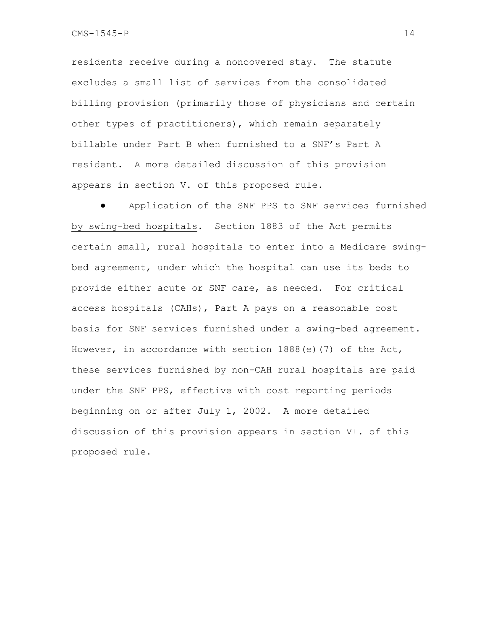residents receive during a noncovered stay. The statute excludes a small list of services from the consolidated billing provision (primarily those of physicians and certain other types of practitioners), which remain separately billable under Part B when furnished to a SNF's Part A resident. A more detailed discussion of this provision appears in section V. of this proposed rule.

Application of the SNF PPS to SNF services furnished by swing-bed hospitals. Section 1883 of the Act permits certain small, rural hospitals to enter into a Medicare swingbed agreement, under which the hospital can use its beds to provide either acute or SNF care, as needed. For critical access hospitals (CAHs), Part A pays on a reasonable cost basis for SNF services furnished under a swing-bed agreement. However, in accordance with section 1888(e)(7) of the Act, these services furnished by non-CAH rural hospitals are paid under the SNF PPS, effective with cost reporting periods beginning on or after July 1, 2002. A more detailed discussion of this provision appears in section VI. of this proposed rule.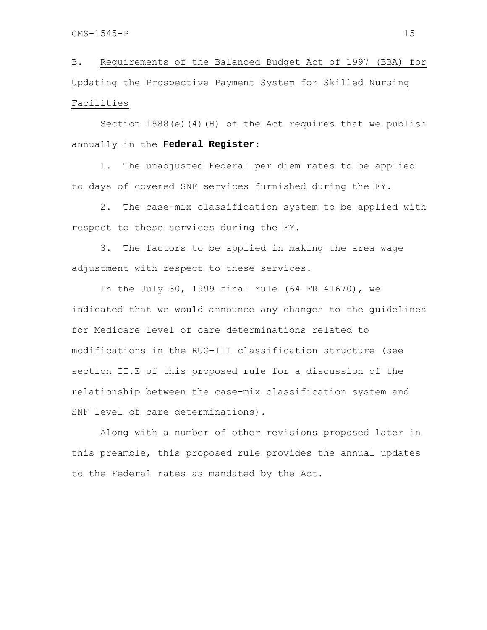B. Requirements of the Balanced Budget Act of 1997 (BBA) for Updating the Prospective Payment System for Skilled Nursing Facilities

Section  $1888(e)(4)(H)$  of the Act requires that we publish annually in the **Federal Register**:

1. The unadjusted Federal per diem rates to be applied to days of covered SNF services furnished during the FY.

2. The case-mix classification system to be applied with respect to these services during the FY.

3. The factors to be applied in making the area wage adjustment with respect to these services.

In the July 30, 1999 final rule (64 FR 41670), we indicated that we would announce any changes to the guidelines for Medicare level of care determinations related to modifications in the RUG-III classification structure (see section II.E of this proposed rule for a discussion of the relationship between the case-mix classification system and SNF level of care determinations).

Along with a number of other revisions proposed later in this preamble, this proposed rule provides the annual updates to the Federal rates as mandated by the Act.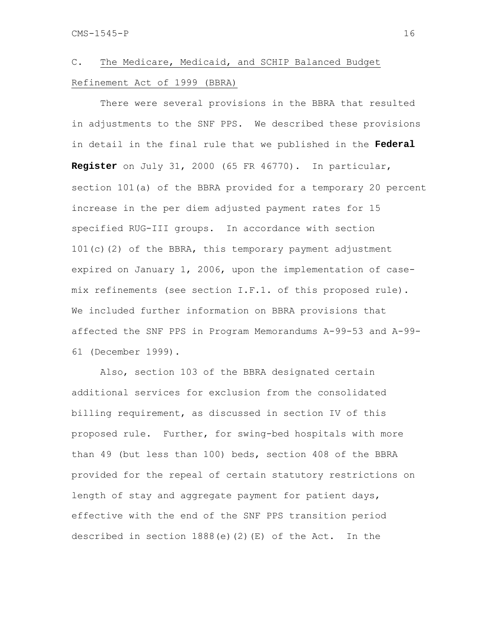# C. The Medicare, Medicaid, and SCHIP Balanced Budget Refinement Act of 1999 (BBRA)

 There were several provisions in the BBRA that resulted in adjustments to the SNF PPS. We described these provisions in detail in the final rule that we published in the **Federal Register** on July 31, 2000 (65 FR 46770). In particular, section 101(a) of the BBRA provided for a temporary 20 percent increase in the per diem adjusted payment rates for 15 specified RUG-III groups. In accordance with section 101(c)(2) of the BBRA, this temporary payment adjustment expired on January 1, 2006, upon the implementation of casemix refinements (see section I.F.1. of this proposed rule). We included further information on BBRA provisions that affected the SNF PPS in Program Memorandums A-99-53 and A-99- 61 (December 1999).

Also, section 103 of the BBRA designated certain additional services for exclusion from the consolidated billing requirement, as discussed in section IV of this proposed rule. Further, for swing-bed hospitals with more than 49 (but less than 100) beds, section 408 of the BBRA provided for the repeal of certain statutory restrictions on length of stay and aggregate payment for patient days, effective with the end of the SNF PPS transition period described in section  $1888(e)(2)(E)$  of the Act. In the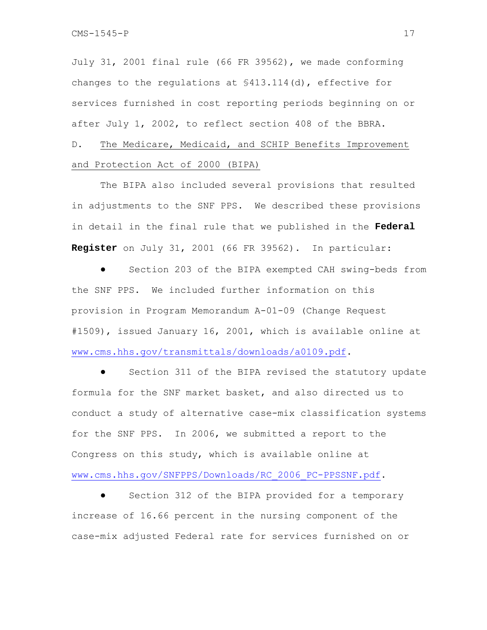July 31, 2001 final rule (66 FR 39562), we made conforming changes to the regulations at §413.114(d), effective for services furnished in cost reporting periods beginning on or after July 1, 2002, to reflect section 408 of the BBRA.

D. The Medicare, Medicaid, and SCHIP Benefits Improvement and Protection Act of 2000 (BIPA)

 The BIPA also included several provisions that resulted in adjustments to the SNF PPS. We described these provisions in detail in the final rule that we published in the **Federal Register** on July 31, 2001 (66 FR 39562). In particular:

Section 203 of the BIPA exempted CAH swing-beds from the SNF PPS. We included further information on this provision in Program Memorandum A-01-09 (Change Request #1509), issued January 16, 2001, which is available online at www.cms.hhs.gov/transmittals/downloads/a0109.pdf.

Section 311 of the BIPA revised the statutory update formula for the SNF market basket, and also directed us to conduct a study of alternative case-mix classification systems for the SNF PPS. In 2006, we submitted a report to the Congress on this study, which is available online at www.cms.hhs.gov/SNFPPS/Downloads/RC\_2006\_PC-PPSSNF.pdf.

Section 312 of the BIPA provided for a temporary increase of 16.66 percent in the nursing component of the case-mix adjusted Federal rate for services furnished on or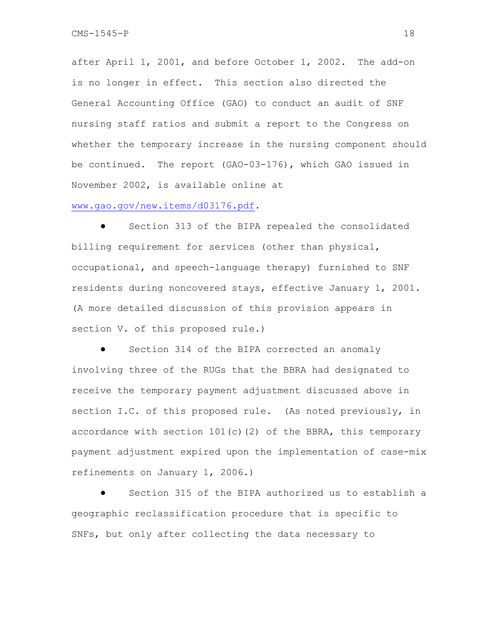after April 1, 2001, and before October 1, 2002. The add-on is no longer in effect. This section also directed the General Accounting Office (GAO) to conduct an audit of SNF nursing staff ratios and submit a report to the Congress on whether the temporary increase in the nursing component should be continued. The report (GAO-03-176), which GAO issued in November 2002, is available online at

### www.gao.gov/new.items/d03176.pdf.

● Section 313 of the BIPA repealed the consolidated billing requirement for services (other than physical, occupational, and speech-language therapy) furnished to SNF residents during noncovered stays, effective January 1, 2001. (A more detailed discussion of this provision appears in section V. of this proposed rule.)

Section 314 of the BIPA corrected an anomaly involving three of the RUGs that the BBRA had designated to receive the temporary payment adjustment discussed above in section I.C. of this proposed rule. (As noted previously, in accordance with section  $101(c)(2)$  of the BBRA, this temporary payment adjustment expired upon the implementation of case-mix refinements on January 1, 2006.)

Section 315 of the BIPA authorized us to establish a geographic reclassification procedure that is specific to SNFs, but only after collecting the data necessary to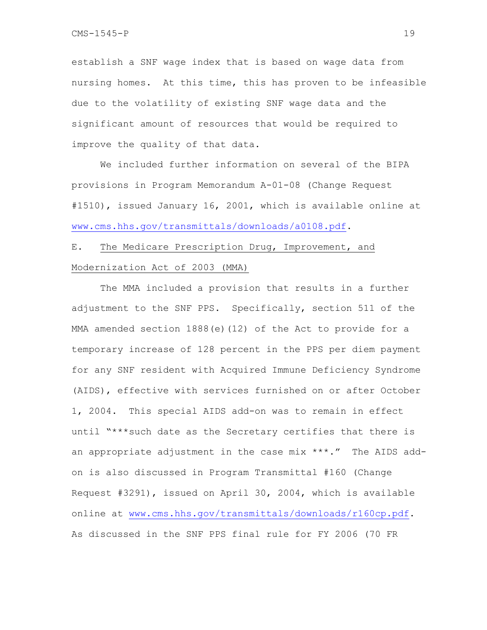establish a SNF wage index that is based on wage data from nursing homes. At this time, this has proven to be infeasible due to the volatility of existing SNF wage data and the significant amount of resources that would be required to improve the quality of that data.

 We included further information on several of the BIPA provisions in Program Memorandum A-01-08 (Change Request #1510), issued January 16, 2001, which is available online at www.cms.hhs.gov/transmittals/downloads/a0108.pdf.

# E. The Medicare Prescription Drug, Improvement, and Modernization Act of 2003 (MMA)

 The MMA included a provision that results in a further adjustment to the SNF PPS. Specifically, section 511 of the MMA amended section 1888(e)(12) of the Act to provide for a temporary increase of 128 percent in the PPS per diem payment for any SNF resident with Acquired Immune Deficiency Syndrome (AIDS), effective with services furnished on or after October 1, 2004. This special AIDS add-on was to remain in effect until "\*\*\*such date as the Secretary certifies that there is an appropriate adjustment in the case mix \*\*\*." The AIDS addon is also discussed in Program Transmittal #160 (Change Request #3291), issued on April 30, 2004, which is available online at www.cms.hhs.gov/transmittals/downloads/r160cp.pdf. As discussed in the SNF PPS final rule for FY 2006 (70 FR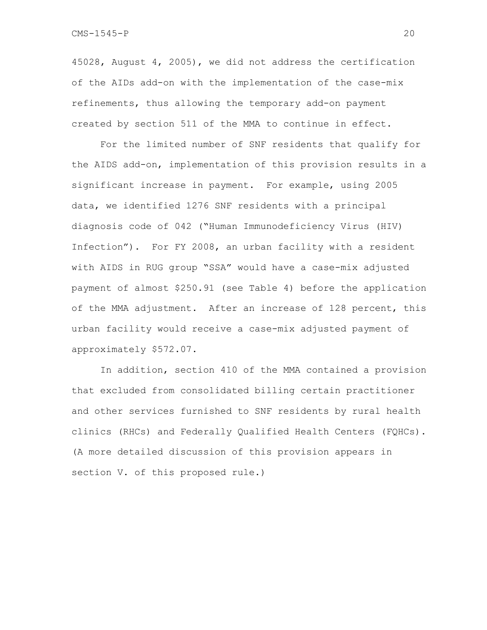45028, August 4, 2005), we did not address the certification of the AIDs add-on with the implementation of the case-mix refinements, thus allowing the temporary add-on payment created by section 511 of the MMA to continue in effect.

For the limited number of SNF residents that qualify for the AIDS add-on, implementation of this provision results in a significant increase in payment. For example, using 2005 data, we identified 1276 SNF residents with a principal diagnosis code of 042 ("Human Immunodeficiency Virus (HIV) Infection"). For FY 2008, an urban facility with a resident with AIDS in RUG group "SSA" would have a case-mix adjusted payment of almost \$250.91 (see Table 4) before the application of the MMA adjustment. After an increase of 128 percent, this urban facility would receive a case-mix adjusted payment of approximately \$572.07.

In addition, section 410 of the MMA contained a provision that excluded from consolidated billing certain practitioner and other services furnished to SNF residents by rural health clinics (RHCs) and Federally Qualified Health Centers (FQHCs). (A more detailed discussion of this provision appears in section V. of this proposed rule.)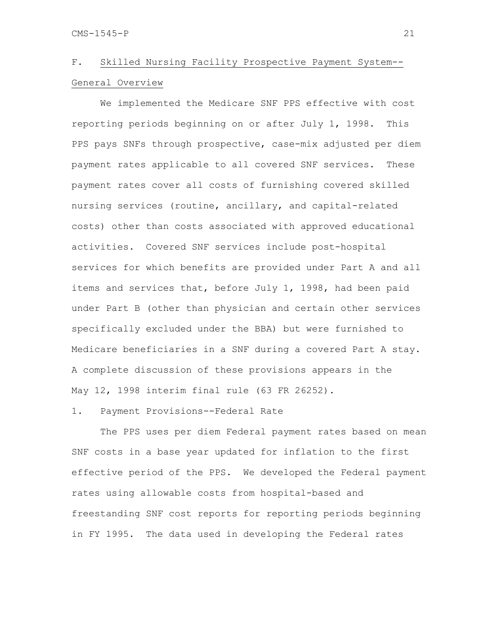# F. Skilled Nursing Facility Prospective Payment System--General Overview

 We implemented the Medicare SNF PPS effective with cost reporting periods beginning on or after July 1, 1998. This PPS pays SNFs through prospective, case-mix adjusted per diem payment rates applicable to all covered SNF services. These payment rates cover all costs of furnishing covered skilled nursing services (routine, ancillary, and capital-related costs) other than costs associated with approved educational activities. Covered SNF services include post-hospital services for which benefits are provided under Part A and all items and services that, before July 1, 1998, had been paid under Part B (other than physician and certain other services specifically excluded under the BBA) but were furnished to Medicare beneficiaries in a SNF during a covered Part A stay. A complete discussion of these provisions appears in the May 12, 1998 interim final rule (63 FR 26252).

### 1. Payment Provisions--Federal Rate

 The PPS uses per diem Federal payment rates based on mean SNF costs in a base year updated for inflation to the first effective period of the PPS. We developed the Federal payment rates using allowable costs from hospital-based and freestanding SNF cost reports for reporting periods beginning in FY 1995. The data used in developing the Federal rates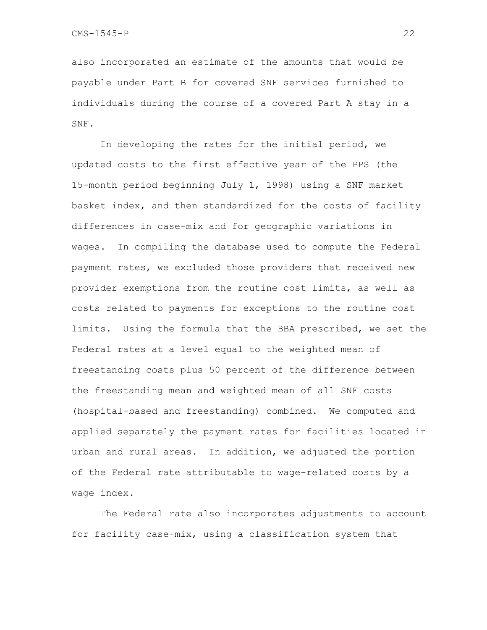also incorporated an estimate of the amounts that would be payable under Part B for covered SNF services furnished to individuals during the course of a covered Part A stay in a SNF.

 In developing the rates for the initial period, we updated costs to the first effective year of the PPS (the 15-month period beginning July 1, 1998) using a SNF market basket index, and then standardized for the costs of facility differences in case-mix and for geographic variations in wages. In compiling the database used to compute the Federal payment rates, we excluded those providers that received new provider exemptions from the routine cost limits, as well as costs related to payments for exceptions to the routine cost limits. Using the formula that the BBA prescribed, we set the Federal rates at a level equal to the weighted mean of freestanding costs plus 50 percent of the difference between the freestanding mean and weighted mean of all SNF costs (hospital-based and freestanding) combined. We computed and applied separately the payment rates for facilities located in urban and rural areas. In addition, we adjusted the portion of the Federal rate attributable to wage-related costs by a wage index.

 The Federal rate also incorporates adjustments to account for facility case-mix, using a classification system that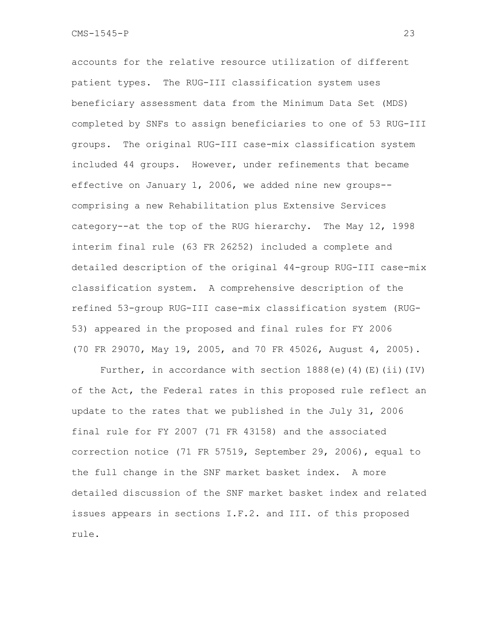accounts for the relative resource utilization of different patient types. The RUG-III classification system uses beneficiary assessment data from the Minimum Data Set (MDS) completed by SNFs to assign beneficiaries to one of 53 RUG-III groups. The original RUG-III case-mix classification system included 44 groups. However, under refinements that became effective on January 1, 2006, we added nine new groups- comprising a new Rehabilitation plus Extensive Services category--at the top of the RUG hierarchy. The May 12, 1998 interim final rule (63 FR 26252) included a complete and detailed description of the original 44-group RUG-III case-mix classification system. A comprehensive description of the refined 53-group RUG-III case-mix classification system (RUG-53) appeared in the proposed and final rules for FY 2006 (70 FR 29070, May 19, 2005, and 70 FR 45026, August 4, 2005).

Further, in accordance with section  $1888(e)$  (4)(E)(ii)(IV) of the Act, the Federal rates in this proposed rule reflect an update to the rates that we published in the July 31, 2006 final rule for FY 2007 (71 FR 43158) and the associated correction notice (71 FR 57519, September 29, 2006), equal to the full change in the SNF market basket index. A more detailed discussion of the SNF market basket index and related issues appears in sections I.F.2. and III. of this proposed rule.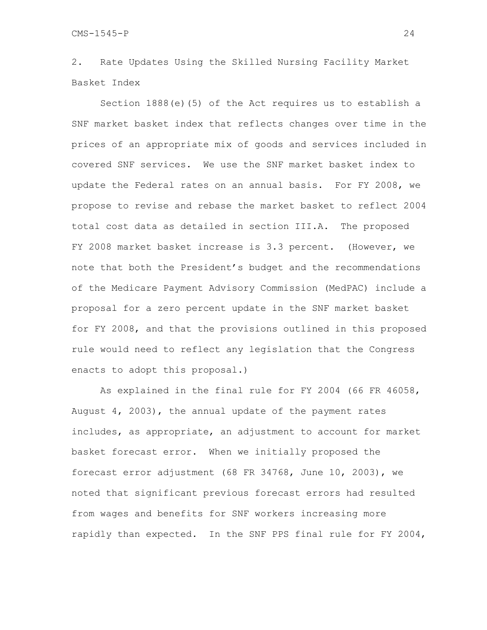2. Rate Updates Using the Skilled Nursing Facility Market Basket Index

 Section 1888(e)(5) of the Act requires us to establish a SNF market basket index that reflects changes over time in the prices of an appropriate mix of goods and services included in covered SNF services. We use the SNF market basket index to update the Federal rates on an annual basis. For FY 2008, we propose to revise and rebase the market basket to reflect 2004 total cost data as detailed in section III.A. The proposed FY 2008 market basket increase is 3.3 percent. (However, we note that both the President's budget and the recommendations of the Medicare Payment Advisory Commission (MedPAC) include a proposal for a zero percent update in the SNF market basket for FY 2008, and that the provisions outlined in this proposed rule would need to reflect any legislation that the Congress enacts to adopt this proposal.)

As explained in the final rule for FY 2004 (66 FR 46058, August 4, 2003), the annual update of the payment rates includes, as appropriate, an adjustment to account for market basket forecast error. When we initially proposed the forecast error adjustment (68 FR 34768, June 10, 2003), we noted that significant previous forecast errors had resulted from wages and benefits for SNF workers increasing more rapidly than expected. In the SNF PPS final rule for FY 2004,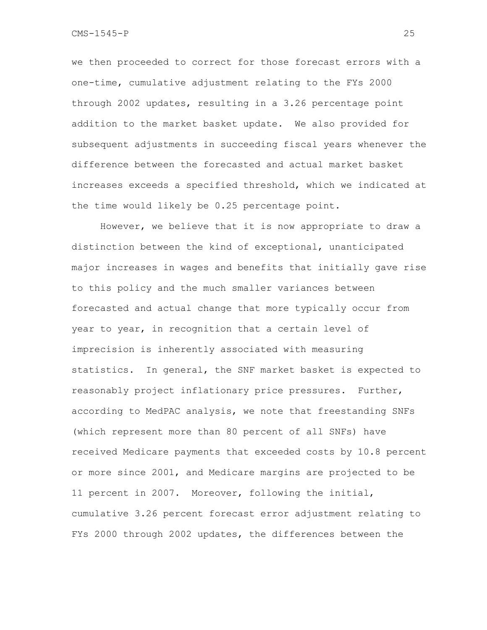we then proceeded to correct for those forecast errors with a one-time, cumulative adjustment relating to the FYs 2000 through 2002 updates, resulting in a 3.26 percentage point addition to the market basket update. We also provided for subsequent adjustments in succeeding fiscal years whenever the difference between the forecasted and actual market basket increases exceeds a specified threshold, which we indicated at the time would likely be 0.25 percentage point.

However, we believe that it is now appropriate to draw a distinction between the kind of exceptional, unanticipated major increases in wages and benefits that initially gave rise to this policy and the much smaller variances between forecasted and actual change that more typically occur from year to year, in recognition that a certain level of imprecision is inherently associated with measuring statistics. In general, the SNF market basket is expected to reasonably project inflationary price pressures. Further, according to MedPAC analysis, we note that freestanding SNFs (which represent more than 80 percent of all SNFs) have received Medicare payments that exceeded costs by 10.8 percent or more since 2001, and Medicare margins are projected to be 11 percent in 2007. Moreover, following the initial, cumulative 3.26 percent forecast error adjustment relating to FYs 2000 through 2002 updates, the differences between the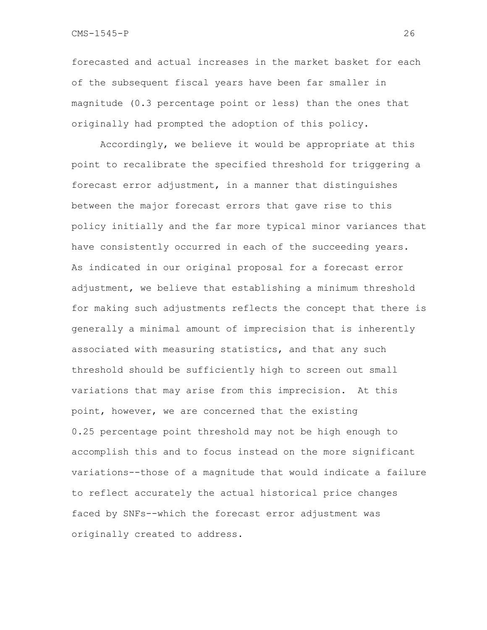forecasted and actual increases in the market basket for each of the subsequent fiscal years have been far smaller in magnitude (0.3 percentage point or less) than the ones that originally had prompted the adoption of this policy.

Accordingly, we believe it would be appropriate at this point to recalibrate the specified threshold for triggering a forecast error adjustment, in a manner that distinguishes between the major forecast errors that gave rise to this policy initially and the far more typical minor variances that have consistently occurred in each of the succeeding years. As indicated in our original proposal for a forecast error adjustment, we believe that establishing a minimum threshold for making such adjustments reflects the concept that there is generally a minimal amount of imprecision that is inherently associated with measuring statistics, and that any such threshold should be sufficiently high to screen out small variations that may arise from this imprecision. At this point, however, we are concerned that the existing 0.25 percentage point threshold may not be high enough to accomplish this and to focus instead on the more significant variations--those of a magnitude that would indicate a failure to reflect accurately the actual historical price changes faced by SNFs--which the forecast error adjustment was originally created to address.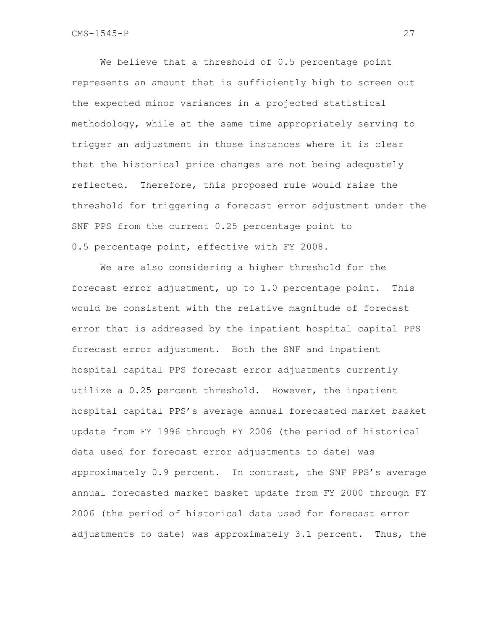We believe that a threshold of 0.5 percentage point represents an amount that is sufficiently high to screen out the expected minor variances in a projected statistical methodology, while at the same time appropriately serving to trigger an adjustment in those instances where it is clear that the historical price changes are not being adequately reflected. Therefore, this proposed rule would raise the threshold for triggering a forecast error adjustment under the SNF PPS from the current 0.25 percentage point to 0.5 percentage point, effective with FY 2008.

We are also considering a higher threshold for the forecast error adjustment, up to 1.0 percentage point. This would be consistent with the relative magnitude of forecast error that is addressed by the inpatient hospital capital PPS forecast error adjustment. Both the SNF and inpatient hospital capital PPS forecast error adjustments currently utilize a 0.25 percent threshold. However, the inpatient hospital capital PPS's average annual forecasted market basket update from FY 1996 through FY 2006 (the period of historical data used for forecast error adjustments to date) was approximately 0.9 percent. In contrast, the SNF PPS's average annual forecasted market basket update from FY 2000 through FY 2006 (the period of historical data used for forecast error adjustments to date) was approximately 3.1 percent. Thus, the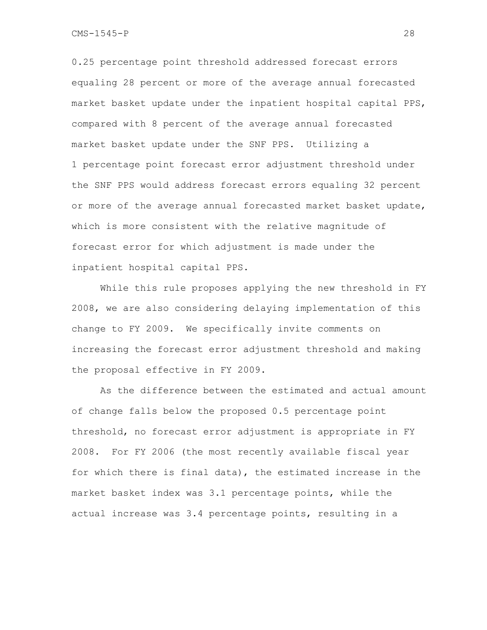CMS-1545-P 28

0.25 percentage point threshold addressed forecast errors equaling 28 percent or more of the average annual forecasted market basket update under the inpatient hospital capital PPS, compared with 8 percent of the average annual forecasted market basket update under the SNF PPS. Utilizing a 1 percentage point forecast error adjustment threshold under the SNF PPS would address forecast errors equaling 32 percent or more of the average annual forecasted market basket update, which is more consistent with the relative magnitude of forecast error for which adjustment is made under the inpatient hospital capital PPS.

While this rule proposes applying the new threshold in FY 2008, we are also considering delaying implementation of this change to FY 2009. We specifically invite comments on increasing the forecast error adjustment threshold and making the proposal effective in FY 2009.

As the difference between the estimated and actual amount of change falls below the proposed 0.5 percentage point threshold, no forecast error adjustment is appropriate in FY 2008. For FY 2006 (the most recently available fiscal year for which there is final data), the estimated increase in the market basket index was 3.1 percentage points, while the actual increase was 3.4 percentage points, resulting in a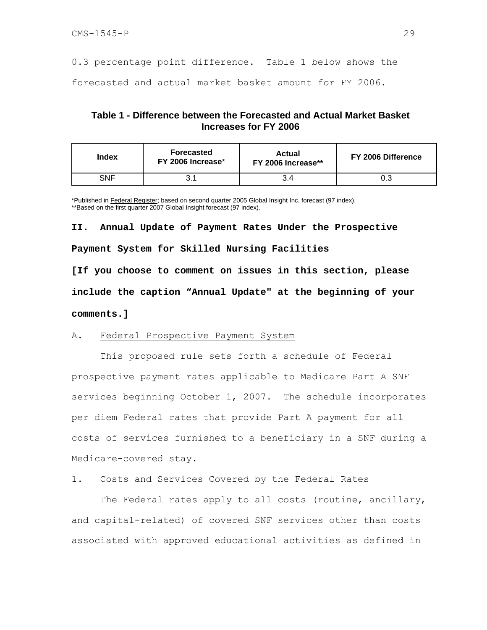0.3 percentage point difference. Table 1 below shows the forecasted and actual market basket amount for FY 2006.

### **Table 1 - Difference between the Forecasted and Actual Market Basket Increases for FY 2006**

| Index | Forecasted<br>FY 2006 Increase* | <b>Actual</b><br>FY 2006 Increase** | FY 2006 Difference |
|-------|---------------------------------|-------------------------------------|--------------------|
| SNF   | ا ، ب                           |                                     | 0.3                |

\*Published in Federal Register; based on second quarter 2005 Global Insight Inc. forecast (97 index). \*\*Based on the first quarter 2007 Global Insight forecast (97 index).

**II. Annual Update of Payment Rates Under the Prospective Payment System for Skilled Nursing Facilities** 

**[If you choose to comment on issues in this section, please include the caption "Annual Update" at the beginning of your comments.]** 

#### A. Federal Prospective Payment System

 This proposed rule sets forth a schedule of Federal prospective payment rates applicable to Medicare Part A SNF services beginning October 1, 2007. The schedule incorporates per diem Federal rates that provide Part A payment for all costs of services furnished to a beneficiary in a SNF during a Medicare-covered stay.

1. Costs and Services Covered by the Federal Rates

The Federal rates apply to all costs (routine, ancillary, and capital-related) of covered SNF services other than costs associated with approved educational activities as defined in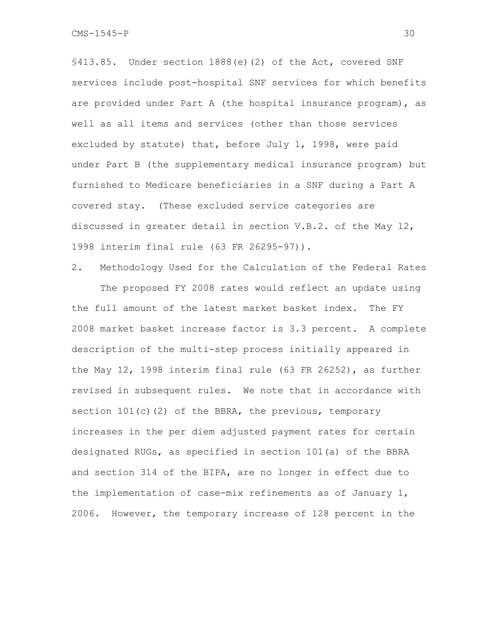§413.85. Under section 1888(e)(2) of the Act, covered SNF services include post-hospital SNF services for which benefits are provided under Part A (the hospital insurance program), as well as all items and services (other than those services excluded by statute) that, before July 1, 1998, were paid under Part B (the supplementary medical insurance program) but furnished to Medicare beneficiaries in a SNF during a Part A covered stay. (These excluded service categories are discussed in greater detail in section V.B.2. of the May 12, 1998 interim final rule (63 FR 26295-97)).

2. Methodology Used for the Calculation of the Federal Rates The proposed FY 2008 rates would reflect an update using the full amount of the latest market basket index. The FY 2008 market basket increase factor is 3.3 percent. A complete description of the multi-step process initially appeared in the May 12, 1998 interim final rule (63 FR 26252), as further revised in subsequent rules. We note that in accordance with section 101(c)(2) of the BBRA, the previous, temporary increases in the per diem adjusted payment rates for certain designated RUGs, as specified in section 101(a) of the BBRA and section 314 of the BIPA, are no longer in effect due to the implementation of case-mix refinements as of January 1, 2006. However, the temporary increase of 128 percent in the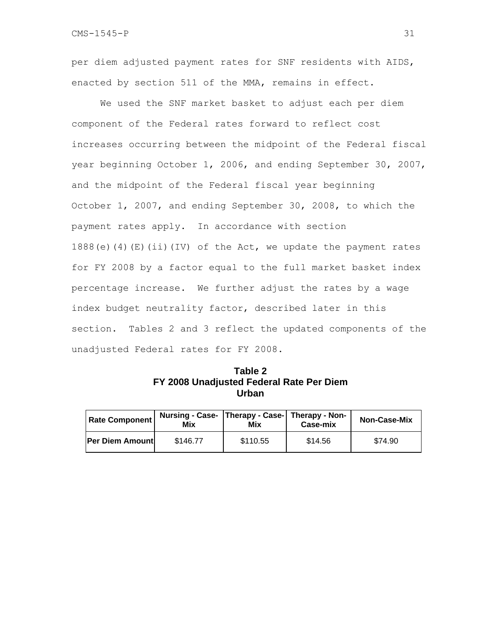per diem adjusted payment rates for SNF residents with AIDS, enacted by section 511 of the MMA, remains in effect.

 We used the SNF market basket to adjust each per diem component of the Federal rates forward to reflect cost increases occurring between the midpoint of the Federal fiscal year beginning October 1, 2006, and ending September 30, 2007, and the midpoint of the Federal fiscal year beginning October 1, 2007, and ending September 30, 2008, to which the payment rates apply. In accordance with section 1888(e)(4)(E)(ii)(IV) of the Act, we update the payment rates for FY 2008 by a factor equal to the full market basket index percentage increase. We further adjust the rates by a wage index budget neutrality factor, described later in this section. Tables 2 and 3 reflect the updated components of the unadjusted Federal rates for FY 2008.

| Table 2                                  |  |  |  |  |  |  |  |  |
|------------------------------------------|--|--|--|--|--|--|--|--|
| FY 2008 Unadjusted Federal Rate Per Diem |  |  |  |  |  |  |  |  |
| <b>Urban</b>                             |  |  |  |  |  |  |  |  |

| <b>Rate Component</b>  | Nursing - Case-   Therapy - Case-   Therapy - Non-  <br>Mix | Mix      | Case-mix | <b>Non-Case-Mix</b> |
|------------------------|-------------------------------------------------------------|----------|----------|---------------------|
| <b>Per Diem Amount</b> | \$146.77                                                    | \$110.55 | \$14.56  | \$74.90             |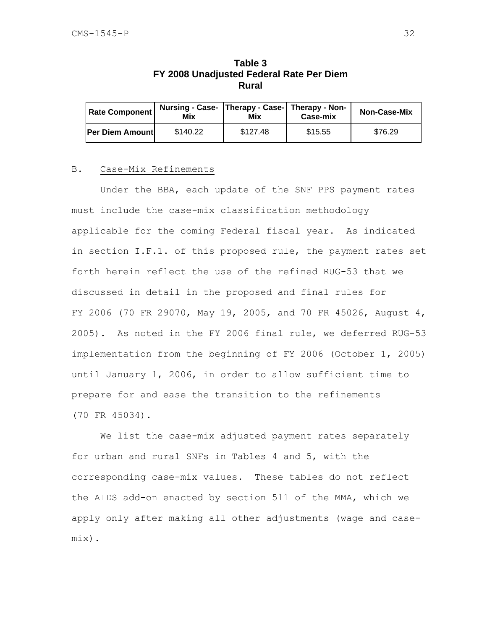| Nursing - Case-   Therapy - Case-   Therapy - Non-<br><b>Rate Component</b><br>Mix |          | Mix      | Case-mix | <b>Non-Case-Mix</b> |
|------------------------------------------------------------------------------------|----------|----------|----------|---------------------|
| Per Diem Amount                                                                    | \$140.22 | \$127.48 | \$15.55  | \$76.29             |

## **Table 3 FY 2008 Unadjusted Federal Rate Per Diem Rural**

#### B. Case-Mix Refinements

 Under the BBA, each update of the SNF PPS payment rates must include the case-mix classification methodology applicable for the coming Federal fiscal year. As indicated in section I.F.1. of this proposed rule, the payment rates set forth herein reflect the use of the refined RUG-53 that we discussed in detail in the proposed and final rules for FY 2006 (70 FR 29070, May 19, 2005, and 70 FR 45026, August 4, 2005). As noted in the FY 2006 final rule, we deferred RUG-53 implementation from the beginning of FY 2006 (October 1, 2005) until January 1, 2006, in order to allow sufficient time to prepare for and ease the transition to the refinements (70 FR 45034).

We list the case-mix adjusted payment rates separately for urban and rural SNFs in Tables 4 and 5, with the corresponding case-mix values. These tables do not reflect the AIDS add-on enacted by section 511 of the MMA, which we apply only after making all other adjustments (wage and casemix).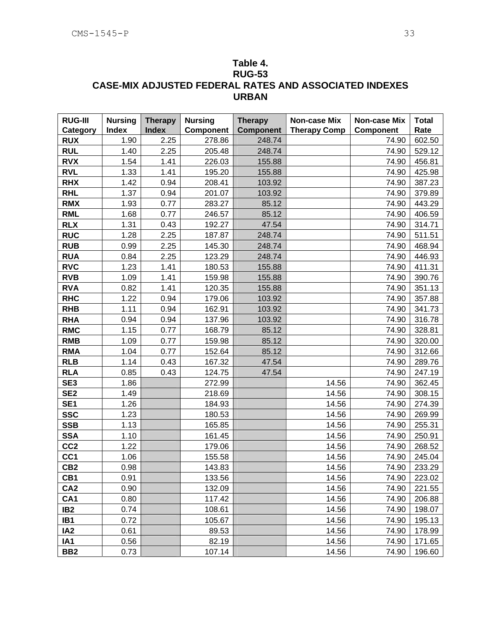# **Table 4. RUG-53 CASE-MIX ADJUSTED FEDERAL RATES AND ASSOCIATED INDEXES URBAN**

| <b>RUG-III</b>  | <b>Nursing</b> | <b>Therapy</b> | <b>Nursing</b> | <b>Therapy</b>   | Non-case Mix        | Non-case Mix | <b>Total</b> |
|-----------------|----------------|----------------|----------------|------------------|---------------------|--------------|--------------|
| Category        | <b>Index</b>   | <b>Index</b>   | Component      | <b>Component</b> | <b>Therapy Comp</b> | Component    | Rate         |
| <b>RUX</b>      | 1.90           | 2.25           | 278.86         | 248.74           |                     | 74.90        | 602.50       |
| <b>RUL</b>      | 1.40           | 2.25           | 205.48         | 248.74           |                     | 74.90        | 529.12       |
| <b>RVX</b>      | 1.54           | 1.41           | 226.03         | 155.88           |                     | 74.90        | 456.81       |
| <b>RVL</b>      | 1.33           | 1.41           | 195.20         | 155.88           |                     | 74.90        | 425.98       |
| <b>RHX</b>      | 1.42           | 0.94           | 208.41         | 103.92           |                     | 74.90        | 387.23       |
| <b>RHL</b>      | 1.37           | 0.94           | 201.07         | 103.92           |                     | 74.90        | 379.89       |
| <b>RMX</b>      | 1.93           | 0.77           | 283.27         | 85.12            |                     | 74.90        | 443.29       |
| <b>RML</b>      | 1.68           | 0.77           | 246.57         | 85.12            |                     | 74.90        | 406.59       |
| <b>RLX</b>      | 1.31           | 0.43           | 192.27         | 47.54            |                     | 74.90        | 314.71       |
| <b>RUC</b>      | 1.28           | 2.25           | 187.87         | 248.74           |                     | 74.90        | 511.51       |
| <b>RUB</b>      | 0.99           | 2.25           | 145.30         | 248.74           |                     | 74.90        | 468.94       |
| <b>RUA</b>      | 0.84           | 2.25           | 123.29         | 248.74           |                     | 74.90        | 446.93       |
| <b>RVC</b>      | 1.23           | 1.41           | 180.53         | 155.88           |                     | 74.90        | 411.31       |
| <b>RVB</b>      | 1.09           | 1.41           | 159.98         | 155.88           |                     | 74.90        | 390.76       |
| <b>RVA</b>      | 0.82           | 1.41           | 120.35         | 155.88           |                     | 74.90        | 351.13       |
| <b>RHC</b>      | 1.22           | 0.94           | 179.06         | 103.92           |                     | 74.90        | 357.88       |
| <b>RHB</b>      | 1.11           | 0.94           | 162.91         | 103.92           |                     | 74.90        | 341.73       |
| <b>RHA</b>      | 0.94           | 0.94           | 137.96         | 103.92           |                     | 74.90        | 316.78       |
| <b>RMC</b>      | 1.15           | 0.77           | 168.79         | 85.12            |                     | 74.90        | 328.81       |
| <b>RMB</b>      | 1.09           | 0.77           | 159.98         | 85.12            |                     | 74.90        | 320.00       |
| <b>RMA</b>      | 1.04           | 0.77           | 152.64         | 85.12            |                     | 74.90        | 312.66       |
| <b>RLB</b>      | 1.14           | 0.43           | 167.32         | 47.54            |                     | 74.90        | 289.76       |
| <b>RLA</b>      | 0.85           | 0.43           | 124.75         | 47.54            |                     | 74.90        | 247.19       |
| SE <sub>3</sub> | 1.86           |                | 272.99         |                  | 14.56               | 74.90        | 362.45       |
| SE <sub>2</sub> | 1.49           |                | 218.69         |                  | 14.56               | 74.90        | 308.15       |
| SE <sub>1</sub> | 1.26           |                | 184.93         |                  | 14.56               | 74.90        | 274.39       |
| <b>SSC</b>      | 1.23           |                | 180.53         |                  | 14.56               | 74.90        | 269.99       |
| <b>SSB</b>      | 1.13           |                | 165.85         |                  | 14.56               | 74.90        | 255.31       |
| <b>SSA</b>      | 1.10           |                | 161.45         |                  | 14.56               | 74.90        | 250.91       |
| CC <sub>2</sub> | 1.22           |                | 179.06         |                  | 14.56               | 74.90        | 268.52       |
| CC <sub>1</sub> | 1.06           |                | 155.58         |                  | 14.56               | 74.90        | 245.04       |
| CB <sub>2</sub> | 0.98           |                | 143.83         |                  | 14.56               | 74.90        | 233.29       |
| CB1             | 0.91           |                | 133.56         |                  | 14.56               | 74.90        | 223.02       |
| CA <sub>2</sub> | 0.90           |                | 132.09         |                  | 14.56               | 74.90        | 221.55       |
| CA <sub>1</sub> | 0.80           |                | 117.42         |                  | 14.56               | 74.90        | 206.88       |
| IB <sub>2</sub> | 0.74           |                | 108.61         |                  | 14.56               | 74.90        | 198.07       |
| IB1             | 0.72           |                | 105.67         |                  | 14.56               | 74.90        | 195.13       |
| IA <sub>2</sub> | 0.61           |                | 89.53          |                  | 14.56               | 74.90        | 178.99       |
| IA1             | 0.56           |                | 82.19          |                  | 14.56               | 74.90        | 171.65       |
| BB <sub>2</sub> | 0.73           |                | 107.14         |                  | 14.56               | 74.90        | 196.60       |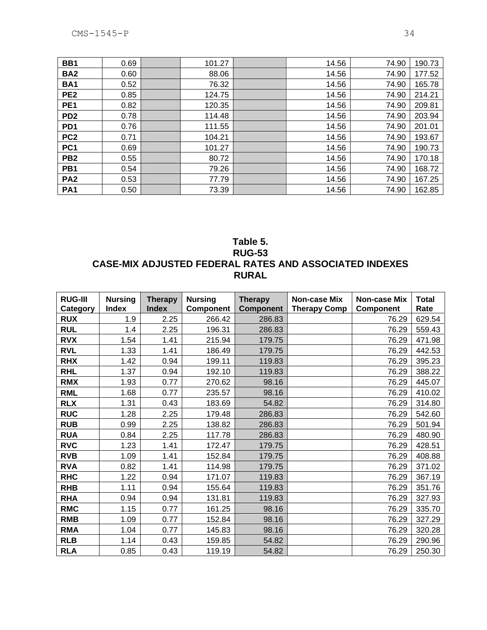| BB <sub>1</sub> | 0.69 | 101.27 | 14.56 | 74.90 | 190.73 |
|-----------------|------|--------|-------|-------|--------|
| BA <sub>2</sub> | 0.60 | 88.06  | 14.56 | 74.90 | 177.52 |
| <b>BA1</b>      | 0.52 | 76.32  | 14.56 | 74.90 | 165.78 |
| PE <sub>2</sub> | 0.85 | 124.75 | 14.56 | 74.90 | 214.21 |
| PE <sub>1</sub> | 0.82 | 120.35 | 14.56 | 74.90 | 209.81 |
| PD <sub>2</sub> | 0.78 | 114.48 | 14.56 | 74.90 | 203.94 |
| PD <sub>1</sub> | 0.76 | 111.55 | 14.56 | 74.90 | 201.01 |
| PC <sub>2</sub> | 0.71 | 104.21 | 14.56 | 74.90 | 193.67 |
| PC <sub>1</sub> | 0.69 | 101.27 | 14.56 | 74.90 | 190.73 |
| PB <sub>2</sub> | 0.55 | 80.72  | 14.56 | 74.90 | 170.18 |
| PB1             | 0.54 | 79.26  | 14.56 | 74.90 | 168.72 |
| PA <sub>2</sub> | 0.53 | 77.79  | 14.56 | 74.90 | 167.25 |
| PA <sub>1</sub> | 0.50 | 73.39  | 14.56 | 74.90 | 162.85 |

## **Table 5. RUG-53 CASE-MIX ADJUSTED FEDERAL RATES AND ASSOCIATED INDEXES RURAL**

| <b>RUG-III</b>         | <b>Nursing</b>      | <b>Therapy</b>       | <b>Nursing</b>      | <b>Therapy</b>             | Non-case Mix        | <b>Non-case Mix</b>       | <b>Total</b>   |
|------------------------|---------------------|----------------------|---------------------|----------------------------|---------------------|---------------------------|----------------|
| Category<br><b>RUX</b> | <b>Index</b><br>1.9 | <b>Index</b><br>2.25 | Component<br>266.42 | <b>Component</b><br>286.83 | <b>Therapy Comp</b> | <b>Component</b><br>76.29 | Rate<br>629.54 |
|                        |                     |                      |                     |                            |                     |                           |                |
| <b>RUL</b>             | 1.4                 | 2.25                 | 196.31              | 286.83                     |                     | 76.29                     | 559.43         |
| <b>RVX</b>             | 1.54                | 1.41                 | 215.94              | 179.75                     |                     | 76.29                     | 471.98         |
| <b>RVL</b>             | 1.33                | 1.41                 | 186.49              | 179.75                     |                     | 76.29                     | 442.53         |
| <b>RHX</b>             | 1.42                | 0.94                 | 199.11              | 119.83                     |                     | 76.29                     | 395.23         |
| <b>RHL</b>             | 1.37                | 0.94                 | 192.10              | 119.83                     |                     | 76.29                     | 388.22         |
| <b>RMX</b>             | 1.93                | 0.77                 | 270.62              | 98.16                      |                     | 76.29                     | 445.07         |
| <b>RML</b>             | 1.68                | 0.77                 | 235.57              | 98.16                      |                     | 76.29                     | 410.02         |
| <b>RLX</b>             | 1.31                | 0.43                 | 183.69              | 54.82                      |                     | 76.29                     | 314.80         |
| <b>RUC</b>             | 1.28                | 2.25                 | 179.48              | 286.83                     |                     | 76.29                     | 542.60         |
| <b>RUB</b>             | 0.99                | 2.25                 | 138.82              | 286.83                     |                     | 76.29                     | 501.94         |
| <b>RUA</b>             | 0.84                | 2.25                 | 117.78              | 286.83                     |                     | 76.29                     | 480.90         |
| <b>RVC</b>             | 1.23                | 1.41                 | 172.47              | 179.75                     |                     | 76.29                     | 428.51         |
| <b>RVB</b>             | 1.09                | 1.41                 | 152.84              | 179.75                     |                     | 76.29                     | 408.88         |
| <b>RVA</b>             | 0.82                | 1.41                 | 114.98              | 179.75                     |                     | 76.29                     | 371.02         |
| <b>RHC</b>             | 1.22                | 0.94                 | 171.07              | 119.83                     |                     | 76.29                     | 367.19         |
| <b>RHB</b>             | 1.11                | 0.94                 | 155.64              | 119.83                     |                     | 76.29                     | 351.76         |
| <b>RHA</b>             | 0.94                | 0.94                 | 131.81              | 119.83                     |                     | 76.29                     | 327.93         |
| <b>RMC</b>             | 1.15                | 0.77                 | 161.25              | 98.16                      |                     | 76.29                     | 335.70         |
| <b>RMB</b>             | 1.09                | 0.77                 | 152.84              | 98.16                      |                     | 76.29                     | 327.29         |
| <b>RMA</b>             | 1.04                | 0.77                 | 145.83              | 98.16                      |                     | 76.29                     | 320.28         |
| <b>RLB</b>             | 1.14                | 0.43                 | 159.85              | 54.82                      |                     | 76.29                     | 290.96         |
| <b>RLA</b>             | 0.85                | 0.43                 | 119.19              | 54.82                      |                     | 76.29                     | 250.30         |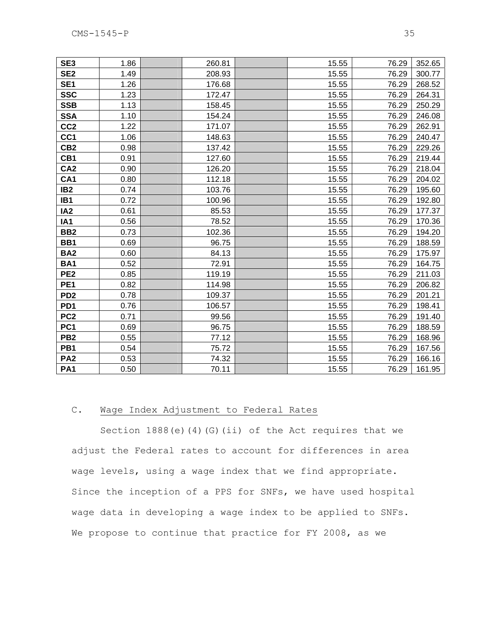| SE <sub>3</sub> | 1.86 | 260.81 | 15.55 | 76.29 | 352.65 |
|-----------------|------|--------|-------|-------|--------|
| SE <sub>2</sub> | 1.49 | 208.93 | 15.55 | 76.29 | 300.77 |
| SE <sub>1</sub> | 1.26 | 176.68 | 15.55 | 76.29 | 268.52 |
| <b>SSC</b>      | 1.23 | 172.47 | 15.55 | 76.29 | 264.31 |
| <b>SSB</b>      | 1.13 | 158.45 | 15.55 | 76.29 | 250.29 |
| <b>SSA</b>      | 1.10 | 154.24 | 15.55 | 76.29 | 246.08 |
| CC <sub>2</sub> | 1.22 | 171.07 | 15.55 | 76.29 | 262.91 |
| CC <sub>1</sub> | 1.06 | 148.63 | 15.55 | 76.29 | 240.47 |
| CB <sub>2</sub> | 0.98 | 137.42 | 15.55 | 76.29 | 229.26 |
| CB1             | 0.91 | 127.60 | 15.55 | 76.29 | 219.44 |
| CA <sub>2</sub> | 0.90 | 126.20 | 15.55 | 76.29 | 218.04 |
| CA <sub>1</sub> | 0.80 | 112.18 | 15.55 | 76.29 | 204.02 |
| IB <sub>2</sub> | 0.74 | 103.76 | 15.55 | 76.29 | 195.60 |
| IB <sub>1</sub> | 0.72 | 100.96 | 15.55 | 76.29 | 192.80 |
| IA <sub>2</sub> | 0.61 | 85.53  | 15.55 | 76.29 | 177.37 |
| IA <sub>1</sub> | 0.56 | 78.52  | 15.55 | 76.29 | 170.36 |
| BB <sub>2</sub> | 0.73 | 102.36 | 15.55 | 76.29 | 194.20 |
| BB1             | 0.69 | 96.75  | 15.55 | 76.29 | 188.59 |
| <b>BA2</b>      | 0.60 | 84.13  | 15.55 | 76.29 | 175.97 |
| <b>BA1</b>      | 0.52 | 72.91  | 15.55 | 76.29 | 164.75 |
| PE <sub>2</sub> | 0.85 | 119.19 | 15.55 | 76.29 | 211.03 |
| PE <sub>1</sub> | 0.82 | 114.98 | 15.55 | 76.29 | 206.82 |
| PD <sub>2</sub> | 0.78 | 109.37 | 15.55 | 76.29 | 201.21 |
| PD <sub>1</sub> | 0.76 | 106.57 | 15.55 | 76.29 | 198.41 |
| PC <sub>2</sub> | 0.71 | 99.56  | 15.55 | 76.29 | 191.40 |
| PC <sub>1</sub> | 0.69 | 96.75  | 15.55 | 76.29 | 188.59 |
| PB <sub>2</sub> | 0.55 | 77.12  | 15.55 | 76.29 | 168.96 |
| PB <sub>1</sub> | 0.54 | 75.72  | 15.55 | 76.29 | 167.56 |
| PA <sub>2</sub> | 0.53 | 74.32  | 15.55 | 76.29 | 166.16 |
| PA <sub>1</sub> | 0.50 | 70.11  | 15.55 | 76.29 | 161.95 |

### C. Wage Index Adjustment to Federal Rates

Section 1888(e)(4)(G)(ii) of the Act requires that we adjust the Federal rates to account for differences in area wage levels, using a wage index that we find appropriate. Since the inception of a PPS for SNFs, we have used hospital wage data in developing a wage index to be applied to SNFs. We propose to continue that practice for FY 2008, as we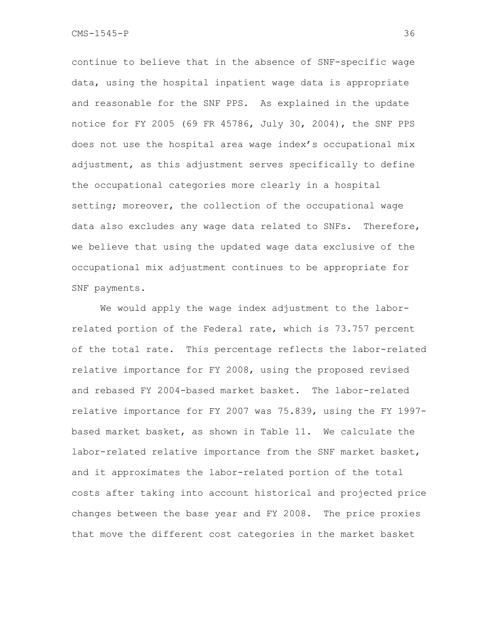continue to believe that in the absence of SNF-specific wage data, using the hospital inpatient wage data is appropriate and reasonable for the SNF PPS. As explained in the update notice for FY 2005 (69 FR 45786, July 30, 2004), the SNF PPS does not use the hospital area wage index's occupational mix adjustment, as this adjustment serves specifically to define the occupational categories more clearly in a hospital setting; moreover, the collection of the occupational wage data also excludes any wage data related to SNFs. Therefore, we believe that using the updated wage data exclusive of the occupational mix adjustment continues to be appropriate for SNF payments.

We would apply the wage index adjustment to the laborrelated portion of the Federal rate, which is 73.757 percent of the total rate. This percentage reflects the labor-related relative importance for FY 2008, using the proposed revised and rebased FY 2004-based market basket. The labor-related relative importance for FY 2007 was 75.839, using the FY 1997 based market basket, as shown in Table 11. We calculate the labor-related relative importance from the SNF market basket, and it approximates the labor-related portion of the total costs after taking into account historical and projected price changes between the base year and FY 2008. The price proxies that move the different cost categories in the market basket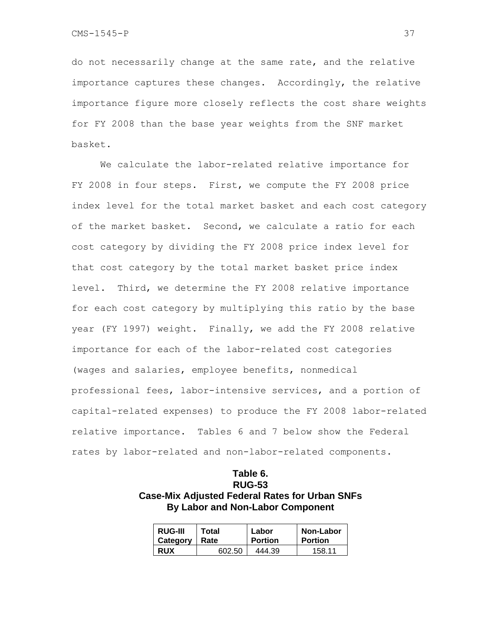do not necessarily change at the same rate, and the relative importance captures these changes. Accordingly, the relative importance figure more closely reflects the cost share weights for FY 2008 than the base year weights from the SNF market basket.

 We calculate the labor-related relative importance for FY 2008 in four steps. First, we compute the FY 2008 price index level for the total market basket and each cost category of the market basket. Second, we calculate a ratio for each cost category by dividing the FY 2008 price index level for that cost category by the total market basket price index level. Third, we determine the FY 2008 relative importance for each cost category by multiplying this ratio by the base year (FY 1997) weight. Finally, we add the FY 2008 relative importance for each of the labor-related cost categories (wages and salaries, employee benefits, nonmedical professional fees, labor-intensive services, and a portion of capital-related expenses) to produce the FY 2008 labor-related relative importance. Tables 6 and 7 below show the Federal rates by labor-related and non-labor-related components.

### **Table 6. RUG-53 Case-Mix Adjusted Federal Rates for Urban SNFs By Labor and Non-Labor Component**

| <b>RUG-III</b> | Total  | Labor          | Non-Labor      |
|----------------|--------|----------------|----------------|
| Category       | Rate   | <b>Portion</b> | <b>Portion</b> |
| <b>RUX</b>     | 602.50 | 444.39         | 158 11         |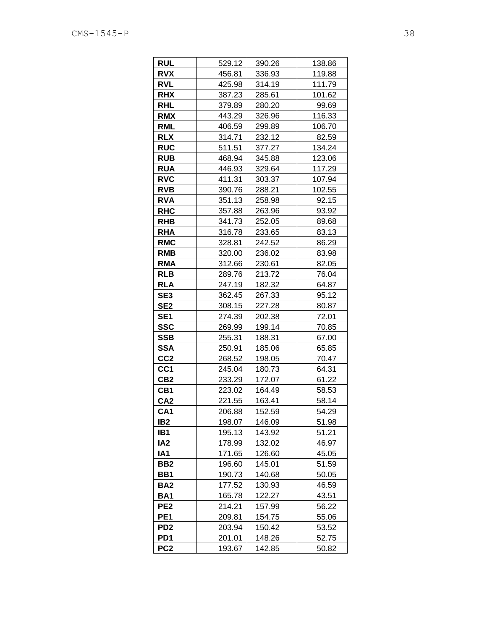| <b>RUL</b>      | 529.12 | 390.26 | 138.86 |
|-----------------|--------|--------|--------|
| <b>RVX</b>      | 456.81 | 336.93 | 119.88 |
| <b>RVL</b>      | 425.98 | 314.19 | 111.79 |
| <b>RHX</b>      | 387.23 | 285.61 | 101.62 |
| <b>RHL</b>      | 379.89 | 280.20 | 99.69  |
| <b>RMX</b>      | 443.29 | 326.96 | 116.33 |
| RML             | 406.59 | 299.89 | 106.70 |
| <b>RLX</b>      | 314.71 | 232.12 | 82.59  |
| <b>RUC</b>      | 511.51 | 377.27 | 134.24 |
| <b>RUB</b>      | 468.94 | 345.88 | 123.06 |
| <b>RUA</b>      | 446.93 | 329.64 | 117.29 |
| <b>RVC</b>      | 411.31 | 303.37 | 107.94 |
| <b>RVB</b>      | 390.76 | 288.21 | 102.55 |
| <b>RVA</b>      | 351.13 | 258.98 | 92.15  |
| <b>RHC</b>      | 357.88 | 263.96 | 93.92  |
| <b>RHB</b>      | 341.73 | 252.05 | 89.68  |
| <b>RHA</b>      | 316.78 | 233.65 | 83.13  |
| <b>RMC</b>      | 328.81 | 242.52 | 86.29  |
| <b>RMB</b>      | 320.00 | 236.02 | 83.98  |
| <b>RMA</b>      | 312.66 | 230.61 | 82.05  |
| <b>RLB</b>      | 289.76 | 213.72 | 76.04  |
| <b>RLA</b>      | 247.19 | 182.32 | 64.87  |
| SE <sub>3</sub> | 362.45 | 267.33 | 95.12  |
| SE <sub>2</sub> | 308.15 | 227.28 | 80.87  |
| SE <sub>1</sub> | 274.39 | 202.38 | 72.01  |
| <b>SSC</b>      | 269.99 | 199.14 | 70.85  |
| <b>SSB</b>      | 255.31 | 188.31 | 67.00  |
| <b>SSA</b>      | 250.91 | 185.06 | 65.85  |
| CC <sub>2</sub> | 268.52 | 198.05 | 70.47  |
| CC <sub>1</sub> | 245.04 | 180.73 | 64.31  |
| CB <sub>2</sub> | 233.29 | 172.07 | 61.22  |
| CB1             | 223.02 | 164.49 | 58.53  |
| CA <sub>2</sub> | 221.55 | 163.41 | 58.14  |
| CA <sub>1</sub> | 206.88 | 152.59 | 54.29  |
| IB <sub>2</sub> | 198.07 | 146.09 | 51.98  |
| IB <sub>1</sub> | 195.13 | 143.92 | 51.21  |
| IA <sub>2</sub> | 178.99 | 132.02 | 46.97  |
| IA1             | 171.65 | 126.60 | 45.05  |
| BB <sub>2</sub> | 196.60 | 145.01 | 51.59  |
| BB1             | 190.73 | 140.68 | 50.05  |
| BA2             | 177.52 | 130.93 | 46.59  |
| <b>BA1</b>      | 165.78 | 122.27 | 43.51  |
| PE <sub>2</sub> | 214.21 | 157.99 | 56.22  |
| PE1             | 209.81 | 154.75 | 55.06  |
| PD <sub>2</sub> | 203.94 | 150.42 | 53.52  |
| PD <sub>1</sub> | 201.01 | 148.26 | 52.75  |
| PC <sub>2</sub> | 193.67 | 142.85 | 50.82  |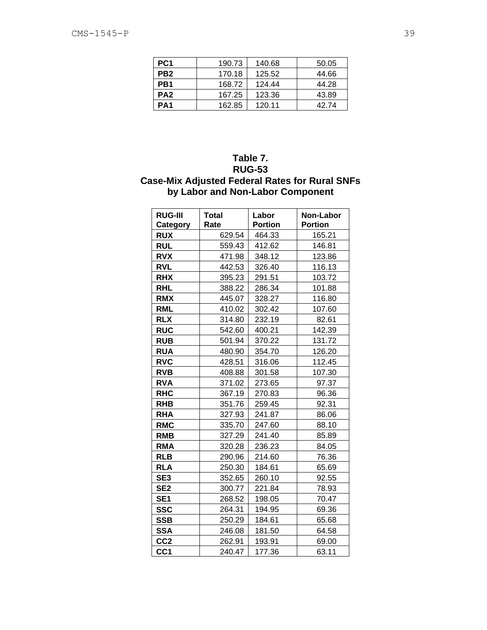| PC <sub>1</sub> | 190.73 | 140.68 | 50.05 |
|-----------------|--------|--------|-------|
| PB <sub>2</sub> | 170.18 | 125.52 | 44.66 |
| PB1             | 168.72 | 124.44 | 44.28 |
| PA <sub>2</sub> | 167.25 | 123.36 | 43.89 |
| PA1             | 162.85 | 120.11 | 42 74 |

### **Table 7. RUG-53 Case-Mix Adjusted Federal Rates for Rural SNFs by Labor and Non-Labor Component**

| <b>RUG-III</b><br>Category | <b>Total</b><br>Rate | Labor<br><b>Portion</b> | Non-Labor<br><b>Portion</b> |
|----------------------------|----------------------|-------------------------|-----------------------------|
| <b>RUX</b>                 | 629.54               | 464.33                  | 165.21                      |
| <b>RUL</b>                 | 559.43               | 412.62                  | 146.81                      |
| <b>RVX</b>                 | 471.98               | 348.12                  | 123.86                      |
| <b>RVL</b>                 | 442.53               | 326.40                  | 116.13                      |
| <b>RHX</b>                 | 395.23               | 291.51                  | 103.72                      |
| <b>RHL</b>                 | 388.22               | 286.34                  | 101.88                      |
| <b>RMX</b>                 | 445.07               | 328.27                  | 116.80                      |
| <b>RML</b>                 | 410.02               | 302.42                  | 107.60                      |
| <b>RLX</b>                 | 314.80               | 232.19                  | 82.61                       |
| <b>RUC</b>                 | 542.60               | 400.21                  | 142.39                      |
| <b>RUB</b>                 | 501.94               | 370.22                  | 131.72                      |
| <b>RUA</b>                 | 480.90               | 354.70                  | 126.20                      |
| <b>RVC</b>                 | 428.51               | 316.06                  | 112.45                      |
| <b>RVB</b>                 | 408.88               | 301.58                  | 107.30                      |
| <b>RVA</b>                 | 371.02               | 273.65                  | 97.37                       |
| <b>RHC</b>                 | 367.19               | 270.83                  | 96.36                       |
| <b>RHB</b>                 | 351.76               | 259.45                  | 92.31                       |
| <b>RHA</b>                 | 327.93               | 241.87                  | 86.06                       |
| <b>RMC</b>                 | 335.70               | 247.60                  | 88.10                       |
| <b>RMB</b>                 | 327.29               | 241.40                  | 85.89                       |
| <b>RMA</b>                 | 320.28               | 236.23                  | 84.05                       |
| <b>RLB</b>                 | 290.96               | 214.60                  | 76.36                       |
| <b>RLA</b>                 | 250.30               | 184.61                  | 65.69                       |
| SE <sub>3</sub>            | 352.65               | 260.10                  | 92.55                       |
| SE <sub>2</sub>            | 300.77               | 221.84                  | 78.93                       |
| SE <sub>1</sub>            | 268.52               | 198.05                  | 70.47                       |
| <b>SSC</b>                 | 264.31               | 194.95                  | 69.36                       |
| <b>SSB</b>                 | 250.29               | 184.61                  | 65.68                       |
| <b>SSA</b>                 | 246.08               | 181.50                  | 64.58                       |
| CC <sub>2</sub>            | 262.91               | 193.91                  | 69.00                       |
| CC <sub>1</sub>            | 240.47               | 177.36                  | 63.11                       |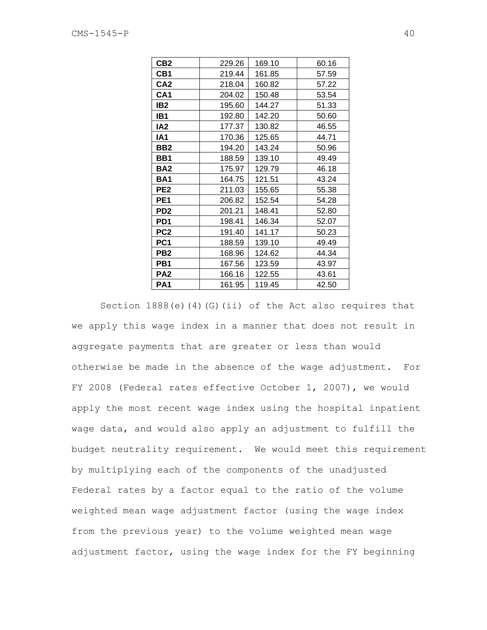| CB2             | 229.26 | 169.10 | 60.16 |
|-----------------|--------|--------|-------|
| CB1             | 219.44 | 161.85 | 57.59 |
| CA <sub>2</sub> | 218.04 | 160.82 | 57.22 |
| CA <sub>1</sub> | 204.02 | 150.48 | 53.54 |
| IB <sub>2</sub> | 195.60 | 144.27 | 51.33 |
| IB1             | 192.80 | 142.20 | 50.60 |
| IA <sub>2</sub> | 177.37 | 130.82 | 46.55 |
| IA <sub>1</sub> | 170.36 | 125.65 | 44.71 |
| BB <sub>2</sub> | 194.20 | 143.24 | 50.96 |
| BB1             | 188.59 | 139.10 | 49.49 |
| <b>BA2</b>      | 175.97 | 129.79 | 46.18 |
| <b>BA1</b>      | 164.75 | 121.51 | 43.24 |
| PE <sub>2</sub> | 211.03 | 155.65 | 55.38 |
| PE <sub>1</sub> | 206.82 | 152.54 | 54.28 |
| PD <sub>2</sub> | 201.21 | 148.41 | 52.80 |
| PD <sub>1</sub> | 198.41 | 146.34 | 52.07 |
| PC <sub>2</sub> | 191.40 | 141.17 | 50.23 |
| PC <sub>1</sub> | 188.59 | 139.10 | 49.49 |
| PB <sub>2</sub> | 168.96 | 124.62 | 44.34 |
| PB1             | 167.56 | 123.59 | 43.97 |
| PA <sub>2</sub> | 166.16 | 122.55 | 43.61 |
| PA <sub>1</sub> | 161.95 | 119.45 | 42.50 |

Section 1888(e)(4)(G)(ii) of the Act also requires that we apply this wage index in a manner that does not result in aggregate payments that are greater or less than would otherwise be made in the absence of the wage adjustment. For FY 2008 (Federal rates effective October 1, 2007), we would apply the most recent wage index using the hospital inpatient wage data, and would also apply an adjustment to fulfill the budget neutrality requirement. We would meet this requirement by multiplying each of the components of the unadjusted Federal rates by a factor equal to the ratio of the volume weighted mean wage adjustment factor (using the wage index from the previous year) to the volume weighted mean wage adjustment factor, using the wage index for the FY beginning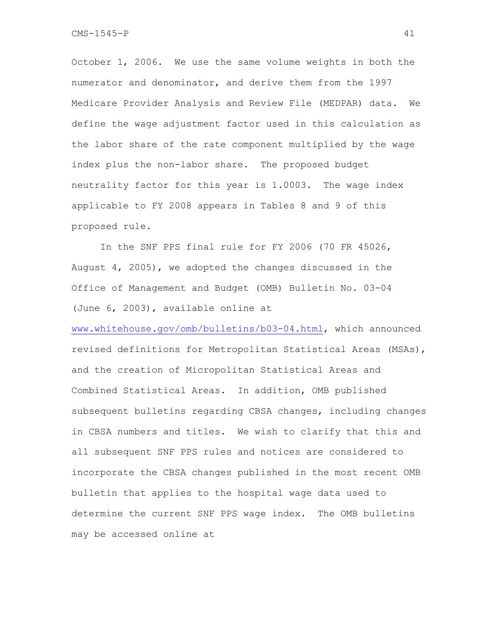October 1, 2006. We use the same volume weights in both the numerator and denominator, and derive them from the 1997 Medicare Provider Analysis and Review File (MEDPAR) data. We define the wage adjustment factor used in this calculation as the labor share of the rate component multiplied by the wage index plus the non-labor share. The proposed budget neutrality factor for this year is 1.0003. The wage index applicable to FY 2008 appears in Tables 8 and 9 of this proposed rule.

In the SNF PPS final rule for FY 2006 (70 FR 45026, August 4, 2005), we adopted the changes discussed in the Office of Management and Budget (OMB) Bulletin No. 03-04 (June 6, 2003), available online at

www.whitehouse.gov/omb/bulletins/b03-04.html, which announced revised definitions for Metropolitan Statistical Areas (MSAs), and the creation of Micropolitan Statistical Areas and Combined Statistical Areas. In addition, OMB published subsequent bulletins regarding CBSA changes, including changes in CBSA numbers and titles. We wish to clarify that this and all subsequent SNF PPS rules and notices are considered to incorporate the CBSA changes published in the most recent OMB bulletin that applies to the hospital wage data used to determine the current SNF PPS wage index. The OMB bulletins may be accessed online at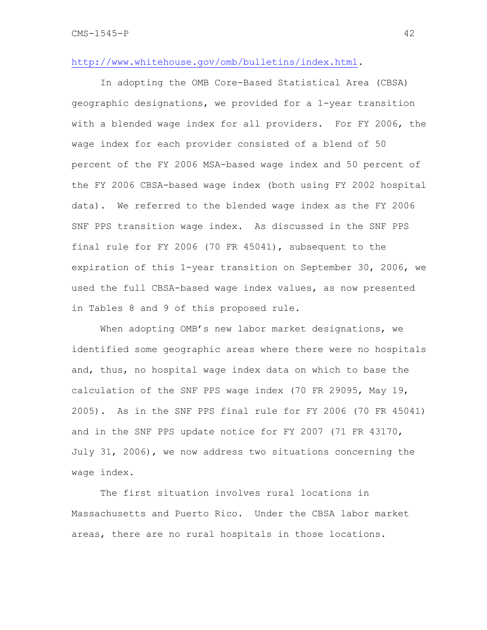### http://www.whitehouse.gov/omb/bulletins/index.html.

In adopting the OMB Core-Based Statistical Area (CBSA) geographic designations, we provided for a 1-year transition with a blended wage index for all providers. For FY 2006, the wage index for each provider consisted of a blend of 50 percent of the FY 2006 MSA-based wage index and 50 percent of the FY 2006 CBSA-based wage index (both using FY 2002 hospital data). We referred to the blended wage index as the FY 2006 SNF PPS transition wage index. As discussed in the SNF PPS final rule for FY 2006 (70 FR 45041), subsequent to the expiration of this 1-year transition on September 30, 2006, we used the full CBSA-based wage index values, as now presented in Tables 8 and 9 of this proposed rule.

When adopting OMB's new labor market designations, we identified some geographic areas where there were no hospitals and, thus, no hospital wage index data on which to base the calculation of the SNF PPS wage index (70 FR 29095, May 19, 2005). As in the SNF PPS final rule for FY 2006 (70 FR 45041) and in the SNF PPS update notice for FY 2007 (71 FR 43170, July 31, 2006), we now address two situations concerning the wage index.

The first situation involves rural locations in Massachusetts and Puerto Rico. Under the CBSA labor market areas, there are no rural hospitals in those locations.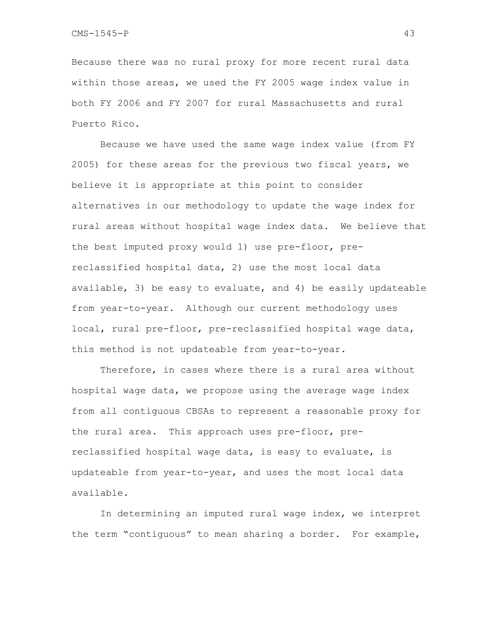Because there was no rural proxy for more recent rural data within those areas, we used the FY 2005 wage index value in both FY 2006 and FY 2007 for rural Massachusetts and rural Puerto Rico.

Because we have used the same wage index value (from FY 2005) for these areas for the previous two fiscal years, we believe it is appropriate at this point to consider alternatives in our methodology to update the wage index for rural areas without hospital wage index data. We believe that the best imputed proxy would 1) use pre-floor, prereclassified hospital data, 2) use the most local data available, 3) be easy to evaluate, and 4) be easily updateable from year-to-year. Although our current methodology uses local, rural pre-floor, pre-reclassified hospital wage data, this method is not updateable from year-to-year.

Therefore, in cases where there is a rural area without hospital wage data, we propose using the average wage index from all contiguous CBSAs to represent a reasonable proxy for the rural area. This approach uses pre-floor, prereclassified hospital wage data, is easy to evaluate, is updateable from year-to-year, and uses the most local data available.

In determining an imputed rural wage index, we interpret the term "contiguous" to mean sharing a border. For example,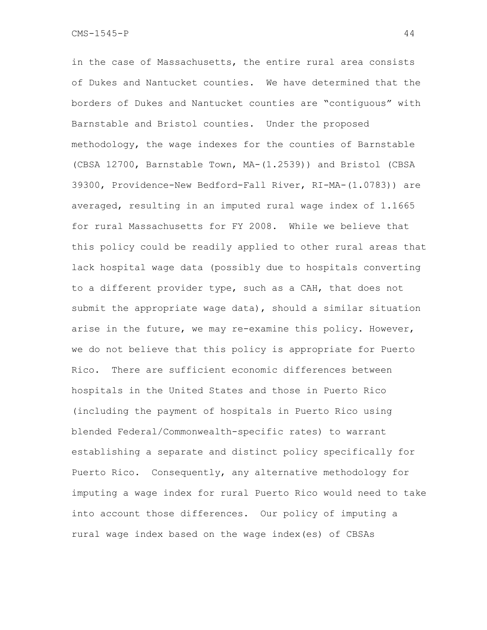in the case of Massachusetts, the entire rural area consists of Dukes and Nantucket counties. We have determined that the borders of Dukes and Nantucket counties are "contiguous" with Barnstable and Bristol counties. Under the proposed methodology, the wage indexes for the counties of Barnstable (CBSA 12700, Barnstable Town, MA-(1.2539)) and Bristol (CBSA 39300, Providence-New Bedford-Fall River, RI-MA-(1.0783)) are averaged, resulting in an imputed rural wage index of 1.1665 for rural Massachusetts for FY 2008. While we believe that this policy could be readily applied to other rural areas that lack hospital wage data (possibly due to hospitals converting to a different provider type, such as a CAH, that does not submit the appropriate wage data), should a similar situation arise in the future, we may re-examine this policy. However, we do not believe that this policy is appropriate for Puerto Rico. There are sufficient economic differences between hospitals in the United States and those in Puerto Rico (including the payment of hospitals in Puerto Rico using blended Federal/Commonwealth-specific rates) to warrant establishing a separate and distinct policy specifically for Puerto Rico. Consequently, any alternative methodology for imputing a wage index for rural Puerto Rico would need to take into account those differences. Our policy of imputing a rural wage index based on the wage index(es) of CBSAs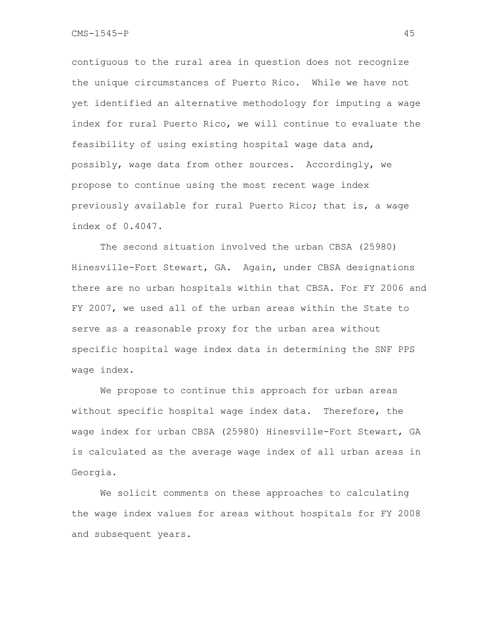contiguous to the rural area in question does not recognize the unique circumstances of Puerto Rico. While we have not yet identified an alternative methodology for imputing a wage index for rural Puerto Rico, we will continue to evaluate the feasibility of using existing hospital wage data and, possibly, wage data from other sources. Accordingly, we propose to continue using the most recent wage index previously available for rural Puerto Rico; that is, a wage index of 0.4047.

The second situation involved the urban CBSA (25980) Hinesville-Fort Stewart, GA. Again, under CBSA designations there are no urban hospitals within that CBSA. For FY 2006 and FY 2007, we used all of the urban areas within the State to serve as a reasonable proxy for the urban area without specific hospital wage index data in determining the SNF PPS wage index.

We propose to continue this approach for urban areas without specific hospital wage index data. Therefore, the wage index for urban CBSA (25980) Hinesville-Fort Stewart, GA is calculated as the average wage index of all urban areas in Georgia.

We solicit comments on these approaches to calculating the wage index values for areas without hospitals for FY 2008 and subsequent years.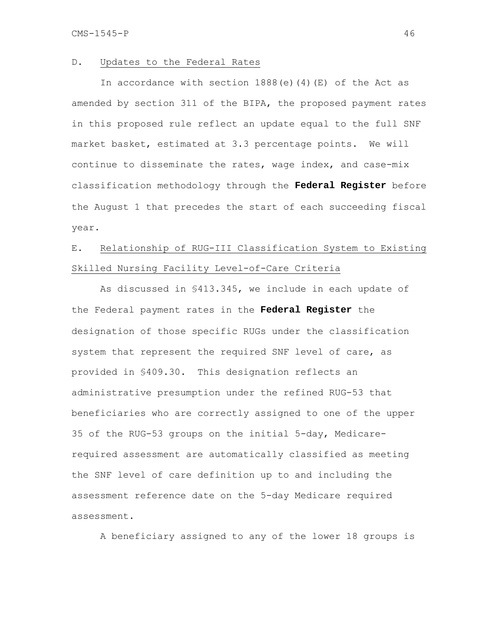#### D. Updates to the Federal Rates

In accordance with section  $1888(e)(4)(E)$  of the Act as amended by section 311 of the BIPA, the proposed payment rates in this proposed rule reflect an update equal to the full SNF market basket, estimated at 3.3 percentage points. We will continue to disseminate the rates, wage index, and case-mix classification methodology through the **Federal Register** before the August 1 that precedes the start of each succeeding fiscal year.

# E. Relationship of RUG-III Classification System to Existing Skilled Nursing Facility Level-of-Care Criteria

 As discussed in §413.345, we include in each update of the Federal payment rates in the **Federal Register** the designation of those specific RUGs under the classification system that represent the required SNF level of care, as provided in §409.30. This designation reflects an administrative presumption under the refined RUG-53 that beneficiaries who are correctly assigned to one of the upper 35 of the RUG-53 groups on the initial 5-day, Medicarerequired assessment are automatically classified as meeting the SNF level of care definition up to and including the assessment reference date on the 5-day Medicare required assessment.

A beneficiary assigned to any of the lower 18 groups is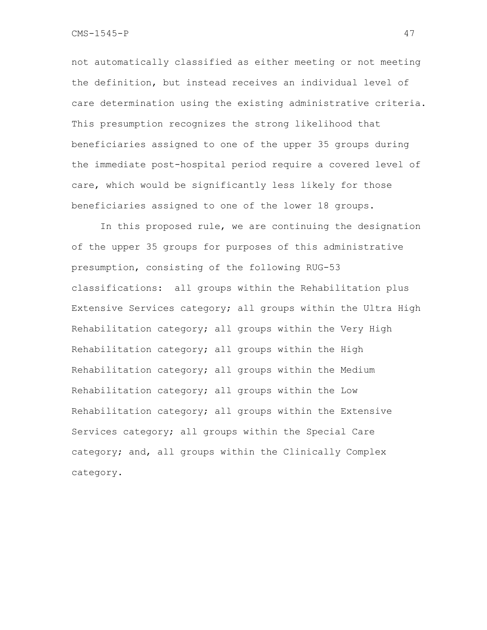not automatically classified as either meeting or not meeting the definition, but instead receives an individual level of care determination using the existing administrative criteria. This presumption recognizes the strong likelihood that beneficiaries assigned to one of the upper 35 groups during the immediate post-hospital period require a covered level of care, which would be significantly less likely for those beneficiaries assigned to one of the lower 18 groups.

In this proposed rule, we are continuing the designation of the upper 35 groups for purposes of this administrative presumption, consisting of the following RUG-53 classifications: all groups within the Rehabilitation plus Extensive Services category; all groups within the Ultra High Rehabilitation category; all groups within the Very High Rehabilitation category; all groups within the High Rehabilitation category; all groups within the Medium Rehabilitation category; all groups within the Low Rehabilitation category; all groups within the Extensive Services category; all groups within the Special Care category; and, all groups within the Clinically Complex category.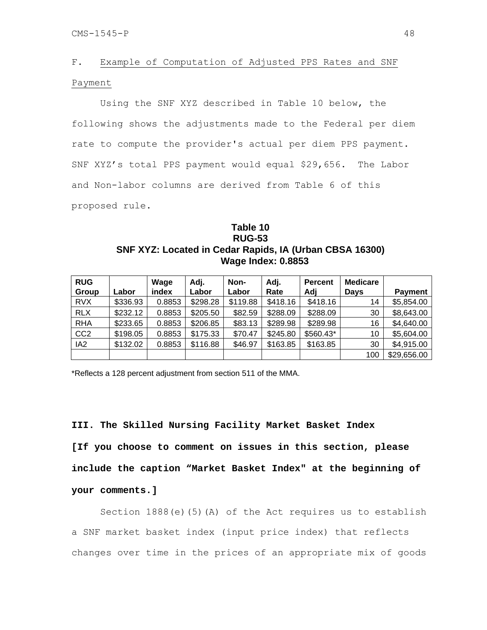## F. Example of Computation of Adjusted PPS Rates and SNF Payment

 Using the SNF XYZ described in Table 10 below, the following shows the adjustments made to the Federal per diem rate to compute the provider's actual per diem PPS payment. SNF XYZ's total PPS payment would equal \$29,656. The Labor and Non-labor columns are derived from Table 6 of this proposed rule.

### **Table 10 RUG-53 SNF XYZ: Located in Cedar Rapids, IA (Urban CBSA 16300) Wage Index: 0.8853**

| <b>RUG</b><br>Group | Labor    | Wage<br>index | Adj.<br>Labor | Non-<br>Labor | Adj.<br>Rate | <b>Percent</b><br>Adj | <b>Medicare</b><br><b>Days</b> | <b>Payment</b> |
|---------------------|----------|---------------|---------------|---------------|--------------|-----------------------|--------------------------------|----------------|
| <b>RVX</b>          | \$336.93 | 0.8853        | \$298.28      | \$119.88      | \$418.16     | \$418.16              | 14                             | \$5,854.00     |
| <b>RLX</b>          | \$232.12 | 0.8853        | \$205.50      | \$82.59       | \$288.09     | \$288.09              | 30                             | \$8,643.00     |
| <b>RHA</b>          | \$233.65 | 0.8853        | \$206.85      | \$83.13       | \$289.98     | \$289.98              | 16                             | \$4,640.00     |
| CC <sub>2</sub>     | \$198.05 | 0.8853        | \$175.33      | \$70.47       | \$245.80     | \$560.43*             | 10                             | \$5,604.00     |
| IA <sub>2</sub>     | \$132.02 | 0.8853        | \$116.88      | \$46.97       | \$163.85     | \$163.85              | 30                             | \$4,915.00     |
|                     |          |               |               |               |              |                       | 100                            | \$29,656.00    |

\*Reflects a 128 percent adjustment from section 511 of the MMA.

## **III. The Skilled Nursing Facility Market Basket Index**

**[If you choose to comment on issues in this section, please include the caption "Market Basket Index" at the beginning of your comments.]** 

Section 1888(e)(5)(A) of the Act requires us to establish a SNF market basket index (input price index) that reflects changes over time in the prices of an appropriate mix of goods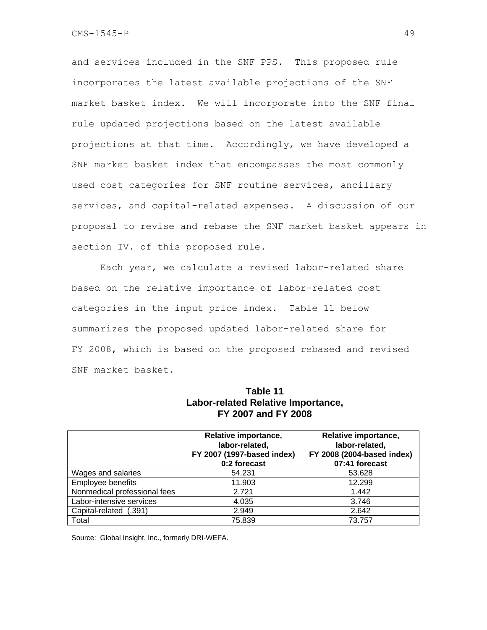and services included in the SNF PPS. This proposed rule incorporates the latest available projections of the SNF market basket index. We will incorporate into the SNF final rule updated projections based on the latest available projections at that time. Accordingly, we have developed a SNF market basket index that encompasses the most commonly used cost categories for SNF routine services, ancillary services, and capital-related expenses. A discussion of our proposal to revise and rebase the SNF market basket appears in section IV. of this proposed rule.

 Each year, we calculate a revised labor-related share based on the relative importance of labor-related cost categories in the input price index. Table 11 below summarizes the proposed updated labor-related share for FY 2008, which is based on the proposed rebased and revised SNF market basket.

### **Table 11 Labor-related Relative Importance, FY 2007 and FY 2008**

|                              | Relative importance,<br>labor-related,<br>FY 2007 (1997-based index)<br>0:2 forecast | Relative importance,<br>labor-related,<br>FY 2008 (2004-based index)<br>07:41 forecast |
|------------------------------|--------------------------------------------------------------------------------------|----------------------------------------------------------------------------------------|
| Wages and salaries           | 54.231                                                                               | 53.628                                                                                 |
| <b>Employee benefits</b>     | 11.903                                                                               | 12.299                                                                                 |
| Nonmedical professional fees | 2.721                                                                                | 1.442                                                                                  |
| Labor-intensive services     | 4.035                                                                                | 3.746                                                                                  |
| Capital-related (.391)       | 2.949                                                                                | 2.642                                                                                  |
| Total                        | 75.839                                                                               | 73.757                                                                                 |

Source: Global Insight, Inc., formerly DRI-WEFA.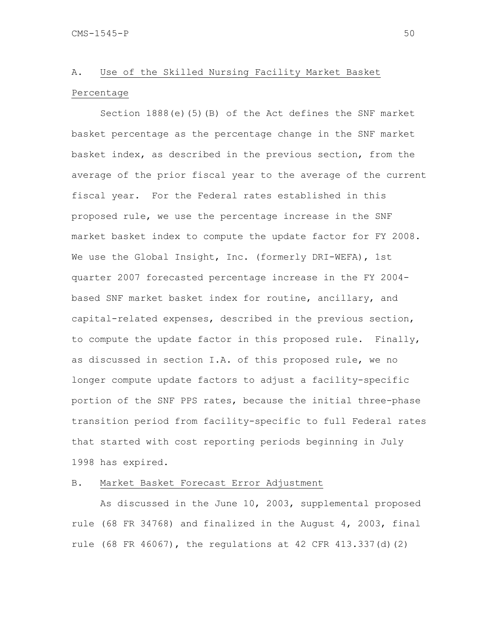## A. Use of the Skilled Nursing Facility Market Basket Percentage

 Section 1888(e)(5)(B) of the Act defines the SNF market basket percentage as the percentage change in the SNF market basket index, as described in the previous section, from the average of the prior fiscal year to the average of the current fiscal year. For the Federal rates established in this proposed rule, we use the percentage increase in the SNF market basket index to compute the update factor for FY 2008. We use the Global Insight, Inc. (formerly DRI-WEFA), 1st quarter 2007 forecasted percentage increase in the FY 2004 based SNF market basket index for routine, ancillary, and capital-related expenses, described in the previous section, to compute the update factor in this proposed rule. Finally, as discussed in section I.A. of this proposed rule, we no longer compute update factors to adjust a facility-specific portion of the SNF PPS rates, because the initial three-phase transition period from facility-specific to full Federal rates that started with cost reporting periods beginning in July 1998 has expired.

#### B. Market Basket Forecast Error Adjustment

As discussed in the June 10, 2003, supplemental proposed rule (68 FR 34768) and finalized in the August 4, 2003, final rule  $(68$  FR  $46067)$ , the regulations at  $42$  CFR  $413.337(d)(2)$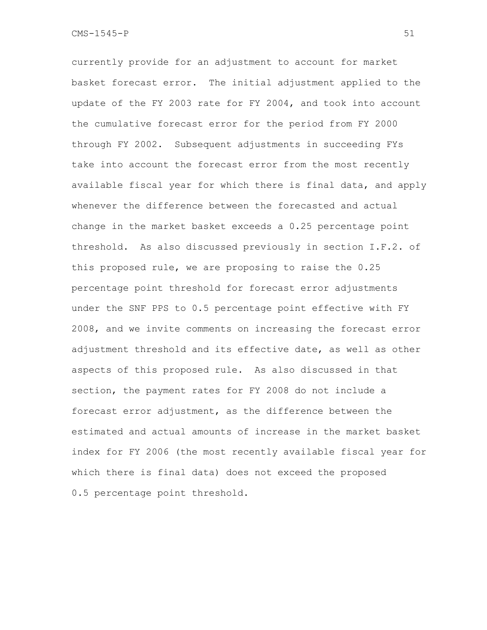currently provide for an adjustment to account for market basket forecast error. The initial adjustment applied to the update of the FY 2003 rate for FY 2004, and took into account the cumulative forecast error for the period from FY 2000 through FY 2002. Subsequent adjustments in succeeding FYs take into account the forecast error from the most recently available fiscal year for which there is final data, and apply whenever the difference between the forecasted and actual change in the market basket exceeds a 0.25 percentage point threshold. As also discussed previously in section I.F.2. of this proposed rule, we are proposing to raise the 0.25 percentage point threshold for forecast error adjustments under the SNF PPS to 0.5 percentage point effective with FY 2008, and we invite comments on increasing the forecast error adjustment threshold and its effective date, as well as other aspects of this proposed rule. As also discussed in that section, the payment rates for FY 2008 do not include a forecast error adjustment, as the difference between the estimated and actual amounts of increase in the market basket index for FY 2006 (the most recently available fiscal year for which there is final data) does not exceed the proposed 0.5 percentage point threshold.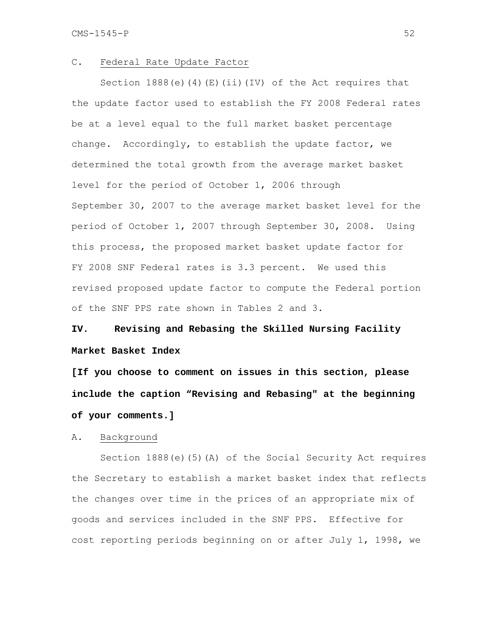#### C. Federal Rate Update Factor

 Section 1888(e)(4)(E)(ii)(IV) of the Act requires that the update factor used to establish the FY 2008 Federal rates be at a level equal to the full market basket percentage change. Accordingly, to establish the update factor, we determined the total growth from the average market basket level for the period of October 1, 2006 through September 30, 2007 to the average market basket level for the period of October 1, 2007 through September 30, 2008. Using this process, the proposed market basket update factor for FY 2008 SNF Federal rates is 3.3 percent. We used this revised proposed update factor to compute the Federal portion of the SNF PPS rate shown in Tables 2 and 3.

# **IV. Revising and Rebasing the Skilled Nursing Facility Market Basket Index**

**[If you choose to comment on issues in this section, please include the caption "Revising and Rebasing" at the beginning of your comments.]** 

#### A. Background

 Section 1888(e)(5)(A) of the Social Security Act requires the Secretary to establish a market basket index that reflects the changes over time in the prices of an appropriate mix of goods and services included in the SNF PPS. Effective for cost reporting periods beginning on or after July 1, 1998, we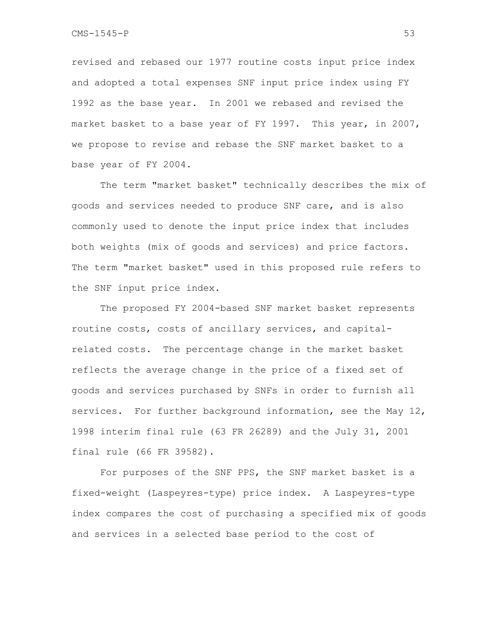revised and rebased our 1977 routine costs input price index and adopted a total expenses SNF input price index using FY 1992 as the base year. In 2001 we rebased and revised the market basket to a base year of FY 1997. This year, in 2007, we propose to revise and rebase the SNF market basket to a base year of FY 2004.

 The term "market basket" technically describes the mix of goods and services needed to produce SNF care, and is also commonly used to denote the input price index that includes both weights (mix of goods and services) and price factors. The term "market basket" used in this proposed rule refers to the SNF input price index.

 The proposed FY 2004-based SNF market basket represents routine costs, costs of ancillary services, and capitalrelated costs. The percentage change in the market basket reflects the average change in the price of a fixed set of goods and services purchased by SNFs in order to furnish all services. For further background information, see the May 12, 1998 interim final rule (63 FR 26289) and the July 31, 2001 final rule (66 FR 39582).

 For purposes of the SNF PPS, the SNF market basket is a fixed-weight (Laspeyres-type) price index. A Laspeyres-type index compares the cost of purchasing a specified mix of goods and services in a selected base period to the cost of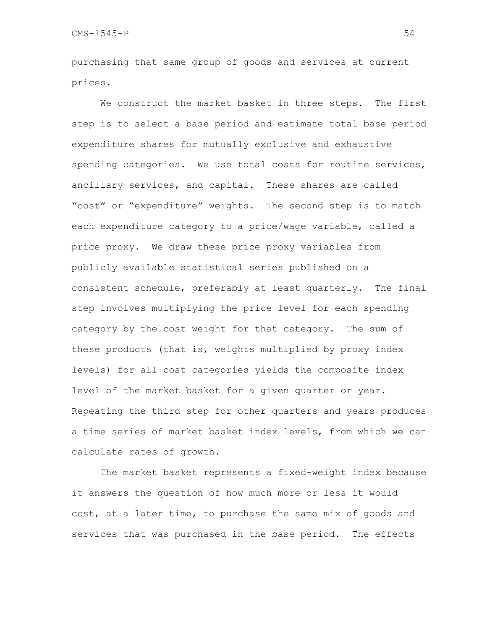purchasing that same group of goods and services at current prices.

We construct the market basket in three steps. The first step is to select a base period and estimate total base period expenditure shares for mutually exclusive and exhaustive spending categories. We use total costs for routine services, ancillary services, and capital. These shares are called "cost" or "expenditure" weights. The second step is to match each expenditure category to a price/wage variable, called a price proxy. We draw these price proxy variables from publicly available statistical series published on a consistent schedule, preferably at least quarterly. The final step involves multiplying the price level for each spending category by the cost weight for that category. The sum of these products (that is, weights multiplied by proxy index levels) for all cost categories yields the composite index level of the market basket for a given quarter or year. Repeating the third step for other quarters and years produces a time series of market basket index levels, from which we can calculate rates of growth.

 The market basket represents a fixed-weight index because it answers the question of how much more or less it would cost, at a later time, to purchase the same mix of goods and services that was purchased in the base period. The effects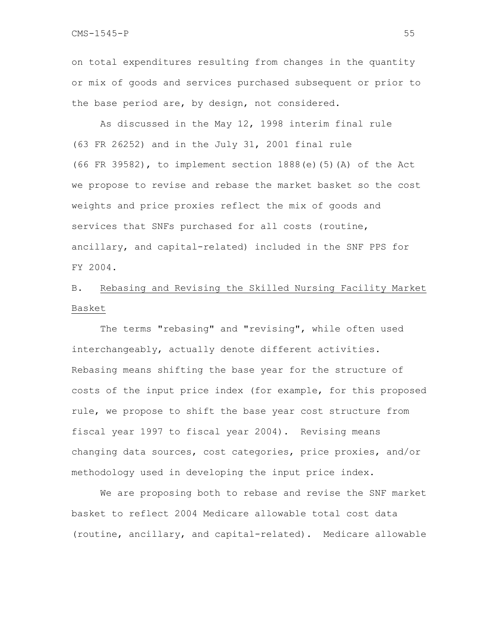on total expenditures resulting from changes in the quantity or mix of goods and services purchased subsequent or prior to the base period are, by design, not considered.

 As discussed in the May 12, 1998 interim final rule (63 FR 26252) and in the July 31, 2001 final rule (66 FR 39582), to implement section  $1888(e)$  (5)(A) of the Act we propose to revise and rebase the market basket so the cost weights and price proxies reflect the mix of goods and services that SNFs purchased for all costs (routine, ancillary, and capital-related) included in the SNF PPS for FY 2004.

# B. Rebasing and Revising the Skilled Nursing Facility Market Basket

The terms "rebasing" and "revising", while often used interchangeably, actually denote different activities. Rebasing means shifting the base year for the structure of costs of the input price index (for example, for this proposed rule, we propose to shift the base year cost structure from fiscal year 1997 to fiscal year 2004). Revising means changing data sources, cost categories, price proxies, and/or methodology used in developing the input price index.

We are proposing both to rebase and revise the SNF market basket to reflect 2004 Medicare allowable total cost data (routine, ancillary, and capital-related). Medicare allowable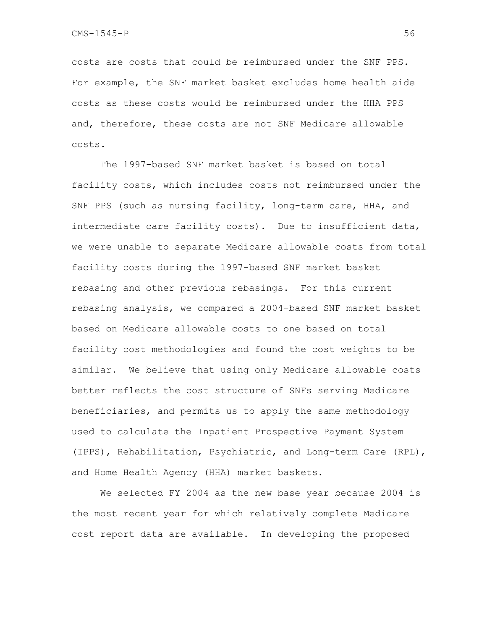costs are costs that could be reimbursed under the SNF PPS. For example, the SNF market basket excludes home health aide costs as these costs would be reimbursed under the HHA PPS and, therefore, these costs are not SNF Medicare allowable costs.

The 1997-based SNF market basket is based on total facility costs, which includes costs not reimbursed under the SNF PPS (such as nursing facility, long-term care, HHA, and intermediate care facility costs). Due to insufficient data, we were unable to separate Medicare allowable costs from total facility costs during the 1997-based SNF market basket rebasing and other previous rebasings. For this current rebasing analysis, we compared a 2004-based SNF market basket based on Medicare allowable costs to one based on total facility cost methodologies and found the cost weights to be similar. We believe that using only Medicare allowable costs better reflects the cost structure of SNFs serving Medicare beneficiaries, and permits us to apply the same methodology used to calculate the Inpatient Prospective Payment System (IPPS), Rehabilitation, Psychiatric, and Long-term Care (RPL), and Home Health Agency (HHA) market baskets.

We selected FY 2004 as the new base year because 2004 is the most recent year for which relatively complete Medicare cost report data are available. In developing the proposed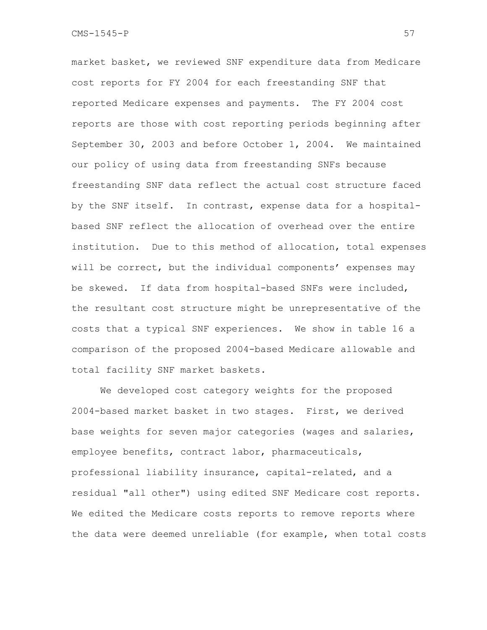market basket, we reviewed SNF expenditure data from Medicare cost reports for FY 2004 for each freestanding SNF that reported Medicare expenses and payments. The FY 2004 cost reports are those with cost reporting periods beginning after September 30, 2003 and before October 1, 2004. We maintained our policy of using data from freestanding SNFs because freestanding SNF data reflect the actual cost structure faced by the SNF itself. In contrast, expense data for a hospitalbased SNF reflect the allocation of overhead over the entire institution. Due to this method of allocation, total expenses will be correct, but the individual components' expenses may be skewed. If data from hospital-based SNFs were included, the resultant cost structure might be unrepresentative of the costs that a typical SNF experiences. We show in table 16 a comparison of the proposed 2004-based Medicare allowable and total facility SNF market baskets.

 We developed cost category weights for the proposed 2004-based market basket in two stages. First, we derived base weights for seven major categories (wages and salaries, employee benefits, contract labor, pharmaceuticals, professional liability insurance, capital-related, and a residual "all other") using edited SNF Medicare cost reports. We edited the Medicare costs reports to remove reports where the data were deemed unreliable (for example, when total costs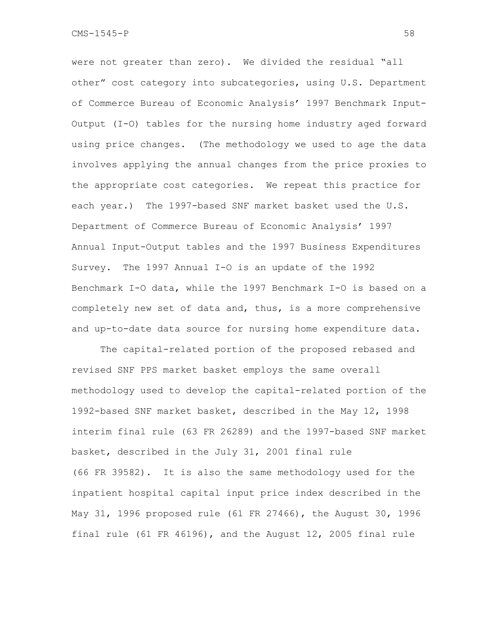were not greater than zero). We divided the residual "all other" cost category into subcategories, using U.S. Department of Commerce Bureau of Economic Analysis' 1997 Benchmark Input-Output (I-O) tables for the nursing home industry aged forward using price changes. (The methodology we used to age the data involves applying the annual changes from the price proxies to the appropriate cost categories. We repeat this practice for each year.) The 1997-based SNF market basket used the U.S. Department of Commerce Bureau of Economic Analysis' 1997 Annual Input-Output tables and the 1997 Business Expenditures Survey. The 1997 Annual I-O is an update of the 1992 Benchmark I-O data, while the 1997 Benchmark I-O is based on a completely new set of data and, thus, is a more comprehensive and up-to-date data source for nursing home expenditure data.

 The capital-related portion of the proposed rebased and revised SNF PPS market basket employs the same overall methodology used to develop the capital-related portion of the 1992-based SNF market basket, described in the May 12, 1998 interim final rule (63 FR 26289) and the 1997-based SNF market basket, described in the July 31, 2001 final rule (66 FR 39582). It is also the same methodology used for the inpatient hospital capital input price index described in the May 31, 1996 proposed rule (61 FR 27466), the August 30, 1996 final rule (61 FR 46196), and the August 12, 2005 final rule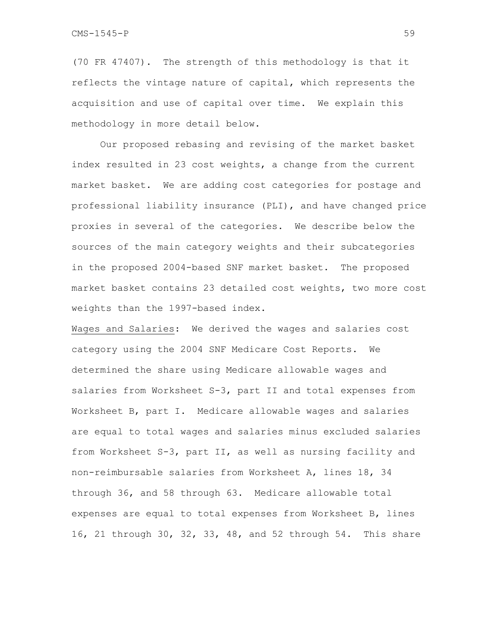(70 FR 47407). The strength of this methodology is that it reflects the vintage nature of capital, which represents the acquisition and use of capital over time. We explain this methodology in more detail below.

 Our proposed rebasing and revising of the market basket index resulted in 23 cost weights, a change from the current market basket. We are adding cost categories for postage and professional liability insurance (PLI), and have changed price proxies in several of the categories. We describe below the sources of the main category weights and their subcategories in the proposed 2004-based SNF market basket. The proposed market basket contains 23 detailed cost weights, two more cost weights than the 1997-based index.

Wages and Salaries: We derived the wages and salaries cost category using the 2004 SNF Medicare Cost Reports. We determined the share using Medicare allowable wages and salaries from Worksheet S-3, part II and total expenses from Worksheet B, part I. Medicare allowable wages and salaries are equal to total wages and salaries minus excluded salaries from Worksheet S-3, part II, as well as nursing facility and non-reimbursable salaries from Worksheet A, lines 18, 34 through 36, and 58 through 63. Medicare allowable total expenses are equal to total expenses from Worksheet B, lines 16, 21 through 30, 32, 33, 48, and 52 through 54. This share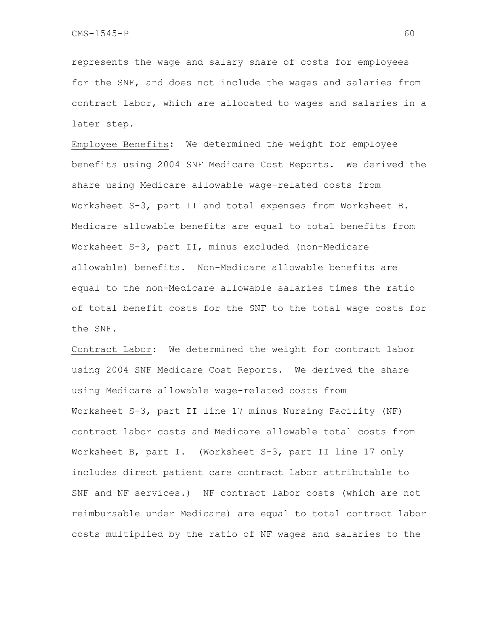represents the wage and salary share of costs for employees for the SNF, and does not include the wages and salaries from contract labor, which are allocated to wages and salaries in a later step.

Employee Benefits: We determined the weight for employee benefits using 2004 SNF Medicare Cost Reports. We derived the share using Medicare allowable wage-related costs from Worksheet S-3, part II and total expenses from Worksheet B. Medicare allowable benefits are equal to total benefits from Worksheet S-3, part II, minus excluded (non-Medicare allowable) benefits. Non-Medicare allowable benefits are equal to the non-Medicare allowable salaries times the ratio of total benefit costs for the SNF to the total wage costs for the SNF.

Contract Labor: We determined the weight for contract labor using 2004 SNF Medicare Cost Reports. We derived the share using Medicare allowable wage-related costs from Worksheet S-3, part II line 17 minus Nursing Facility (NF) contract labor costs and Medicare allowable total costs from Worksheet B, part I. (Worksheet S-3, part II line 17 only includes direct patient care contract labor attributable to SNF and NF services.) NF contract labor costs (which are not reimbursable under Medicare) are equal to total contract labor costs multiplied by the ratio of NF wages and salaries to the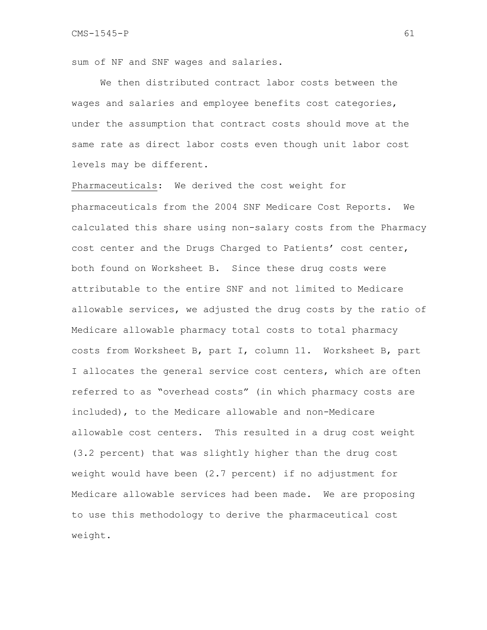sum of NF and SNF wages and salaries.

We then distributed contract labor costs between the wages and salaries and employee benefits cost categories, under the assumption that contract costs should move at the same rate as direct labor costs even though unit labor cost levels may be different.

Pharmaceuticals:We derived the cost weight for pharmaceuticals from the 2004 SNF Medicare Cost Reports. We calculated this share using non-salary costs from the Pharmacy cost center and the Drugs Charged to Patients' cost center, both found on Worksheet B. Since these drug costs were attributable to the entire SNF and not limited to Medicare allowable services, we adjusted the drug costs by the ratio of Medicare allowable pharmacy total costs to total pharmacy costs from Worksheet B, part I, column 11. Worksheet B, part I allocates the general service cost centers, which are often referred to as "overhead costs" (in which pharmacy costs are included), to the Medicare allowable and non-Medicare allowable cost centers. This resulted in a drug cost weight (3.2 percent) that was slightly higher than the drug cost weight would have been (2.7 percent) if no adjustment for Medicare allowable services had been made. We are proposing to use this methodology to derive the pharmaceutical cost weight.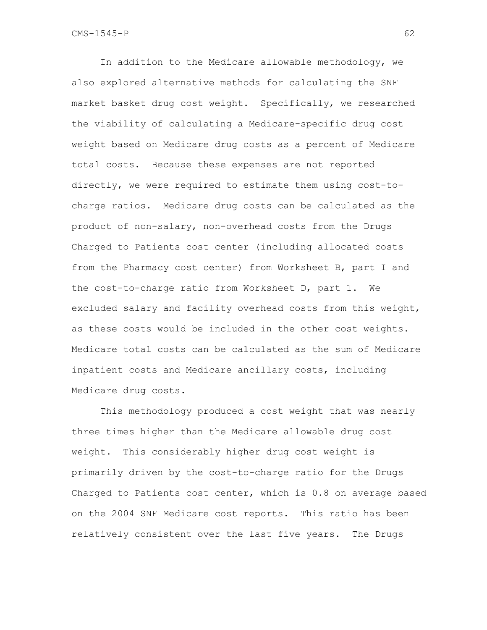In addition to the Medicare allowable methodology, we also explored alternative methods for calculating the SNF market basket drug cost weight. Specifically, we researched the viability of calculating a Medicare-specific drug cost weight based on Medicare drug costs as a percent of Medicare total costs. Because these expenses are not reported directly, we were required to estimate them using cost-tocharge ratios. Medicare drug costs can be calculated as the product of non-salary, non-overhead costs from the Drugs Charged to Patients cost center (including allocated costs from the Pharmacy cost center) from Worksheet B, part I and the cost-to-charge ratio from Worksheet D, part 1. We excluded salary and facility overhead costs from this weight, as these costs would be included in the other cost weights. Medicare total costs can be calculated as the sum of Medicare inpatient costs and Medicare ancillary costs, including Medicare drug costs.

This methodology produced a cost weight that was nearly three times higher than the Medicare allowable drug cost weight. This considerably higher drug cost weight is primarily driven by the cost-to-charge ratio for the Drugs Charged to Patients cost center, which is 0.8 on average based on the 2004 SNF Medicare cost reports. This ratio has been relatively consistent over the last five years. The Drugs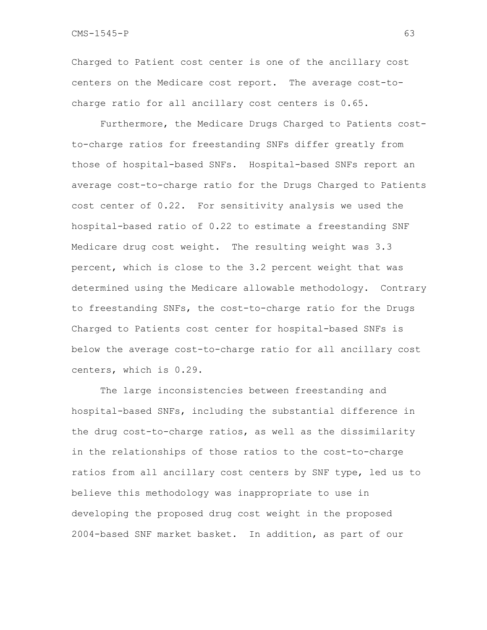$\text{CMS}-1545-\text{P}$  63

Charged to Patient cost center is one of the ancillary cost centers on the Medicare cost report. The average cost-tocharge ratio for all ancillary cost centers is 0.65.

Furthermore, the Medicare Drugs Charged to Patients costto-charge ratios for freestanding SNFs differ greatly from those of hospital-based SNFs. Hospital-based SNFs report an average cost-to-charge ratio for the Drugs Charged to Patients cost center of 0.22. For sensitivity analysis we used the hospital-based ratio of 0.22 to estimate a freestanding SNF Medicare drug cost weight. The resulting weight was 3.3 percent, which is close to the 3.2 percent weight that was determined using the Medicare allowable methodology. Contrary to freestanding SNFs, the cost-to-charge ratio for the Drugs Charged to Patients cost center for hospital-based SNFs is below the average cost-to-charge ratio for all ancillary cost centers, which is 0.29.

The large inconsistencies between freestanding and hospital-based SNFs, including the substantial difference in the drug cost-to-charge ratios, as well as the dissimilarity in the relationships of those ratios to the cost-to-charge ratios from all ancillary cost centers by SNF type, led us to believe this methodology was inappropriate to use in developing the proposed drug cost weight in the proposed 2004-based SNF market basket. In addition, as part of our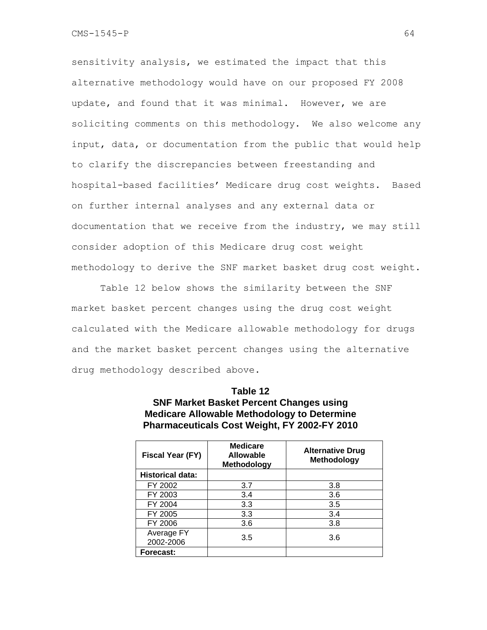sensitivity analysis, we estimated the impact that this alternative methodology would have on our proposed FY 2008 update, and found that it was minimal. However, we are soliciting comments on this methodology. We also welcome any input, data, or documentation from the public that would help to clarify the discrepancies between freestanding and hospital-based facilities' Medicare drug cost weights. Based on further internal analyses and any external data or documentation that we receive from the industry, we may still consider adoption of this Medicare drug cost weight methodology to derive the SNF market basket drug cost weight.

Table 12 below shows the similarity between the SNF market basket percent changes using the drug cost weight calculated with the Medicare allowable methodology for drugs and the market basket percent changes using the alternative drug methodology described above.

| Table 12                                            |
|-----------------------------------------------------|
| <b>SNF Market Basket Percent Changes using</b>      |
| <b>Medicare Allowable Methodology to Determine</b>  |
| <b>Pharmaceuticals Cost Weight, FY 2002-FY 2010</b> |

| Fiscal Year (FY)        | <b>Medicare</b><br><b>Allowable</b><br><b>Methodology</b> | <b>Alternative Drug</b><br>Methodology |
|-------------------------|-----------------------------------------------------------|----------------------------------------|
| <b>Historical data:</b> |                                                           |                                        |
| FY 2002                 | 3.7                                                       | 3.8                                    |
| FY 2003                 | 3.4                                                       | 3.6                                    |
| FY 2004                 | 3.3                                                       | 3.5                                    |
| FY 2005                 | 3.3                                                       | 3.4                                    |
| FY 2006                 | 3.6                                                       | 3.8                                    |
| Average FY<br>2002-2006 | 3.5                                                       | 3.6                                    |
| Forecast:               |                                                           |                                        |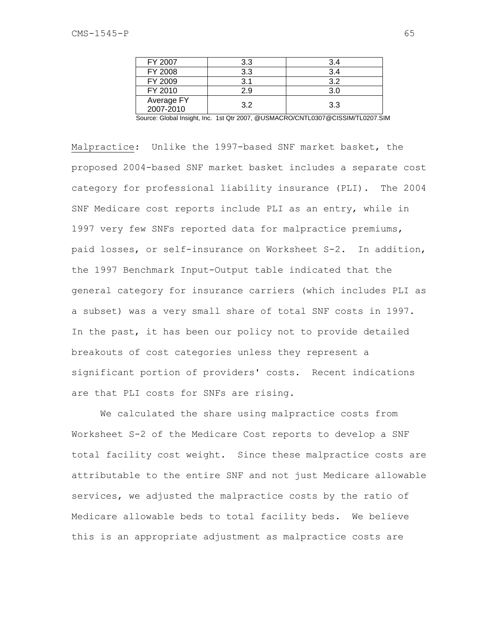| FY 2007                 | 3.3 | 3.4 |
|-------------------------|-----|-----|
| FY 2008                 | 3.3 | 3.4 |
| FY 2009                 | R 1 | 3.2 |
| FY 2010                 | 2.9 | 3.0 |
| Average FY<br>2007-2010 | 3.2 | 3.3 |

Source: Global Insight, Inc. 1st Qtr 2007, @USMACRO/CNTL0307@CISSIM/TL0207.SIM

Malpractice: Unlike the 1997-based SNF market basket, the proposed 2004-based SNF market basket includes a separate cost category for professional liability insurance (PLI). The 2004 SNF Medicare cost reports include PLI as an entry, while in 1997 very few SNFs reported data for malpractice premiums, paid losses, or self-insurance on Worksheet S-2. In addition, the 1997 Benchmark Input-Output table indicated that the general category for insurance carriers (which includes PLI as a subset) was a very small share of total SNF costs in 1997. In the past, it has been our policy not to provide detailed breakouts of cost categories unless they represent a significant portion of providers' costs. Recent indications are that PLI costs for SNFs are rising.

We calculated the share using malpractice costs from Worksheet S-2 of the Medicare Cost reports to develop a SNF total facility cost weight. Since these malpractice costs are attributable to the entire SNF and not just Medicare allowable services, we adjusted the malpractice costs by the ratio of Medicare allowable beds to total facility beds. We believe this is an appropriate adjustment as malpractice costs are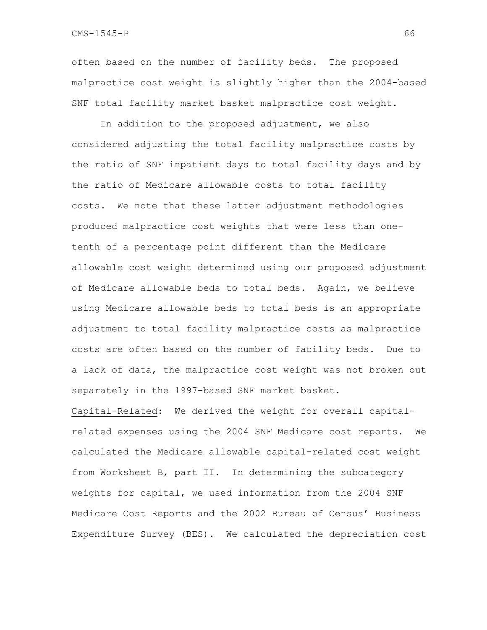CMS-1545-P 66

often based on the number of facility beds. The proposed malpractice cost weight is slightly higher than the 2004-based SNF total facility market basket malpractice cost weight.

In addition to the proposed adjustment, we also considered adjusting the total facility malpractice costs by the ratio of SNF inpatient days to total facility days and by the ratio of Medicare allowable costs to total facility costs. We note that these latter adjustment methodologies produced malpractice cost weights that were less than onetenth of a percentage point different than the Medicare allowable cost weight determined using our proposed adjustment of Medicare allowable beds to total beds. Again, we believe using Medicare allowable beds to total beds is an appropriate adjustment to total facility malpractice costs as malpractice costs are often based on the number of facility beds. Due to a lack of data, the malpractice cost weight was not broken out separately in the 1997-based SNF market basket.

Capital-Related: We derived the weight for overall capitalrelated expenses using the 2004 SNF Medicare cost reports. We calculated the Medicare allowable capital-related cost weight from Worksheet B, part II. In determining the subcategory weights for capital, we used information from the 2004 SNF Medicare Cost Reports and the 2002 Bureau of Census' Business Expenditure Survey (BES). We calculated the depreciation cost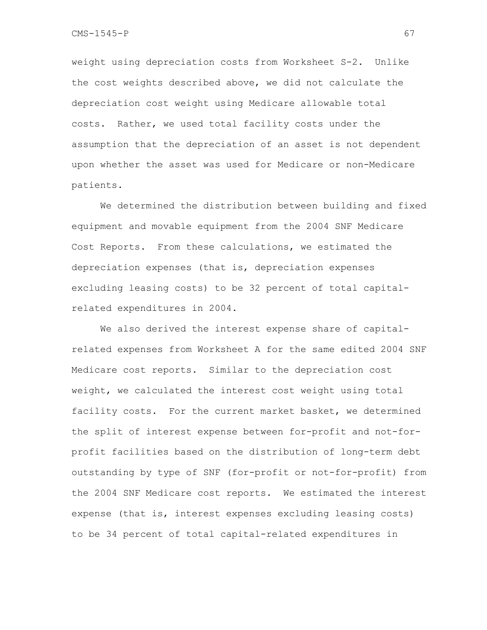weight using depreciation costs from Worksheet S-2. Unlike the cost weights described above, we did not calculate the depreciation cost weight using Medicare allowable total costs. Rather, we used total facility costs under the assumption that the depreciation of an asset is not dependent upon whether the asset was used for Medicare or non-Medicare patients.

We determined the distribution between building and fixed equipment and movable equipment from the 2004 SNF Medicare Cost Reports. From these calculations, we estimated the depreciation expenses (that is, depreciation expenses excluding leasing costs) to be 32 percent of total capitalrelated expenditures in 2004.

We also derived the interest expense share of capitalrelated expenses from Worksheet A for the same edited 2004 SNF Medicare cost reports. Similar to the depreciation cost weight, we calculated the interest cost weight using total facility costs. For the current market basket, we determined the split of interest expense between for-profit and not-forprofit facilities based on the distribution of long-term debt outstanding by type of SNF (for-profit or not-for-profit) from the 2004 SNF Medicare cost reports. We estimated the interest expense (that is, interest expenses excluding leasing costs) to be 34 percent of total capital-related expenditures in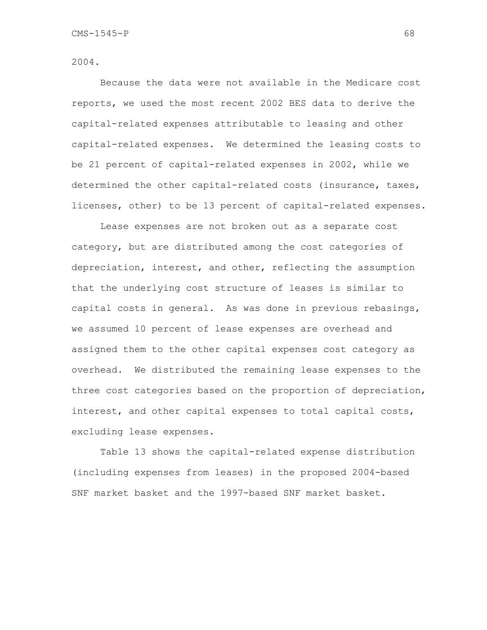2004.

Because the data were not available in the Medicare cost reports, we used the most recent 2002 BES data to derive the capital-related expenses attributable to leasing and other capital-related expenses. We determined the leasing costs to be 21 percent of capital-related expenses in 2002, while we determined the other capital-related costs (insurance, taxes, licenses, other) to be 13 percent of capital-related expenses.

Lease expenses are not broken out as a separate cost category, but are distributed among the cost categories of depreciation, interest, and other, reflecting the assumption that the underlying cost structure of leases is similar to capital costs in general. As was done in previous rebasings, we assumed 10 percent of lease expenses are overhead and assigned them to the other capital expenses cost category as overhead. We distributed the remaining lease expenses to the three cost categories based on the proportion of depreciation, interest, and other capital expenses to total capital costs, excluding lease expenses.

Table 13 shows the capital-related expense distribution (including expenses from leases) in the proposed 2004-based SNF market basket and the 1997-based SNF market basket.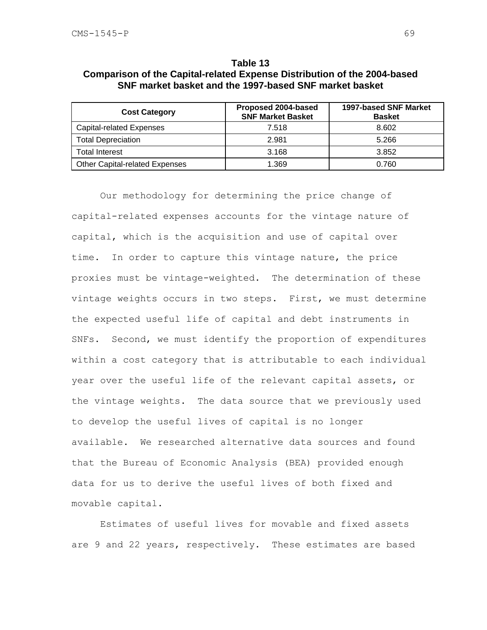| Table 13                                                                        |
|---------------------------------------------------------------------------------|
| <b>Comparison of the Capital-related Expense Distribution of the 2004-based</b> |
| SNF market basket and the 1997-based SNF market basket                          |

| <b>Cost Category</b>                  | Proposed 2004-based<br><b>SNF Market Basket</b> | <b>1997-based SNF Market</b><br><b>Basket</b> |
|---------------------------------------|-------------------------------------------------|-----------------------------------------------|
| <b>Capital-related Expenses</b>       | 7.518                                           | 8.602                                         |
| <b>Total Depreciation</b>             | 2.981                                           | 5.266                                         |
| <b>Total Interest</b>                 | 3.168                                           | 3.852                                         |
| <b>Other Capital-related Expenses</b> | 1.369                                           | 0.760                                         |

 Our methodology for determining the price change of capital-related expenses accounts for the vintage nature of capital, which is the acquisition and use of capital over time. In order to capture this vintage nature, the price proxies must be vintage-weighted. The determination of these vintage weights occurs in two steps. First, we must determine the expected useful life of capital and debt instruments in SNFs. Second, we must identify the proportion of expenditures within a cost category that is attributable to each individual year over the useful life of the relevant capital assets, or the vintage weights. The data source that we previously used to develop the useful lives of capital is no longer available. We researched alternative data sources and found that the Bureau of Economic Analysis (BEA) provided enough data for us to derive the useful lives of both fixed and movable capital.

Estimates of useful lives for movable and fixed assets are 9 and 22 years, respectively. These estimates are based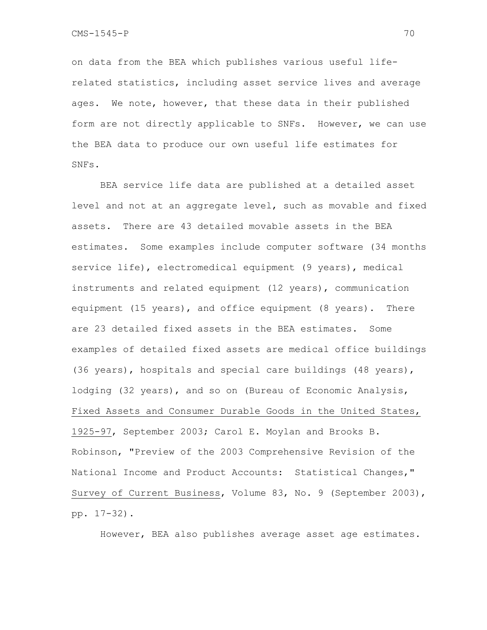on data from the BEA which publishes various useful liferelated statistics, including asset service lives and average ages. We note, however, that these data in their published form are not directly applicable to SNFs. However, we can use the BEA data to produce our own useful life estimates for SNFs.

 BEA service life data are published at a detailed asset level and not at an aggregate level, such as movable and fixed assets. There are 43 detailed movable assets in the BEA estimates. Some examples include computer software (34 months service life), electromedical equipment (9 years), medical instruments and related equipment (12 years), communication equipment (15 years), and office equipment (8 years). There are 23 detailed fixed assets in the BEA estimates. Some examples of detailed fixed assets are medical office buildings (36 years), hospitals and special care buildings (48 years), lodging (32 years), and so on (Bureau of Economic Analysis, Fixed Assets and Consumer Durable Goods in the United States, 1925-97, September 2003; Carol E. Moylan and Brooks B. Robinson, "Preview of the 2003 Comprehensive Revision of the National Income and Product Accounts: Statistical Changes," Survey of Current Business, Volume 83, No. 9 (September 2003), pp. 17-32).

However, BEA also publishes average asset age estimates.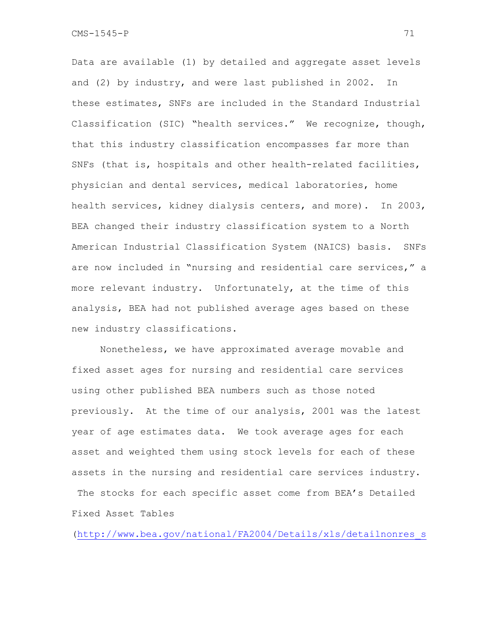Data are available (1) by detailed and aggregate asset levels and (2) by industry, and were last published in 2002. In these estimates, SNFs are included in the Standard Industrial Classification (SIC) "health services." We recognize, though, that this industry classification encompasses far more than SNFs (that is, hospitals and other health-related facilities, physician and dental services, medical laboratories, home health services, kidney dialysis centers, and more). In 2003, BEA changed their industry classification system to a North American Industrial Classification System (NAICS) basis. SNFs are now included in "nursing and residential care services," a more relevant industry. Unfortunately, at the time of this analysis, BEA had not published average ages based on these new industry classifications.

 Nonetheless, we have approximated average movable and fixed asset ages for nursing and residential care services using other published BEA numbers such as those noted previously. At the time of our analysis, 2001 was the latest year of age estimates data. We took average ages for each asset and weighted them using stock levels for each of these assets in the nursing and residential care services industry. The stocks for each specific asset come from BEA's Detailed Fixed Asset Tables

(http://www.bea.gov/national/FA2004/Details/xls/detailnonres\_s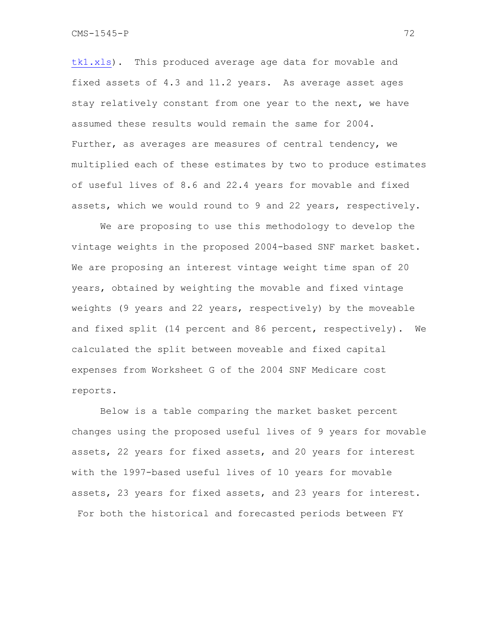tk1.xls). This produced average age data for movable and fixed assets of 4.3 and 11.2 years. As average asset ages stay relatively constant from one year to the next, we have assumed these results would remain the same for 2004. Further, as averages are measures of central tendency, we multiplied each of these estimates by two to produce estimates of useful lives of 8.6 and 22.4 years for movable and fixed assets, which we would round to 9 and 22 years, respectively.

We are proposing to use this methodology to develop the vintage weights in the proposed 2004-based SNF market basket. We are proposing an interest vintage weight time span of 20 years, obtained by weighting the movable and fixed vintage weights (9 years and 22 years, respectively) by the moveable and fixed split (14 percent and 86 percent, respectively). We calculated the split between moveable and fixed capital expenses from Worksheet G of the 2004 SNF Medicare cost reports.

Below is a table comparing the market basket percent changes using the proposed useful lives of 9 years for movable assets, 22 years for fixed assets, and 20 years for interest with the 1997-based useful lives of 10 years for movable assets, 23 years for fixed assets, and 23 years for interest. For both the historical and forecasted periods between FY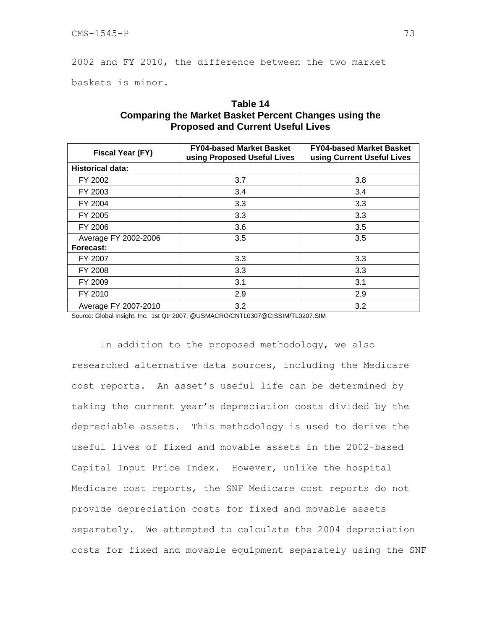2002 and FY 2010, the difference between the two market

baskets is minor.

| Fiscal Year (FY)        | <b>FY04-based Market Basket</b><br>using Proposed Useful Lives | <b>FY04-based Market Basket</b><br>using Current Useful Lives |
|-------------------------|----------------------------------------------------------------|---------------------------------------------------------------|
| <b>Historical data:</b> |                                                                |                                                               |
| FY 2002                 | 3.7                                                            | 3.8                                                           |
| FY 2003                 | 3.4                                                            | 3.4                                                           |
| FY 2004                 | 3.3                                                            | 3.3                                                           |
| FY 2005                 | 3.3                                                            | 3.3                                                           |
| FY 2006                 | 3.6                                                            | 3.5                                                           |
| Average FY 2002-2006    | 3.5                                                            | 3.5                                                           |
| Forecast:               |                                                                |                                                               |
| FY 2007                 | 3.3                                                            | 3.3                                                           |
| FY 2008                 | 3.3                                                            | 3.3                                                           |
| FY 2009                 | 3.1                                                            | 3.1                                                           |
| FY 2010                 | 2.9                                                            | 2.9                                                           |
| Average FY 2007-2010    | 3.2                                                            | 3.2                                                           |

# **Table 14 Comparing the Market Basket Percent Changes using the Proposed and Current Useful Lives**

Source: Global Insight, Inc. 1st Qtr 2007, @USMACRO/CNTL0307@CISSIM/TL0207.SIM

In addition to the proposed methodology, we also researched alternative data sources, including the Medicare cost reports. An asset's useful life can be determined by taking the current year's depreciation costs divided by the depreciable assets. This methodology is used to derive the useful lives of fixed and movable assets in the 2002-based Capital Input Price Index. However, unlike the hospital Medicare cost reports, the SNF Medicare cost reports do not provide depreciation costs for fixed and movable assets separately. We attempted to calculate the 2004 depreciation costs for fixed and movable equipment separately using the SNF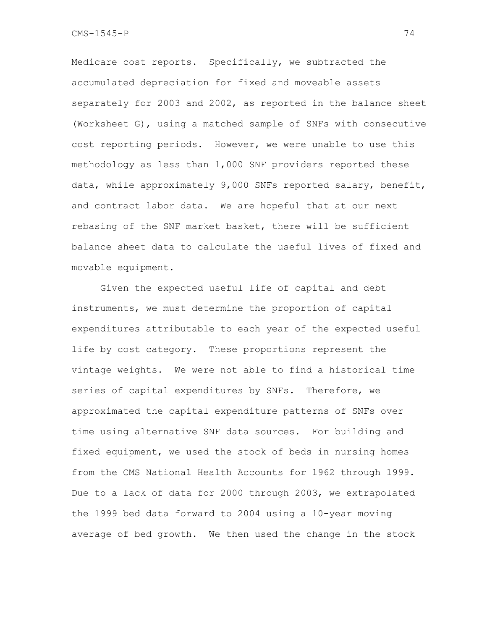Medicare cost reports. Specifically, we subtracted the accumulated depreciation for fixed and moveable assets separately for 2003 and 2002, as reported in the balance sheet (Worksheet G), using a matched sample of SNFs with consecutive cost reporting periods. However, we were unable to use this methodology as less than 1,000 SNF providers reported these data, while approximately 9,000 SNFs reported salary, benefit, and contract labor data. We are hopeful that at our next rebasing of the SNF market basket, there will be sufficient balance sheet data to calculate the useful lives of fixed and movable equipment.

 Given the expected useful life of capital and debt instruments, we must determine the proportion of capital expenditures attributable to each year of the expected useful life by cost category. These proportions represent the vintage weights. We were not able to find a historical time series of capital expenditures by SNFs. Therefore, we approximated the capital expenditure patterns of SNFs over time using alternative SNF data sources. For building and fixed equipment, we used the stock of beds in nursing homes from the CMS National Health Accounts for 1962 through 1999. Due to a lack of data for 2000 through 2003, we extrapolated the 1999 bed data forward to 2004 using a 10-year moving average of bed growth. We then used the change in the stock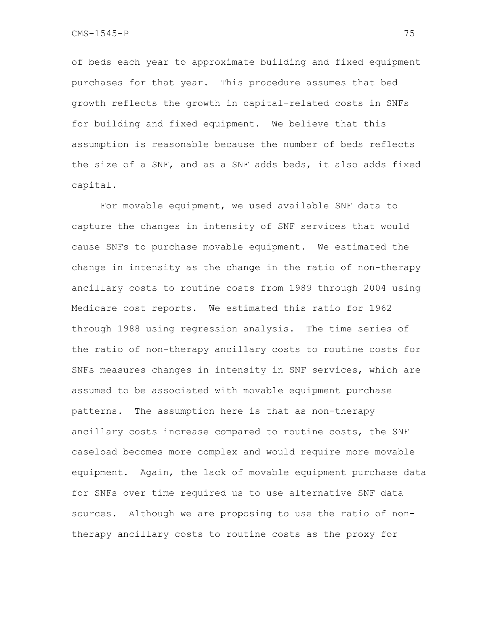of beds each year to approximate building and fixed equipment purchases for that year. This procedure assumes that bed growth reflects the growth in capital-related costs in SNFs for building and fixed equipment. We believe that this assumption is reasonable because the number of beds reflects the size of a SNF, and as a SNF adds beds, it also adds fixed capital.

 For movable equipment, we used available SNF data to capture the changes in intensity of SNF services that would cause SNFs to purchase movable equipment. We estimated the change in intensity as the change in the ratio of non-therapy ancillary costs to routine costs from 1989 through 2004 using Medicare cost reports. We estimated this ratio for 1962 through 1988 using regression analysis. The time series of the ratio of non-therapy ancillary costs to routine costs for SNFs measures changes in intensity in SNF services, which are assumed to be associated with movable equipment purchase patterns. The assumption here is that as non-therapy ancillary costs increase compared to routine costs, the SNF caseload becomes more complex and would require more movable equipment. Again, the lack of movable equipment purchase data for SNFs over time required us to use alternative SNF data sources. Although we are proposing to use the ratio of nontherapy ancillary costs to routine costs as the proxy for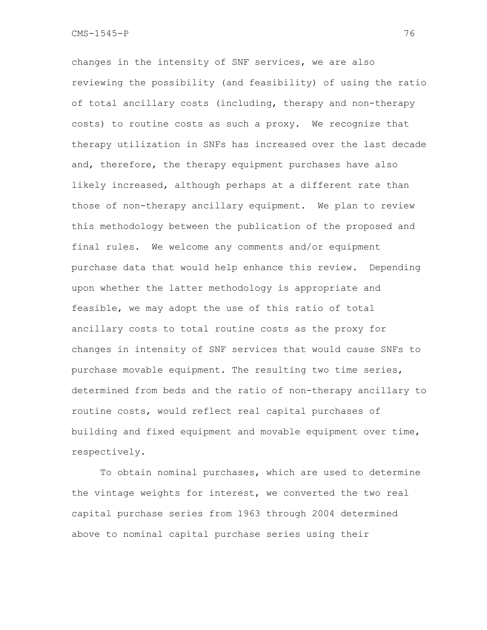changes in the intensity of SNF services, we are also reviewing the possibility (and feasibility) of using the ratio of total ancillary costs (including, therapy and non-therapy costs) to routine costs as such a proxy. We recognize that therapy utilization in SNFs has increased over the last decade and, therefore, the therapy equipment purchases have also likely increased, although perhaps at a different rate than those of non-therapy ancillary equipment. We plan to review this methodology between the publication of the proposed and final rules. We welcome any comments and/or equipment purchase data that would help enhance this review. Depending upon whether the latter methodology is appropriate and feasible, we may adopt the use of this ratio of total ancillary costs to total routine costs as the proxy for changes in intensity of SNF services that would cause SNFs to purchase movable equipment. The resulting two time series, determined from beds and the ratio of non-therapy ancillary to routine costs, would reflect real capital purchases of building and fixed equipment and movable equipment over time, respectively.

 To obtain nominal purchases, which are used to determine the vintage weights for interest, we converted the two real capital purchase series from 1963 through 2004 determined above to nominal capital purchase series using their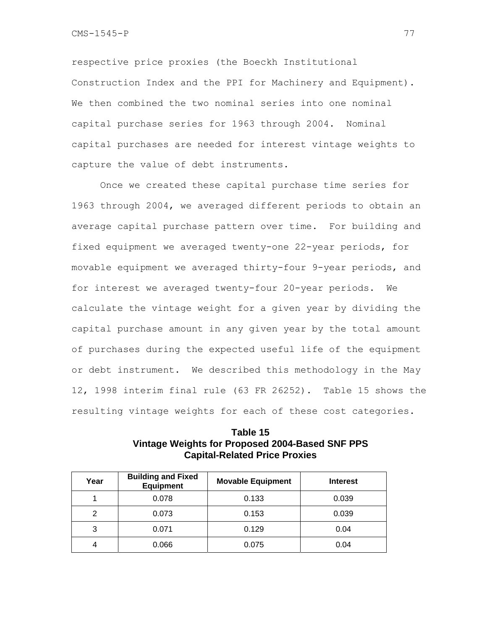respective price proxies (the Boeckh Institutional Construction Index and the PPI for Machinery and Equipment). We then combined the two nominal series into one nominal capital purchase series for 1963 through 2004. Nominal capital purchases are needed for interest vintage weights to capture the value of debt instruments.

 Once we created these capital purchase time series for 1963 through 2004, we averaged different periods to obtain an average capital purchase pattern over time. For building and fixed equipment we averaged twenty-one 22-year periods, for movable equipment we averaged thirty-four 9-year periods, and for interest we averaged twenty-four 20-year periods. We calculate the vintage weight for a given year by dividing the capital purchase amount in any given year by the total amount of purchases during the expected useful life of the equipment or debt instrument. We described this methodology in the May 12, 1998 interim final rule (63 FR 26252). Table 15 shows the resulting vintage weights for each of these cost categories.

**Table 15 Vintage Weights for Proposed 2004-Based SNF PPS Capital-Related Price Proxies** 

| Year | <b>Building and Fixed</b><br><b>Equipment</b> | <b>Movable Equipment</b> | <b>Interest</b> |
|------|-----------------------------------------------|--------------------------|-----------------|
|      | 0.078                                         | 0.133                    | 0.039           |
| 2    | 0.073                                         | 0.153                    | 0.039           |
| 3    | 0.071                                         | 0.129                    | 0.04            |
|      | 0.066                                         | 0.075                    | 0.04            |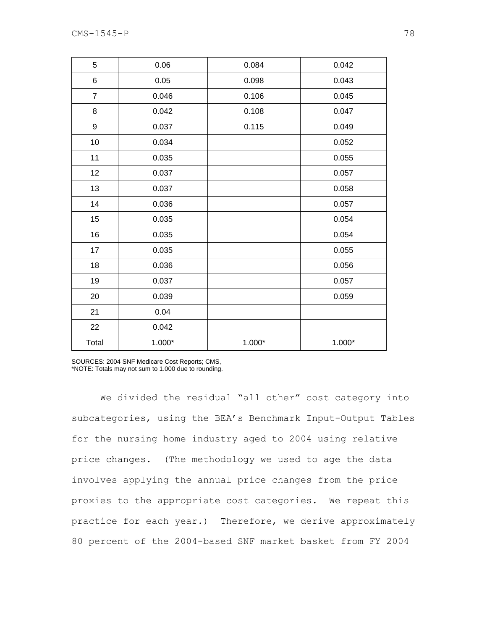| 5              | 0.06     | 0.084    | 0.042    |
|----------------|----------|----------|----------|
| 6              | 0.05     | 0.098    | 0.043    |
| $\overline{7}$ | 0.046    | 0.106    | 0.045    |
| 8              | 0.042    | 0.108    | 0.047    |
| 9              | 0.037    | 0.115    | 0.049    |
| $10$           | 0.034    |          | 0.052    |
| 11             | 0.035    |          | 0.055    |
| 12             | 0.037    |          | 0.057    |
| 13             | 0.037    |          | 0.058    |
| 14             | 0.036    |          | 0.057    |
| 15             | 0.035    |          | 0.054    |
| 16             | 0.035    |          | 0.054    |
| 17             | 0.035    |          | 0.055    |
| 18             | 0.036    |          | 0.056    |
| 19             | 0.037    |          | 0.057    |
| 20             | 0.039    |          | 0.059    |
| 21             | 0.04     |          |          |
| 22             | 0.042    |          |          |
| Total          | $1.000*$ | $1.000*$ | $1.000*$ |

SOURCES: 2004 SNF Medicare Cost Reports; CMS,

\*NOTE: Totals may not sum to 1.000 due to rounding.

We divided the residual "all other" cost category into subcategories, using the BEA's Benchmark Input-Output Tables for the nursing home industry aged to 2004 using relative price changes. (The methodology we used to age the data involves applying the annual price changes from the price proxies to the appropriate cost categories. We repeat this practice for each year.) Therefore, we derive approximately 80 percent of the 2004-based SNF market basket from FY 2004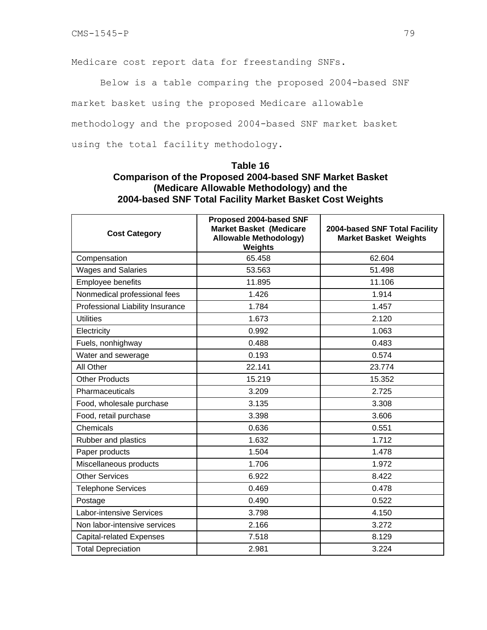Medicare cost report data for freestanding SNFs.

Below is a table comparing the proposed 2004-based SNF

market basket using the proposed Medicare allowable

methodology and the proposed 2004-based SNF market basket

using the total facility methodology.

### **Table 16**

# **Comparison of the Proposed 2004-based SNF Market Basket (Medicare Allowable Methodology) and the 2004-based SNF Total Facility Market Basket Cost Weights**

| <b>Cost Category</b>             | Proposed 2004-based SNF<br><b>Market Basket (Medicare</b><br><b>Allowable Methodology)</b><br>Weights | 2004-based SNF Total Facility<br><b>Market Basket Weights</b> |
|----------------------------------|-------------------------------------------------------------------------------------------------------|---------------------------------------------------------------|
| Compensation                     | 65.458                                                                                                | 62.604                                                        |
| <b>Wages and Salaries</b>        | 53.563                                                                                                | 51.498                                                        |
| Employee benefits                | 11.895                                                                                                | 11.106                                                        |
| Nonmedical professional fees     | 1.426                                                                                                 | 1.914                                                         |
| Professional Liability Insurance | 1.784                                                                                                 | 1.457                                                         |
| <b>Utilities</b>                 | 1.673                                                                                                 | 2.120                                                         |
| Electricity                      | 0.992                                                                                                 | 1.063                                                         |
| Fuels, nonhighway                | 0.488                                                                                                 | 0.483                                                         |
| Water and sewerage               | 0.193                                                                                                 | 0.574                                                         |
| All Other                        | 22.141                                                                                                | 23.774                                                        |
| <b>Other Products</b>            | 15.219                                                                                                | 15.352                                                        |
| Pharmaceuticals                  | 3.209                                                                                                 | 2.725                                                         |
| Food, wholesale purchase         | 3.135                                                                                                 | 3.308                                                         |
| Food, retail purchase            | 3.398                                                                                                 | 3.606                                                         |
| Chemicals                        | 0.636                                                                                                 | 0.551                                                         |
| Rubber and plastics              | 1.632                                                                                                 | 1.712                                                         |
| Paper products                   | 1.504                                                                                                 | 1.478                                                         |
| Miscellaneous products           | 1.706                                                                                                 | 1.972                                                         |
| <b>Other Services</b>            | 6.922                                                                                                 | 8.422                                                         |
| <b>Telephone Services</b>        | 0.469                                                                                                 | 0.478                                                         |
| Postage                          | 0.490                                                                                                 | 0.522                                                         |
| <b>Labor-intensive Services</b>  | 3.798                                                                                                 | 4.150                                                         |
| Non labor-intensive services     | 2.166                                                                                                 | 3.272                                                         |
| <b>Capital-related Expenses</b>  | 7.518                                                                                                 | 8.129                                                         |
| <b>Total Depreciation</b>        | 2.981                                                                                                 | 3.224                                                         |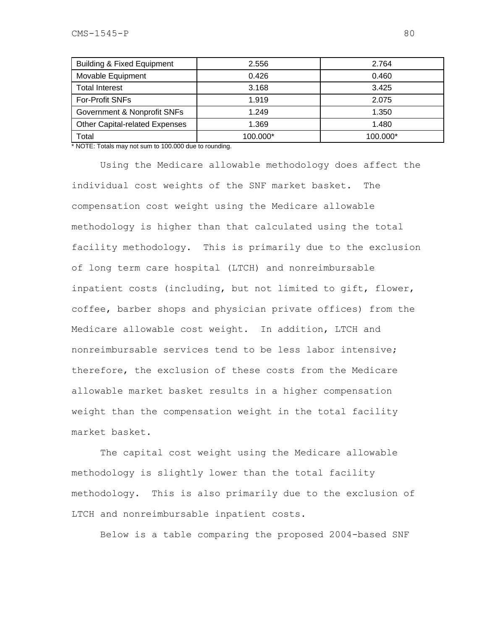| <b>Building &amp; Fixed Equipment</b> | 2.556    | 2.764    |
|---------------------------------------|----------|----------|
| Movable Equipment                     | 0.426    | 0.460    |
| <b>Total Interest</b>                 | 3.168    | 3.425    |
| <b>For-Profit SNFs</b>                | 1.919    | 2.075    |
| Government & Nonprofit SNFs           | 1.249    | 1.350    |
| Other Capital-related Expenses        | 1.369    | 1.480    |
| Total                                 | 100.000* | 100.000* |

\* NOTE: Totals may not sum to 100.000 due to rounding.

Using the Medicare allowable methodology does affect the individual cost weights of the SNF market basket. The compensation cost weight using the Medicare allowable methodology is higher than that calculated using the total facility methodology. This is primarily due to the exclusion of long term care hospital (LTCH) and nonreimbursable inpatient costs (including, but not limited to gift, flower, coffee, barber shops and physician private offices) from the Medicare allowable cost weight. In addition, LTCH and nonreimbursable services tend to be less labor intensive; therefore, the exclusion of these costs from the Medicare allowable market basket results in a higher compensation weight than the compensation weight in the total facility market basket.

The capital cost weight using the Medicare allowable methodology is slightly lower than the total facility methodology. This is also primarily due to the exclusion of LTCH and nonreimbursable inpatient costs.

Below is a table comparing the proposed 2004-based SNF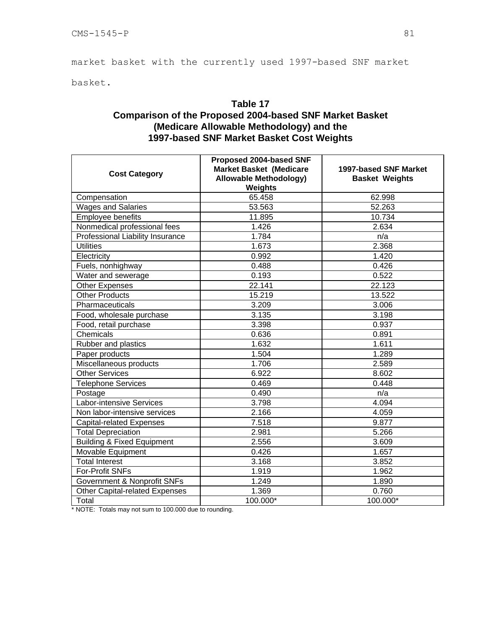market basket with the currently used 1997-based SNF market

basket.

# **Table 17 Comparison of the Proposed 2004-based SNF Market Basket (Medicare Allowable Methodology) and the 1997-based SNF Market Basket Cost Weights**

| <b>Cost Category</b>                  | Proposed 2004-based SNF<br><b>Market Basket (Medicare</b><br><b>Allowable Methodology)</b><br>Weights | 1997-based SNF Market<br><b>Basket Weights</b> |  |
|---------------------------------------|-------------------------------------------------------------------------------------------------------|------------------------------------------------|--|
| Compensation                          | 65.458                                                                                                | 62.998                                         |  |
| Wages and Salaries                    | 53.563                                                                                                | 52.263                                         |  |
| Employee benefits                     | 11.895                                                                                                | 10.734                                         |  |
| Nonmedical professional fees          | 1.426                                                                                                 | 2.634                                          |  |
| Professional Liability Insurance      | 1.784                                                                                                 | n/a                                            |  |
| <b>Utilities</b>                      | 1.673                                                                                                 | 2.368                                          |  |
| Electricity                           | 0.992                                                                                                 | 1.420                                          |  |
| Fuels, nonhighway                     | 0.488                                                                                                 | 0.426                                          |  |
| Water and sewerage                    | 0.193                                                                                                 | 0.522                                          |  |
| <b>Other Expenses</b>                 | 22.141                                                                                                | 22.123                                         |  |
| <b>Other Products</b>                 | 15.219                                                                                                | 13.522                                         |  |
| Pharmaceuticals                       | 3.209                                                                                                 | 3.006                                          |  |
| Food, wholesale purchase              | 3.135                                                                                                 | 3.198                                          |  |
| Food, retail purchase                 | 3.398                                                                                                 | 0.937                                          |  |
| Chemicals                             | 0.636                                                                                                 | 0.891                                          |  |
| Rubber and plastics                   | 1.632                                                                                                 | 1.611                                          |  |
| Paper products                        | 1.504                                                                                                 | 1.289                                          |  |
| Miscellaneous products                | 1.706                                                                                                 | 2.589                                          |  |
| <b>Other Services</b>                 | 6.922                                                                                                 | 8.602                                          |  |
| <b>Telephone Services</b>             | 0.469                                                                                                 | 0.448                                          |  |
| Postage                               | 0.490                                                                                                 | n/a                                            |  |
| <b>Labor-intensive Services</b>       | 3.798                                                                                                 | 4.094                                          |  |
| Non labor-intensive services          | 2.166                                                                                                 | 4.059                                          |  |
| <b>Capital-related Expenses</b>       | 7.518                                                                                                 | 9.877                                          |  |
| <b>Total Depreciation</b>             | 2.981                                                                                                 | 5.266                                          |  |
| <b>Building &amp; Fixed Equipment</b> | 2.556                                                                                                 | 3.609                                          |  |
| Movable Equipment                     | 0.426                                                                                                 | 1.657                                          |  |
| <b>Total Interest</b>                 | 3.168                                                                                                 | 3.852                                          |  |
| For-Profit SNFs                       | 1.919                                                                                                 | 1.962                                          |  |
| Government & Nonprofit SNFs           | 1.249                                                                                                 | 1.890                                          |  |
| <b>Other Capital-related Expenses</b> | 1.369                                                                                                 | 0.760                                          |  |
| Total                                 | 100.000*                                                                                              | 100.000*                                       |  |

\* NOTE: Totals may not sum to 100.000 due to rounding.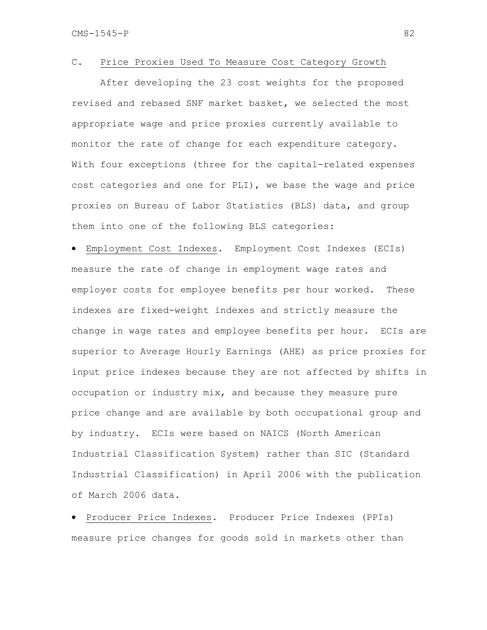### C. Price Proxies Used To Measure Cost Category Growth

After developing the 23 cost weights for the proposed revised and rebased SNF market basket, we selected the most appropriate wage and price proxies currently available to monitor the rate of change for each expenditure category. With four exceptions (three for the capital-related expenses cost categories and one for PLI), we base the wage and price proxies on Bureau of Labor Statistics (BLS) data, and group them into one of the following BLS categories:

• Employment Cost Indexes. Employment Cost Indexes (ECIs) measure the rate of change in employment wage rates and employer costs for employee benefits per hour worked. These indexes are fixed-weight indexes and strictly measure the change in wage rates and employee benefits per hour. ECIs are superior to Average Hourly Earnings (AHE) as price proxies for input price indexes because they are not affected by shifts in occupation or industry mix, and because they measure pure price change and are available by both occupational group and by industry. ECIs were based on NAICS (North American Industrial Classification System) rather than SIC (Standard Industrial Classification) in April 2006 with the publication of March 2006 data.

• Producer Price Indexes. Producer Price Indexes (PPIs) measure price changes for goods sold in markets other than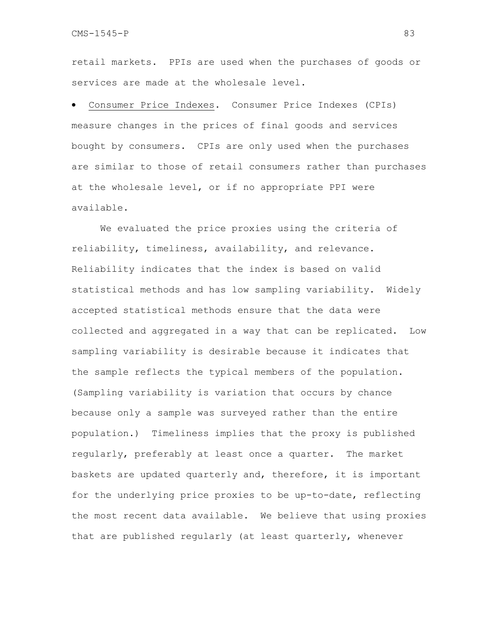retail markets. PPIs are used when the purchases of goods or services are made at the wholesale level.

• Consumer Price Indexes. Consumer Price Indexes (CPIs) measure changes in the prices of final goods and services bought by consumers. CPIs are only used when the purchases are similar to those of retail consumers rather than purchases at the wholesale level, or if no appropriate PPI were available.

We evaluated the price proxies using the criteria of reliability, timeliness, availability, and relevance. Reliability indicates that the index is based on valid statistical methods and has low sampling variability. Widely accepted statistical methods ensure that the data were collected and aggregated in a way that can be replicated. Low sampling variability is desirable because it indicates that the sample reflects the typical members of the population. (Sampling variability is variation that occurs by chance because only a sample was surveyed rather than the entire population.) Timeliness implies that the proxy is published regularly, preferably at least once a quarter. The market baskets are updated quarterly and, therefore, it is important for the underlying price proxies to be up-to-date, reflecting the most recent data available. We believe that using proxies that are published regularly (at least quarterly, whenever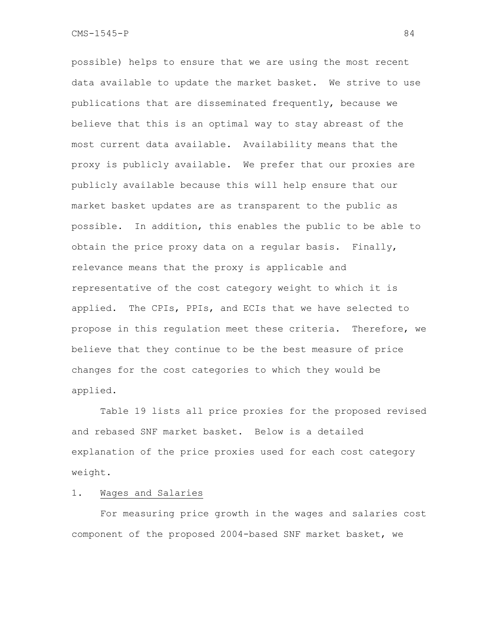possible) helps to ensure that we are using the most recent data available to update the market basket. We strive to use publications that are disseminated frequently, because we believe that this is an optimal way to stay abreast of the most current data available. Availability means that the proxy is publicly available. We prefer that our proxies are publicly available because this will help ensure that our market basket updates are as transparent to the public as possible. In addition, this enables the public to be able to obtain the price proxy data on a regular basis. Finally, relevance means that the proxy is applicable and representative of the cost category weight to which it is applied. The CPIs, PPIs, and ECIs that we have selected to propose in this regulation meet these criteria. Therefore, we believe that they continue to be the best measure of price changes for the cost categories to which they would be applied.

Table 19 lists all price proxies for the proposed revised and rebased SNF market basket. Below is a detailed explanation of the price proxies used for each cost category weight.

### 1. Wages and Salaries

 For measuring price growth in the wages and salaries cost component of the proposed 2004-based SNF market basket, we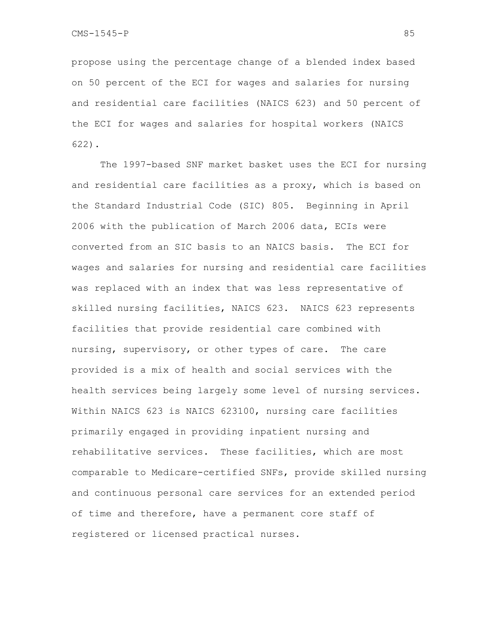propose using the percentage change of a blended index based on 50 percent of the ECI for wages and salaries for nursing and residential care facilities (NAICS 623) and 50 percent of the ECI for wages and salaries for hospital workers (NAICS 622).

The 1997-based SNF market basket uses the ECI for nursing and residential care facilities as a proxy, which is based on the Standard Industrial Code (SIC) 805. Beginning in April 2006 with the publication of March 2006 data, ECIs were converted from an SIC basis to an NAICS basis. The ECI for wages and salaries for nursing and residential care facilities was replaced with an index that was less representative of skilled nursing facilities, NAICS 623. NAICS 623 represents facilities that provide residential care combined with nursing, supervisory, or other types of care. The care provided is a mix of health and social services with the health services being largely some level of nursing services. Within NAICS 623 is NAICS 623100, nursing care facilities primarily engaged in providing inpatient nursing and rehabilitative services. These facilities, which are most comparable to Medicare-certified SNFs, provide skilled nursing and continuous personal care services for an extended period of time and therefore, have a permanent core staff of registered or licensed practical nurses.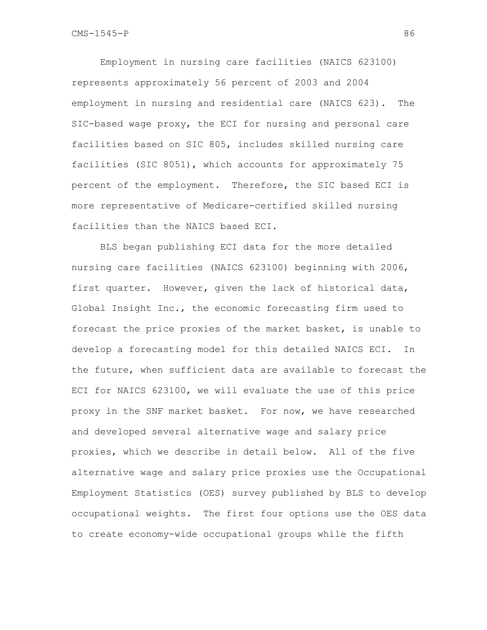Employment in nursing care facilities (NAICS 623100) represents approximately 56 percent of 2003 and 2004 employment in nursing and residential care (NAICS 623). The SIC-based wage proxy, the ECI for nursing and personal care facilities based on SIC 805, includes skilled nursing care facilities (SIC 8051), which accounts for approximately 75 percent of the employment. Therefore, the SIC based ECI is more representative of Medicare-certified skilled nursing facilities than the NAICS based ECI.

BLS began publishing ECI data for the more detailed nursing care facilities (NAICS 623100) beginning with 2006, first quarter. However, given the lack of historical data, Global Insight Inc., the economic forecasting firm used to forecast the price proxies of the market basket, is unable to develop a forecasting model for this detailed NAICS ECI. In the future, when sufficient data are available to forecast the ECI for NAICS 623100, we will evaluate the use of this price proxy in the SNF market basket. For now, we have researched and developed several alternative wage and salary price proxies, which we describe in detail below. All of the five alternative wage and salary price proxies use the Occupational Employment Statistics (OES) survey published by BLS to develop occupational weights. The first four options use the OES data to create economy-wide occupational groups while the fifth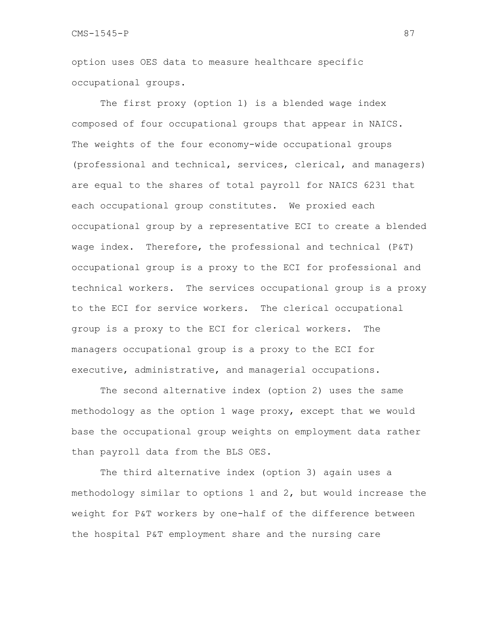option uses OES data to measure healthcare specific occupational groups.

The first proxy (option 1) is a blended wage index composed of four occupational groups that appear in NAICS. The weights of the four economy-wide occupational groups (professional and technical, services, clerical, and managers) are equal to the shares of total payroll for NAICS 6231 that each occupational group constitutes. We proxied each occupational group by a representative ECI to create a blended wage index. Therefore, the professional and technical (P&T) occupational group is a proxy to the ECI for professional and technical workers. The services occupational group is a proxy to the ECI for service workers. The clerical occupational group is a proxy to the ECI for clerical workers. The managers occupational group is a proxy to the ECI for executive, administrative, and managerial occupations.

The second alternative index (option 2) uses the same methodology as the option 1 wage proxy, except that we would base the occupational group weights on employment data rather than payroll data from the BLS OES.

The third alternative index (option 3) again uses a methodology similar to options 1 and 2, but would increase the weight for P&T workers by one-half of the difference between the hospital P&T employment share and the nursing care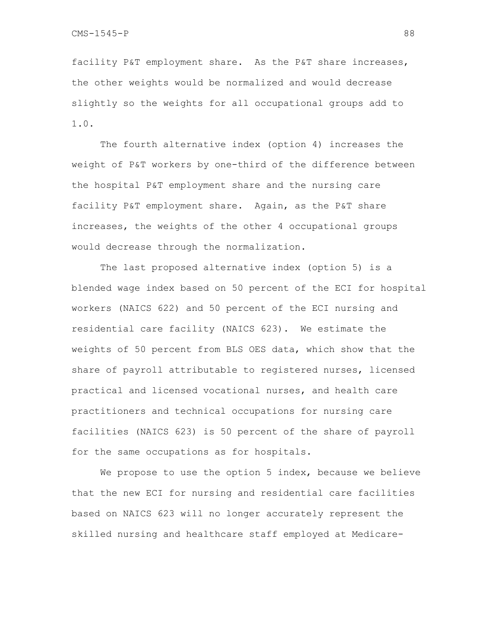facility P&T employment share. As the P&T share increases, the other weights would be normalized and would decrease slightly so the weights for all occupational groups add to 1.0.

The fourth alternative index (option 4) increases the weight of P&T workers by one-third of the difference between the hospital P&T employment share and the nursing care facility P&T employment share. Again, as the P&T share increases, the weights of the other 4 occupational groups would decrease through the normalization.

The last proposed alternative index (option 5) is a blended wage index based on 50 percent of the ECI for hospital workers (NAICS 622) and 50 percent of the ECI nursing and residential care facility (NAICS 623). We estimate the weights of 50 percent from BLS OES data, which show that the share of payroll attributable to registered nurses, licensed practical and licensed vocational nurses, and health care practitioners and technical occupations for nursing care facilities (NAICS 623) is 50 percent of the share of payroll for the same occupations as for hospitals.

We propose to use the option 5 index, because we believe that the new ECI for nursing and residential care facilities based on NAICS 623 will no longer accurately represent the skilled nursing and healthcare staff employed at Medicare-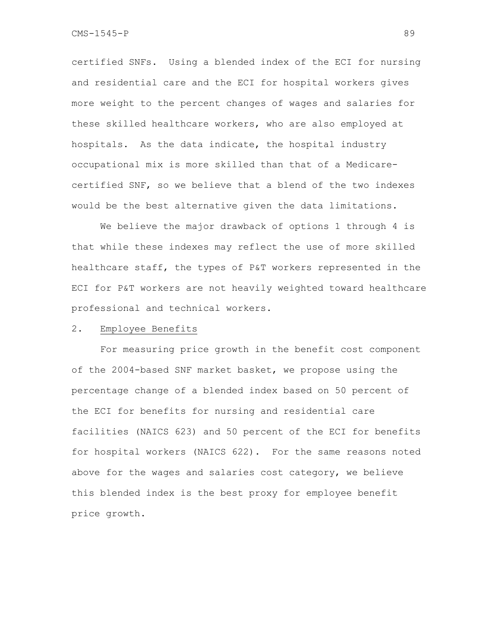certified SNFs. Using a blended index of the ECI for nursing and residential care and the ECI for hospital workers gives more weight to the percent changes of wages and salaries for these skilled healthcare workers, who are also employed at hospitals. As the data indicate, the hospital industry occupational mix is more skilled than that of a Medicarecertified SNF, so we believe that a blend of the two indexes would be the best alternative given the data limitations.

We believe the major drawback of options 1 through 4 is that while these indexes may reflect the use of more skilled healthcare staff, the types of P&T workers represented in the ECI for P&T workers are not heavily weighted toward healthcare professional and technical workers.

#### 2. Employee Benefits

For measuring price growth in the benefit cost component of the 2004-based SNF market basket, we propose using the percentage change of a blended index based on 50 percent of the ECI for benefits for nursing and residential care facilities (NAICS 623) and 50 percent of the ECI for benefits for hospital workers (NAICS 622). For the same reasons noted above for the wages and salaries cost category, we believe this blended index is the best proxy for employee benefit price growth.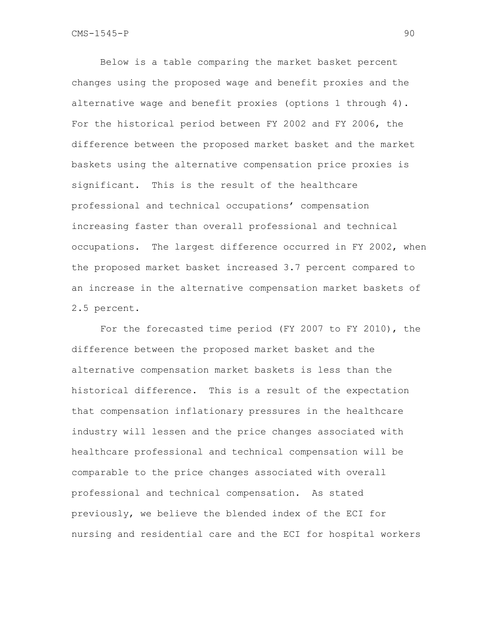Below is a table comparing the market basket percent changes using the proposed wage and benefit proxies and the alternative wage and benefit proxies (options 1 through 4). For the historical period between FY 2002 and FY 2006, the difference between the proposed market basket and the market baskets using the alternative compensation price proxies is significant. This is the result of the healthcare professional and technical occupations' compensation increasing faster than overall professional and technical occupations. The largest difference occurred in FY 2002, when the proposed market basket increased 3.7 percent compared to an increase in the alternative compensation market baskets of 2.5 percent.

For the forecasted time period (FY 2007 to FY 2010), the difference between the proposed market basket and the alternative compensation market baskets is less than the historical difference. This is a result of the expectation that compensation inflationary pressures in the healthcare industry will lessen and the price changes associated with healthcare professional and technical compensation will be comparable to the price changes associated with overall professional and technical compensation. As stated previously, we believe the blended index of the ECI for nursing and residential care and the ECI for hospital workers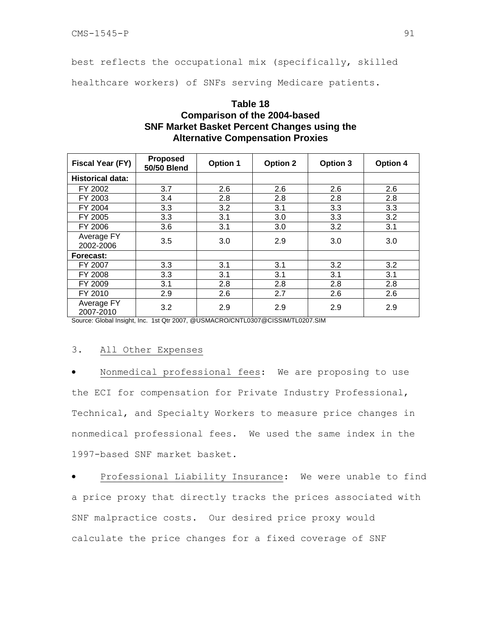best reflects the occupational mix (specifically, skilled

healthcare workers) of SNFs serving Medicare patients.

# **Table 18 Comparison of the 2004-based SNF Market Basket Percent Changes using the Alternative Compensation Proxies**

| Fiscal Year (FY)        | <b>Proposed</b><br><b>50/50 Blend</b> | <b>Option 1</b> | <b>Option 2</b> | Option 3 | <b>Option 4</b> |
|-------------------------|---------------------------------------|-----------------|-----------------|----------|-----------------|
| <b>Historical data:</b> |                                       |                 |                 |          |                 |
| FY 2002                 | 3.7                                   | 2.6             | 2.6             | 2.6      | 2.6             |
| FY 2003                 | 3.4                                   | 2.8             | 2.8             | 2.8      | 2.8             |
| FY 2004                 | 3.3                                   | 3.2             | 3.1             | 3.3      | 3.3             |
| FY 2005                 | 3.3                                   | 3.1             | 3.0             | 3.3      | 3.2             |
| FY 2006                 | 3.6                                   | 3.1             | 3.0             | 3.2      | 3.1             |
| Average FY<br>2002-2006 | 3.5                                   | 3.0             | 2.9             | 3.0      | 3.0             |
| Forecast:               |                                       |                 |                 |          |                 |
| FY 2007                 | 3.3                                   | 3.1             | 3.1             | 3.2      | 3.2             |
| FY 2008                 | 3.3                                   | 3.1             | 3.1             | 3.1      | 3.1             |
| FY 2009                 | 3.1                                   | 2.8             | 2.8             | 2.8      | 2.8             |
| FY 2010                 | 2.9                                   | 2.6             | 2.7             | 2.6      | 2.6             |
| Average FY<br>2007-2010 | 3.2                                   | 2.9             | 2.9             | 2.9      | 2.9             |

Source: Global Insight, Inc. 1st Qtr 2007, @USMACRO/CNTL0307@CISSIM/TL0207.SIM

## 3. All Other Expenses

Nonmedical professional fees: We are proposing to use the ECI for compensation for Private Industry Professional, Technical, and Specialty Workers to measure price changes in nonmedical professional fees. We used the same index in the 1997-based SNF market basket.

• Professional Liability Insurance: We were unable to find a price proxy that directly tracks the prices associated with SNF malpractice costs. Our desired price proxy would calculate the price changes for a fixed coverage of SNF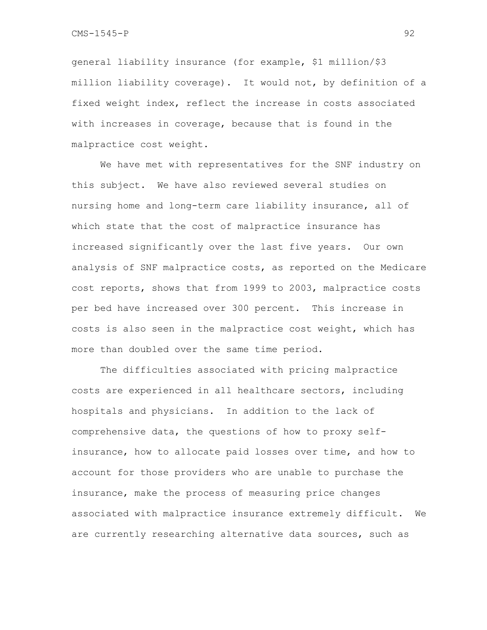general liability insurance (for example, \$1 million/\$3 million liability coverage). It would not, by definition of a fixed weight index, reflect the increase in costs associated with increases in coverage, because that is found in the malpractice cost weight.

We have met with representatives for the SNF industry on this subject. We have also reviewed several studies on nursing home and long-term care liability insurance, all of which state that the cost of malpractice insurance has increased significantly over the last five years. Our own analysis of SNF malpractice costs, as reported on the Medicare cost reports, shows that from 1999 to 2003, malpractice costs per bed have increased over 300 percent. This increase in costs is also seen in the malpractice cost weight, which has more than doubled over the same time period.

 The difficulties associated with pricing malpractice costs are experienced in all healthcare sectors, including hospitals and physicians. In addition to the lack of comprehensive data, the questions of how to proxy selfinsurance, how to allocate paid losses over time, and how to account for those providers who are unable to purchase the insurance, make the process of measuring price changes associated with malpractice insurance extremely difficult. We are currently researching alternative data sources, such as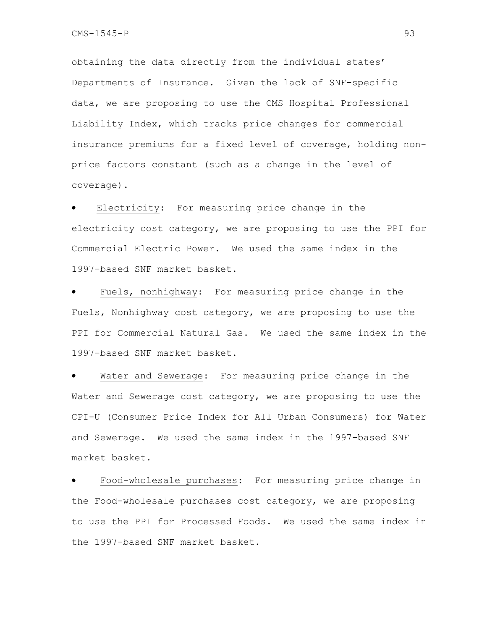obtaining the data directly from the individual states' Departments of Insurance. Given the lack of SNF-specific data, we are proposing to use the CMS Hospital Professional Liability Index, which tracks price changes for commercial insurance premiums for a fixed level of coverage, holding nonprice factors constant (such as a change in the level of coverage).

Electricity: For measuring price change in the electricity cost category, we are proposing to use the PPI for Commercial Electric Power. We used the same index in the 1997-based SNF market basket.

Fuels, nonhighway: For measuring price change in the Fuels, Nonhighway cost category, we are proposing to use the PPI for Commercial Natural Gas. We used the same index in the 1997-based SNF market basket.

Water and Sewerage: For measuring price change in the Water and Sewerage cost category, we are proposing to use the CPI-U (Consumer Price Index for All Urban Consumers) for Water and Sewerage. We used the same index in the 1997-based SNF market basket.

• Food-wholesale purchases: For measuring price change in the Food-wholesale purchases cost category, we are proposing to use the PPI for Processed Foods. We used the same index in the 1997-based SNF market basket.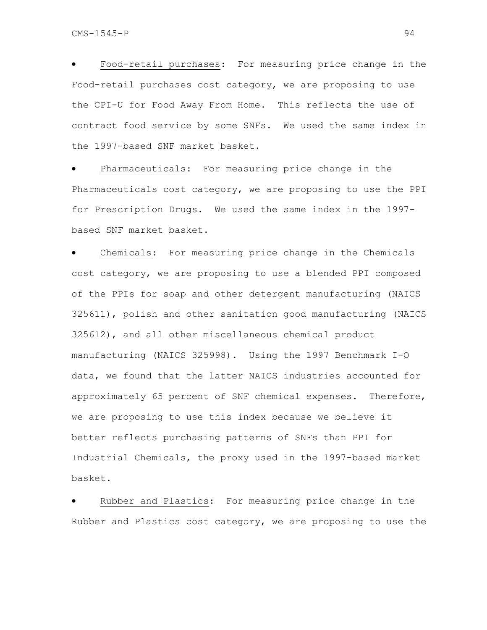• Food-retail purchases: For measuring price change in the Food-retail purchases cost category, we are proposing to use the CPI-U for Food Away From Home. This reflects the use of contract food service by some SNFs. We used the same index in the 1997-based SNF market basket.

Pharmaceuticals: For measuring price change in the Pharmaceuticals cost category, we are proposing to use the PPI for Prescription Drugs. We used the same index in the 1997 based SNF market basket.

Chemicals: For measuring price change in the Chemicals cost category, we are proposing to use a blended PPI composed of the PPIs for soap and other detergent manufacturing (NAICS 325611), polish and other sanitation good manufacturing (NAICS 325612), and all other miscellaneous chemical product manufacturing (NAICS 325998). Using the 1997 Benchmark I-O data, we found that the latter NAICS industries accounted for approximately 65 percent of SNF chemical expenses. Therefore, we are proposing to use this index because we believe it better reflects purchasing patterns of SNFs than PPI for Industrial Chemicals, the proxy used in the 1997-based market basket.

Rubber and Plastics: For measuring price change in the Rubber and Plastics cost category, we are proposing to use the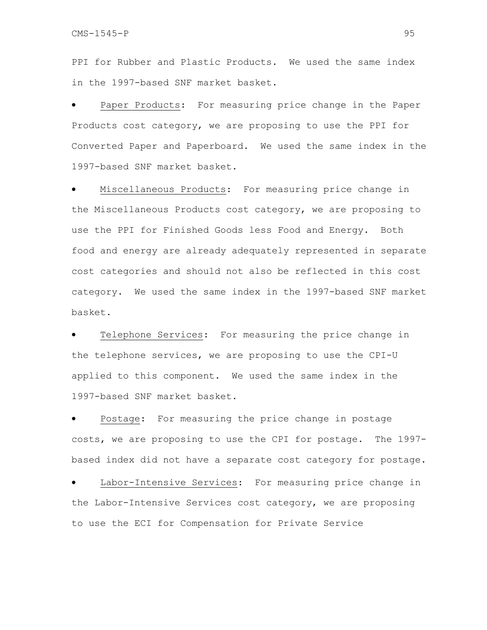PPI for Rubber and Plastic Products. We used the same index in the 1997-based SNF market basket.

Paper Products: For measuring price change in the Paper Products cost category, we are proposing to use the PPI for Converted Paper and Paperboard. We used the same index in the 1997-based SNF market basket.

• Miscellaneous Products: For measuring price change in the Miscellaneous Products cost category, we are proposing to use the PPI for Finished Goods less Food and Energy. Both food and energy are already adequately represented in separate cost categories and should not also be reflected in this cost category. We used the same index in the 1997-based SNF market basket.

Telephone Services: For measuring the price change in the telephone services, we are proposing to use the CPI-U applied to this component. We used the same index in the 1997-based SNF market basket.

Postage: For measuring the price change in postage costs, we are proposing to use the CPI for postage. The 1997 based index did not have a separate cost category for postage.

Labor-Intensive Services: For measuring price change in the Labor-Intensive Services cost category, we are proposing to use the ECI for Compensation for Private Service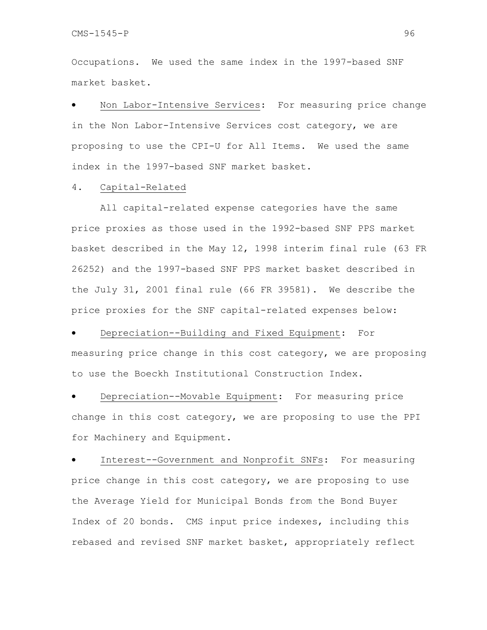Occupations. We used the same index in the 1997-based SNF market basket.

Non Labor-Intensive Services: For measuring price change in the Non Labor-Intensive Services cost category, we are proposing to use the CPI-U for All Items. We used the same index in the 1997-based SNF market basket.

### 4. Capital-Related

 All capital-related expense categories have the same price proxies as those used in the 1992-based SNF PPS market basket described in the May 12, 1998 interim final rule (63 FR 26252) and the 1997-based SNF PPS market basket described in the July 31, 2001 final rule (66 FR 39581). We describe the price proxies for the SNF capital-related expenses below:

Depreciation--Building and Fixed Equipment: For measuring price change in this cost category, we are proposing to use the Boeckh Institutional Construction Index.

Depreciation--Movable Equipment: For measuring price change in this cost category, we are proposing to use the PPI for Machinery and Equipment.

• Interest--Government and Nonprofit SNFs: For measuring price change in this cost category, we are proposing to use the Average Yield for Municipal Bonds from the Bond Buyer Index of 20 bonds. CMS input price indexes, including this rebased and revised SNF market basket, appropriately reflect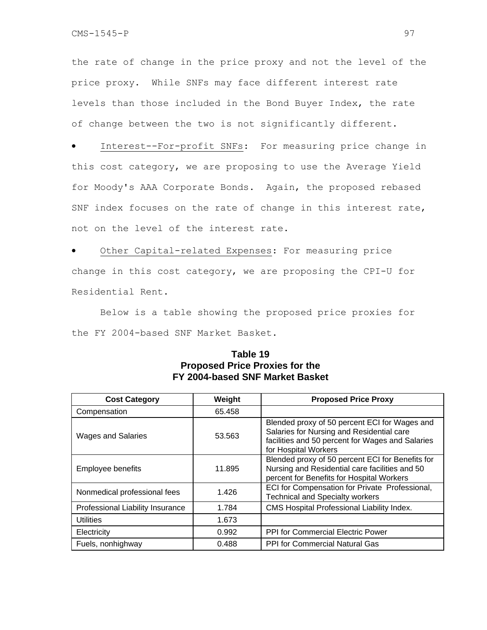the rate of change in the price proxy and not the level of the price proxy. While SNFs may face different interest rate levels than those included in the Bond Buyer Index, the rate of change between the two is not significantly different.

• Interest--For-profit SNFs: For measuring price change in this cost category, we are proposing to use the Average Yield for Moody's AAA Corporate Bonds. Again, the proposed rebased SNF index focuses on the rate of change in this interest rate, not on the level of the interest rate.

Other Capital-related Expenses: For measuring price change in this cost category, we are proposing the CPI-U for Residential Rent.

 Below is a table showing the proposed price proxies for the FY 2004-based SNF Market Basket.

| <b>Cost Category</b>             | Weight | <b>Proposed Price Proxy</b>                                                                                                                                            |
|----------------------------------|--------|------------------------------------------------------------------------------------------------------------------------------------------------------------------------|
| Compensation                     | 65.458 |                                                                                                                                                                        |
| <b>Wages and Salaries</b>        | 53.563 | Blended proxy of 50 percent ECI for Wages and<br>Salaries for Nursing and Residential care<br>facilities and 50 percent for Wages and Salaries<br>for Hospital Workers |
| Employee benefits                | 11.895 | Blended proxy of 50 percent ECI for Benefits for<br>Nursing and Residential care facilities and 50<br>percent for Benefits for Hospital Workers                        |
| Nonmedical professional fees     | 1.426  | ECI for Compensation for Private Professional,<br><b>Technical and Specialty workers</b>                                                                               |
| Professional Liability Insurance | 1.784  | CMS Hospital Professional Liability Index.                                                                                                                             |
| <b>Utilities</b>                 | 1.673  |                                                                                                                                                                        |
| Electricity                      | 0.992  | <b>PPI for Commercial Electric Power</b>                                                                                                                               |
| Fuels, nonhighway                | 0.488  | PPI for Commercial Natural Gas                                                                                                                                         |

## **Table 19 Proposed Price Proxies for the FY 2004-based SNF Market Basket**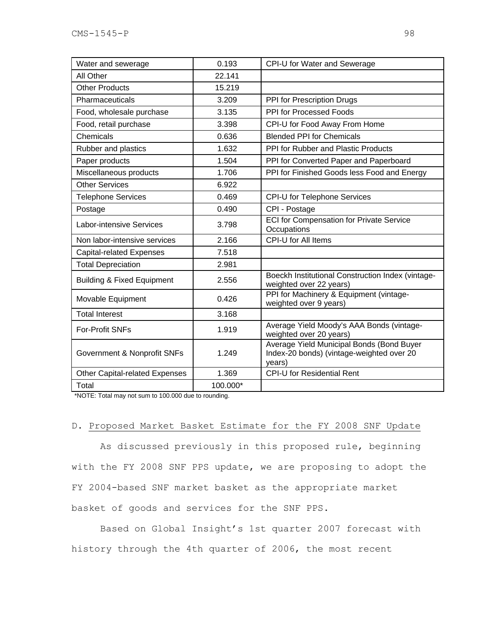| Water and sewerage                    | 0.193    | CPI-U for Water and Sewerage                                                                     |
|---------------------------------------|----------|--------------------------------------------------------------------------------------------------|
| All Other                             | 22.141   |                                                                                                  |
| <b>Other Products</b>                 | 15.219   |                                                                                                  |
| Pharmaceuticals                       | 3.209    | PPI for Prescription Drugs                                                                       |
| Food, wholesale purchase              | 3.135    | PPI for Processed Foods                                                                          |
| Food, retail purchase                 | 3.398    | CPI-U for Food Away From Home                                                                    |
| Chemicals                             | 0.636    | <b>Blended PPI for Chemicals</b>                                                                 |
| Rubber and plastics                   | 1.632    | PPI for Rubber and Plastic Products                                                              |
| Paper products                        | 1.504    | PPI for Converted Paper and Paperboard                                                           |
| Miscellaneous products                | 1.706    | PPI for Finished Goods less Food and Energy                                                      |
| <b>Other Services</b>                 | 6.922    |                                                                                                  |
| <b>Telephone Services</b>             | 0.469    | CPI-U for Telephone Services                                                                     |
| Postage                               | 0.490    | CPI - Postage                                                                                    |
| <b>Labor-intensive Services</b>       | 3.798    | <b>ECI for Compensation for Private Service</b><br>Occupations                                   |
| Non labor-intensive services          | 2.166    | CPI-U for All Items                                                                              |
| <b>Capital-related Expenses</b>       | 7.518    |                                                                                                  |
| <b>Total Depreciation</b>             | 2.981    |                                                                                                  |
| <b>Building &amp; Fixed Equipment</b> | 2.556    | Boeckh Institutional Construction Index (vintage-<br>weighted over 22 years)                     |
| Movable Equipment                     | 0.426    | PPI for Machinery & Equipment (vintage-<br>weighted over 9 years)                                |
| <b>Total Interest</b>                 | 3.168    |                                                                                                  |
| <b>For-Profit SNFs</b>                | 1.919    | Average Yield Moody's AAA Bonds (vintage-<br>weighted over 20 years)                             |
| Government & Nonprofit SNFs           | 1.249    | Average Yield Municipal Bonds (Bond Buyer<br>Index-20 bonds) (vintage-weighted over 20<br>years) |
| <b>Other Capital-related Expenses</b> | 1.369    | <b>CPI-U</b> for Residential Rent                                                                |
| Total                                 | 100.000* |                                                                                                  |

\*NOTE: Total may not sum to 100.000 due to rounding.

## D. Proposed Market Basket Estimate for the FY 2008 SNF Update

As discussed previously in this proposed rule, beginning with the FY 2008 SNF PPS update, we are proposing to adopt the FY 2004-based SNF market basket as the appropriate market basket of goods and services for the SNF PPS.

Based on Global Insight's 1st quarter 2007 forecast with history through the 4th quarter of 2006, the most recent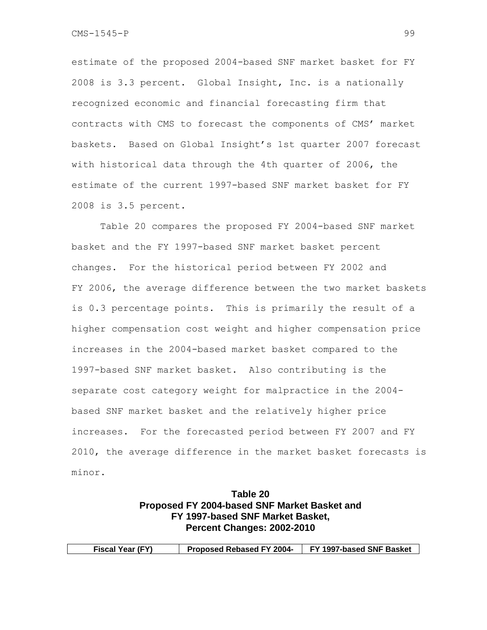estimate of the proposed 2004-based SNF market basket for FY 2008 is 3.3 percent. Global Insight, Inc. is a nationally recognized economic and financial forecasting firm that contracts with CMS to forecast the components of CMS' market baskets. Based on Global Insight's 1st quarter 2007 forecast with historical data through the 4th quarter of 2006, the estimate of the current 1997-based SNF market basket for FY 2008 is 3.5 percent.

Table 20 compares the proposed FY 2004-based SNF market basket and the FY 1997-based SNF market basket percent changes. For the historical period between FY 2002 and FY 2006, the average difference between the two market baskets is 0.3 percentage points. This is primarily the result of a higher compensation cost weight and higher compensation price increases in the 2004-based market basket compared to the 1997-based SNF market basket. Also contributing is the separate cost category weight for malpractice in the 2004 based SNF market basket and the relatively higher price increases. For the forecasted period between FY 2007 and FY 2010, the average difference in the market basket forecasts is minor.

# **Table 20 Proposed FY 2004-based SNF Market Basket and FY 1997-based SNF Market Basket, Percent Changes: 2002-2010**

| <b>Fiscal Year (FY)</b> | <b>Proposed Rebased FY 2004-</b> | FY 1997-based SNF Basket |
|-------------------------|----------------------------------|--------------------------|
|                         |                                  |                          |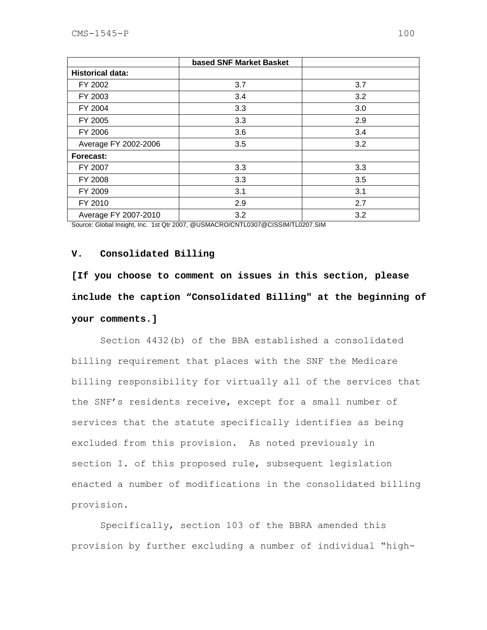|                         | based SNF Market Basket |     |
|-------------------------|-------------------------|-----|
| <b>Historical data:</b> |                         |     |
| FY 2002                 | 3.7                     | 3.7 |
| FY 2003                 | 3.4                     | 3.2 |
| FY 2004                 | 3.3                     | 3.0 |
| FY 2005                 | 3.3                     | 2.9 |
| FY 2006                 | 3.6                     | 3.4 |
| Average FY 2002-2006    | 3.5                     | 3.2 |
| Forecast:               |                         |     |
| FY 2007                 | 3.3                     | 3.3 |
| FY 2008                 | 3.3                     | 3.5 |
| FY 2009                 | 3.1                     | 3.1 |
| FY 2010                 | 2.9                     | 2.7 |
| Average FY 2007-2010    | 3.2                     | 3.2 |

Source: Global Insight, Inc. 1st Qtr 2007, @USMACRO/CNTL0307@CISSIM/TL0207.SIM

### **V. Consolidated Billing**

**[If you choose to comment on issues in this section, please include the caption "Consolidated Billing" at the beginning of your comments.]** 

Section 4432(b) of the BBA established a consolidated billing requirement that places with the SNF the Medicare billing responsibility for virtually all of the services that the SNF's residents receive, except for a small number of services that the statute specifically identifies as being excluded from this provision. As noted previously in section I. of this proposed rule, subsequent legislation enacted a number of modifications in the consolidated billing provision.

Specifically, section 103 of the BBRA amended this provision by further excluding a number of individual "high-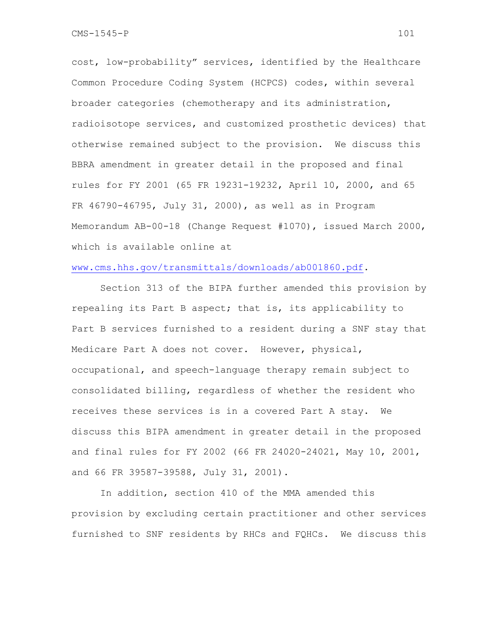cost, low-probability" services, identified by the Healthcare Common Procedure Coding System (HCPCS) codes, within several broader categories (chemotherapy and its administration, radioisotope services, and customized prosthetic devices) that otherwise remained subject to the provision. We discuss this BBRA amendment in greater detail in the proposed and final rules for FY 2001 (65 FR 19231-19232, April 10, 2000, and 65 FR 46790-46795, July 31, 2000), as well as in Program Memorandum AB-00-18 (Change Request #1070), issued March 2000, which is available online at

### www.cms.hhs.gov/transmittals/downloads/ab001860.pdf.

Section 313 of the BIPA further amended this provision by repealing its Part B aspect; that is, its applicability to Part B services furnished to a resident during a SNF stay that Medicare Part A does not cover. However, physical, occupational, and speech-language therapy remain subject to consolidated billing, regardless of whether the resident who receives these services is in a covered Part A stay. We discuss this BIPA amendment in greater detail in the proposed and final rules for FY 2002 (66 FR 24020-24021, May 10, 2001, and 66 FR 39587-39588, July 31, 2001).

In addition, section 410 of the MMA amended this provision by excluding certain practitioner and other services furnished to SNF residents by RHCs and FQHCs. We discuss this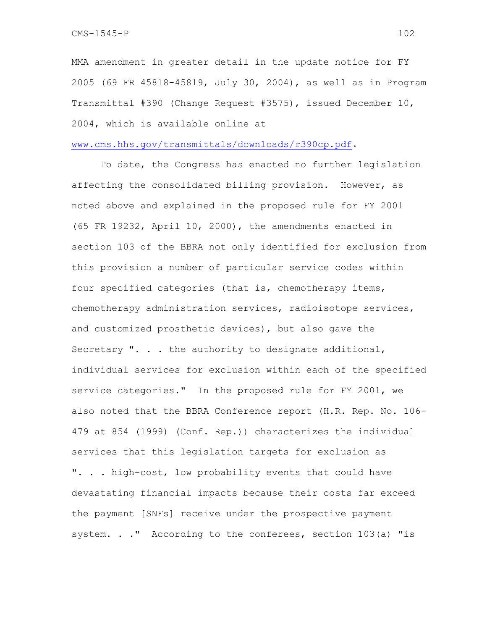MMA amendment in greater detail in the update notice for FY 2005 (69 FR 45818-45819, July 30, 2004), as well as in Program Transmittal #390 (Change Request #3575), issued December 10, 2004, which is available online at

### www.cms.hhs.gov/transmittals/downloads/r390cp.pdf.

 To date, the Congress has enacted no further legislation affecting the consolidated billing provision. However, as noted above and explained in the proposed rule for FY 2001 (65 FR 19232, April 10, 2000), the amendments enacted in section 103 of the BBRA not only identified for exclusion from this provision a number of particular service codes within four specified categories (that is, chemotherapy items, chemotherapy administration services, radioisotope services, and customized prosthetic devices), but also gave the Secretary ". . . the authority to designate additional, individual services for exclusion within each of the specified service categories." In the proposed rule for FY 2001, we also noted that the BBRA Conference report (H.R. Rep. No. 106- 479 at 854 (1999) (Conf. Rep.)) characterizes the individual services that this legislation targets for exclusion as ". . . high-cost, low probability events that could have devastating financial impacts because their costs far exceed the payment [SNFs] receive under the prospective payment system. . . " According to the conferees, section 103(a) "is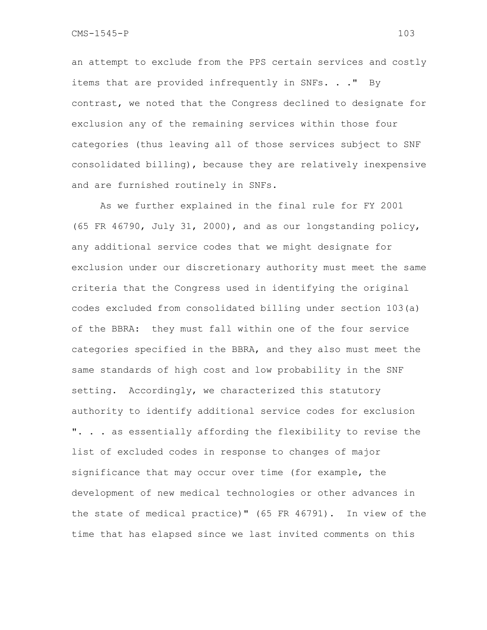an attempt to exclude from the PPS certain services and costly items that are provided infrequently in SNFs. . . " By contrast, we noted that the Congress declined to designate for exclusion any of the remaining services within those four categories (thus leaving all of those services subject to SNF consolidated billing), because they are relatively inexpensive and are furnished routinely in SNFs.

As we further explained in the final rule for FY 2001 (65 FR 46790, July 31, 2000), and as our longstanding policy, any additional service codes that we might designate for exclusion under our discretionary authority must meet the same criteria that the Congress used in identifying the original codes excluded from consolidated billing under section 103(a) of the BBRA: they must fall within one of the four service categories specified in the BBRA, and they also must meet the same standards of high cost and low probability in the SNF setting. Accordingly, we characterized this statutory authority to identify additional service codes for exclusion ". . . as essentially affording the flexibility to revise the list of excluded codes in response to changes of major significance that may occur over time (for example, the development of new medical technologies or other advances in the state of medical practice)" (65 FR 46791). In view of the time that has elapsed since we last invited comments on this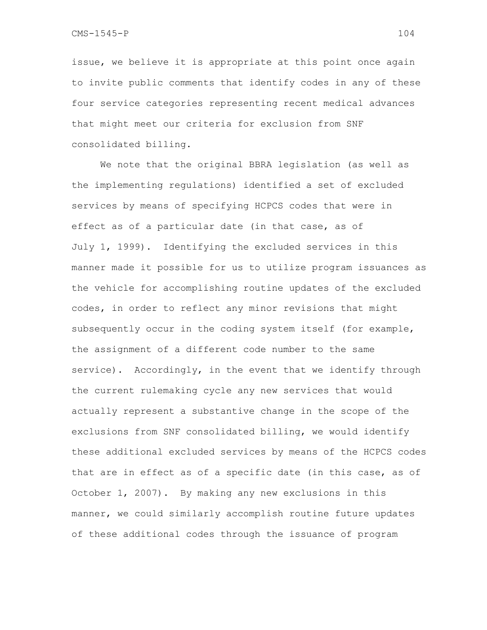issue, we believe it is appropriate at this point once again to invite public comments that identify codes in any of these four service categories representing recent medical advances that might meet our criteria for exclusion from SNF consolidated billing.

We note that the original BBRA legislation (as well as the implementing regulations) identified a set of excluded services by means of specifying HCPCS codes that were in effect as of a particular date (in that case, as of July 1, 1999). Identifying the excluded services in this manner made it possible for us to utilize program issuances as the vehicle for accomplishing routine updates of the excluded codes, in order to reflect any minor revisions that might subsequently occur in the coding system itself (for example, the assignment of a different code number to the same service). Accordingly, in the event that we identify through the current rulemaking cycle any new services that would actually represent a substantive change in the scope of the exclusions from SNF consolidated billing, we would identify these additional excluded services by means of the HCPCS codes that are in effect as of a specific date (in this case, as of October 1, 2007). By making any new exclusions in this manner, we could similarly accomplish routine future updates of these additional codes through the issuance of program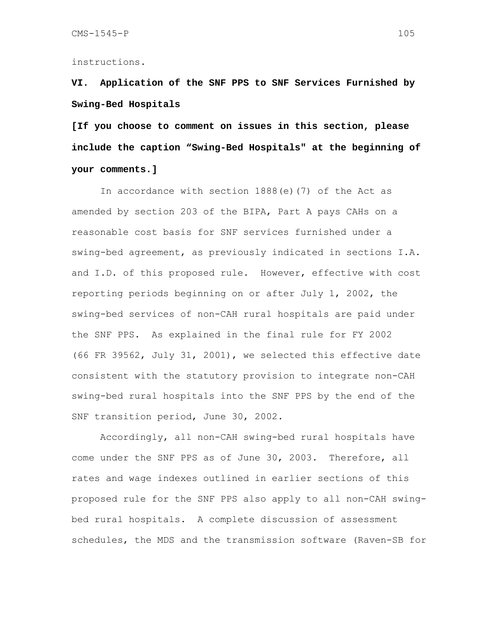### instructions.

**VI. Application of the SNF PPS to SNF Services Furnished by Swing-Bed Hospitals** 

**[If you choose to comment on issues in this section, please include the caption "Swing-Bed Hospitals" at the beginning of your comments.]** 

 In accordance with section 1888(e)(7) of the Act as amended by section 203 of the BIPA, Part A pays CAHs on a reasonable cost basis for SNF services furnished under a swing-bed agreement, as previously indicated in sections I.A. and I.D. of this proposed rule. However, effective with cost reporting periods beginning on or after July 1, 2002, the swing-bed services of non-CAH rural hospitals are paid under the SNF PPS.As explained in the final rule for FY 2002 (66 FR 39562, July 31, 2001), we selected this effective date consistent with the statutory provision to integrate non-CAH swing-bed rural hospitals into the SNF PPS by the end of the SNF transition period, June 30, 2002.

Accordingly, all non-CAH swing-bed rural hospitals have come under the SNF PPS as of June 30, 2003. Therefore, all rates and wage indexes outlined in earlier sections of this proposed rule for the SNF PPS also apply to all non-CAH swingbed rural hospitals. A complete discussion of assessment schedules, the MDS and the transmission software (Raven-SB for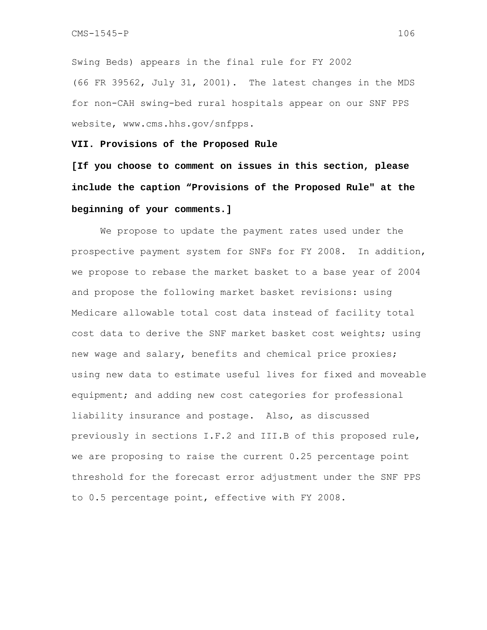Swing Beds) appears in the final rule for FY 2002 (66 FR 39562, July 31, 2001). The latest changes in the MDS for non-CAH swing-bed rural hospitals appear on our SNF PPS website, www.cms.hhs.gov/snfpps.

**VII. Provisions of the Proposed Rule** 

**[If you choose to comment on issues in this section, please include the caption "Provisions of the Proposed Rule" at the beginning of your comments.]** 

 We propose to update the payment rates used under the prospective payment system for SNFs for FY 2008. In addition, we propose to rebase the market basket to a base year of 2004 and propose the following market basket revisions: using Medicare allowable total cost data instead of facility total cost data to derive the SNF market basket cost weights; using new wage and salary, benefits and chemical price proxies; using new data to estimate useful lives for fixed and moveable equipment; and adding new cost categories for professional liability insurance and postage. Also, as discussed previously in sections I.F.2 and III.B of this proposed rule, we are proposing to raise the current 0.25 percentage point threshold for the forecast error adjustment under the SNF PPS to 0.5 percentage point, effective with FY 2008.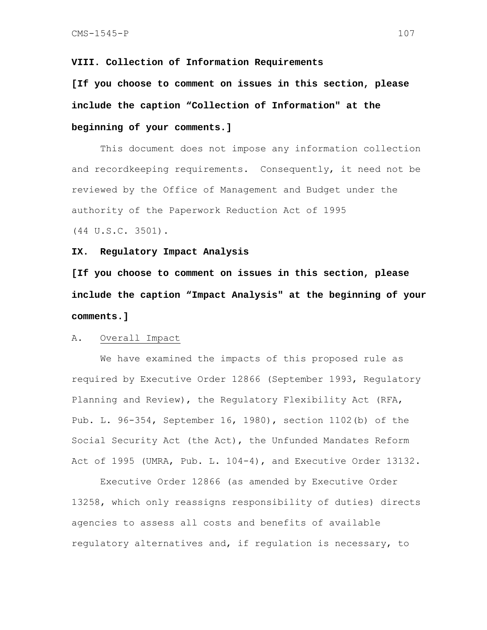### **VIII. Collection of Information Requirements**

**[If you choose to comment on issues in this section, please include the caption "Collection of Information" at the beginning of your comments.]** 

This document does not impose any information collection and recordkeeping requirements. Consequently, it need not be reviewed by the Office of Management and Budget under the authority of the Paperwork Reduction Act of 1995

(44 U.S.C. 3501).

#### **IX. Regulatory Impact Analysis**

**[If you choose to comment on issues in this section, please include the caption "Impact Analysis" at the beginning of your comments.]** 

#### A. Overall Impact

 We have examined the impacts of this proposed rule as required by Executive Order 12866 (September 1993, Regulatory Planning and Review), the Regulatory Flexibility Act (RFA, Pub. L. 96-354, September 16, 1980), section 1102(b) of the Social Security Act (the Act), the Unfunded Mandates Reform Act of 1995 (UMRA, Pub. L. 104-4), and Executive Order 13132.

 Executive Order 12866 (as amended by Executive Order 13258, which only reassigns responsibility of duties) directs agencies to assess all costs and benefits of available regulatory alternatives and, if regulation is necessary, to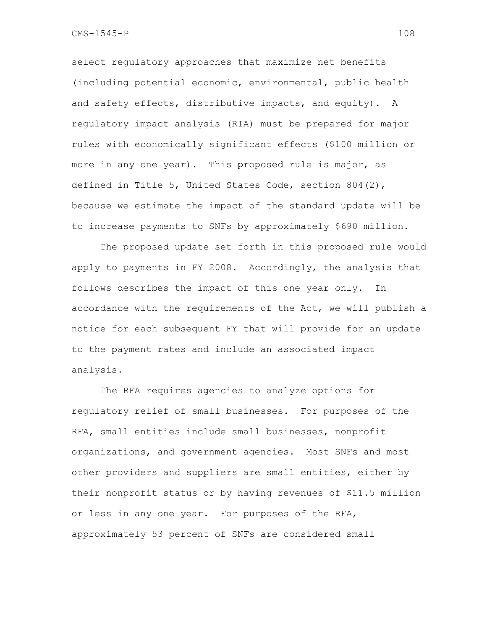select regulatory approaches that maximize net benefits (including potential economic, environmental, public health and safety effects, distributive impacts, and equity). A regulatory impact analysis (RIA) must be prepared for major rules with economically significant effects (\$100 million or more in any one year). This proposed rule is major, as defined in Title 5, United States Code, section 804(2), because we estimate the impact of the standard update will be to increase payments to SNFs by approximately \$690 million.

The proposed update set forth in this proposed rule would apply to payments in FY 2008. Accordingly, the analysis that follows describes the impact of this one year only. In accordance with the requirements of the Act, we will publish a notice for each subsequent FY that will provide for an update to the payment rates and include an associated impact analysis.

 The RFA requires agencies to analyze options for regulatory relief of small businesses. For purposes of the RFA, small entities include small businesses, nonprofit organizations, and government agencies. Most SNFs and most other providers and suppliers are small entities, either by their nonprofit status or by having revenues of \$11.5 million or less in any one year. For purposes of the RFA, approximately 53 percent of SNFs are considered small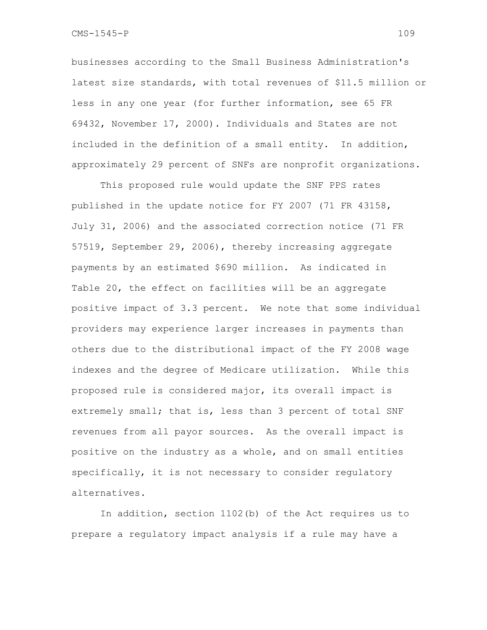businesses according to the Small Business Administration's latest size standards, with total revenues of \$11.5 million or less in any one year (for further information, see 65 FR 69432, November 17, 2000). Individuals and States are not included in the definition of a small entity. In addition, approximately 29 percent of SNFs are nonprofit organizations.

This proposed rule would update the SNF PPS rates published in the update notice for FY 2007 (71 FR 43158, July 31, 2006) and the associated correction notice (71 FR 57519, September 29, 2006), thereby increasing aggregate payments by an estimated \$690 million. As indicated in Table 20, the effect on facilities will be an aggregate positive impact of 3.3 percent. We note that some individual providers may experience larger increases in payments than others due to the distributional impact of the FY 2008 wage indexes and the degree of Medicare utilization. While this proposed rule is considered major, its overall impact is extremely small; that is, less than 3 percent of total SNF revenues from all payor sources. As the overall impact is positive on the industry as a whole, and on small entities specifically, it is not necessary to consider regulatory alternatives.

In addition, section 1102(b) of the Act requires us to prepare a regulatory impact analysis if a rule may have a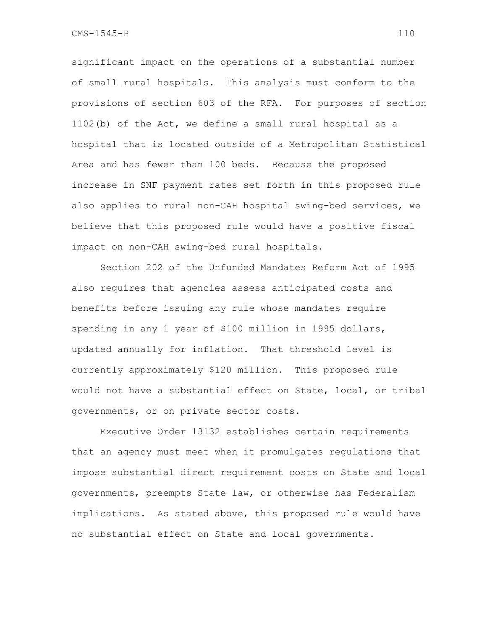significant impact on the operations of a substantial number of small rural hospitals. This analysis must conform to the provisions of section 603 of the RFA. For purposes of section 1102(b) of the Act, we define a small rural hospital as a hospital that is located outside of a Metropolitan Statistical Area and has fewer than 100 beds. Because the proposed increase in SNF payment rates set forth in this proposed rule also applies to rural non-CAH hospital swing-bed services, we believe that this proposed rule would have a positive fiscal impact on non-CAH swing-bed rural hospitals.

Section 202 of the Unfunded Mandates Reform Act of 1995 also requires that agencies assess anticipated costs and benefits before issuing any rule whose mandates require spending in any 1 year of \$100 million in 1995 dollars, updated annually for inflation. That threshold level is currently approximately \$120 million. This proposed rule would not have a substantial effect on State, local, or tribal governments, or on private sector costs.

Executive Order 13132 establishes certain requirements that an agency must meet when it promulgates regulations that impose substantial direct requirement costs on State and local governments, preempts State law, or otherwise has Federalism implications. As stated above, this proposed rule would have no substantial effect on State and local governments.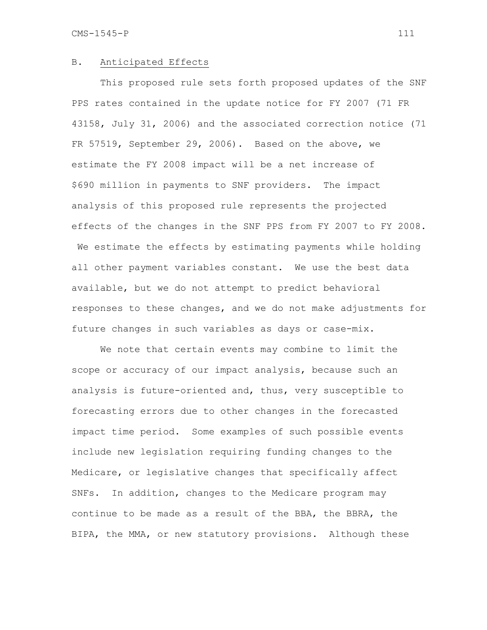#### B. Anticipated Effects

This proposed rule sets forth proposed updates of the SNF PPS rates contained in the update notice for FY 2007 (71 FR 43158, July 31, 2006) and the associated correction notice (71 FR 57519, September 29, 2006). Based on the above, we estimate the FY 2008 impact will be a net increase of \$690 million in payments to SNF providers. The impact analysis of this proposed rule represents the projected effects of the changes in the SNF PPS from FY 2007 to FY 2008. We estimate the effects by estimating payments while holding all other payment variables constant. We use the best data available, but we do not attempt to predict behavioral responses to these changes, and we do not make adjustments for future changes in such variables as days or case-mix.

 We note that certain events may combine to limit the scope or accuracy of our impact analysis, because such an analysis is future-oriented and, thus, very susceptible to forecasting errors due to other changes in the forecasted impact time period. Some examples of such possible events include new legislation requiring funding changes to the Medicare, or legislative changes that specifically affect SNFs. In addition, changes to the Medicare program may continue to be made as a result of the BBA, the BBRA, the BIPA, the MMA, or new statutory provisions. Although these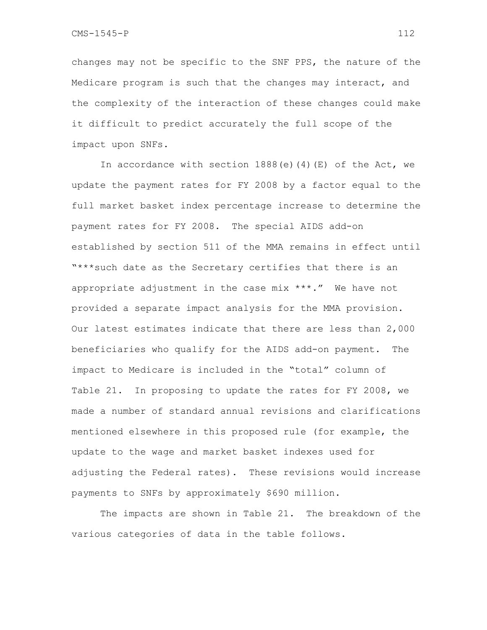changes may not be specific to the SNF PPS, the nature of the Medicare program is such that the changes may interact, and the complexity of the interaction of these changes could make it difficult to predict accurately the full scope of the impact upon SNFs.

In accordance with section  $1888(e)$  (4)(E) of the Act, we update the payment rates for FY 2008 by a factor equal to the full market basket index percentage increase to determine the payment rates for FY 2008. The special AIDS add-on established by section 511 of the MMA remains in effect until "\*\*\*such date as the Secretary certifies that there is an appropriate adjustment in the case mix  $***$ ." We have not provided a separate impact analysis for the MMA provision. Our latest estimates indicate that there are less than 2,000 beneficiaries who qualify for the AIDS add-on payment. The impact to Medicare is included in the "total" column of Table 21. In proposing to update the rates for FY 2008, we made a number of standard annual revisions and clarifications mentioned elsewhere in this proposed rule (for example, the update to the wage and market basket indexes used for adjusting the Federal rates). These revisions would increase payments to SNFs by approximately \$690 million.

The impacts are shown in Table 21. The breakdown of the various categories of data in the table follows.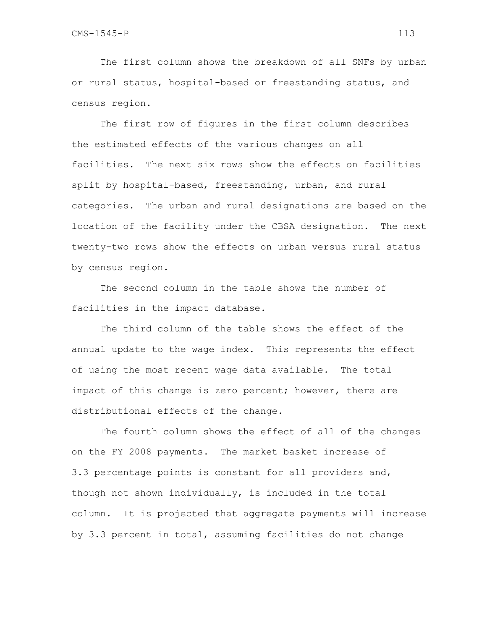The first column shows the breakdown of all SNFs by urban or rural status, hospital-based or freestanding status, and census region.

 The first row of figures in the first column describes the estimated effects of the various changes on all facilities. The next six rows show the effects on facilities split by hospital-based, freestanding, urban, and rural categories. The urban and rural designations are based on the location of the facility under the CBSA designation. The next twenty-two rows show the effects on urban versus rural status by census region.

 The second column in the table shows the number of facilities in the impact database.

 The third column of the table shows the effect of the annual update to the wage index. This represents the effect of using the most recent wage data available. The total impact of this change is zero percent; however, there are distributional effects of the change.

The fourth column shows the effect of all of the changes on the FY 2008 payments. The market basket increase of 3.3 percentage points is constant for all providers and, though not shown individually, is included in the total column. It is projected that aggregate payments will increase by 3.3 percent in total, assuming facilities do not change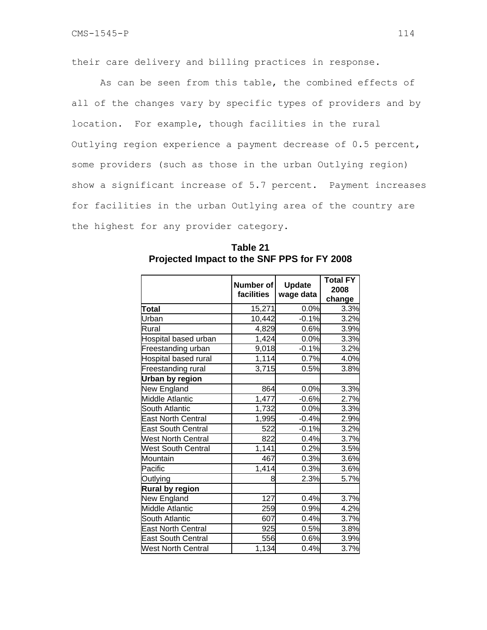their care delivery and billing practices in response.

As can be seen from this table, the combined effects of all of the changes vary by specific types of providers and by location. For example, though facilities in the rural Outlying region experience a payment decrease of 0.5 percent, some providers (such as those in the urban Outlying region) show a significant increase of 5.7 percent. Payment increases for facilities in the urban Outlying area of the country are the highest for any provider category.

|                           | Number of<br>facilities | <b>Update</b><br>wage data | <b>Total FY</b><br>2008<br>change |
|---------------------------|-------------------------|----------------------------|-----------------------------------|
| Total                     | 15,271                  | 0.0%                       | 3.3%                              |
| Urban                     | 10,442                  | $-0.1%$                    | 3.2%                              |
| Rural                     | 4,829                   | 0.6%                       | 3.9%                              |
| Hospital based urban      | 1,424                   | 0.0%                       | 3.3%                              |
| Freestanding urban        | 9,018                   | $-0.1%$                    | 3.2%                              |
| Hospital based rural      | 1,114                   | 0.7%                       | 4.0%                              |
| Freestanding rural        | 3,715                   | 0.5%                       | 3.8%                              |
| Urban by region           |                         |                            |                                   |
| New England               | 864                     | 0.0%                       | 3.3%                              |
| Middle Atlantic           | 1,477                   | $-0.6%$                    | 2.7%                              |
| South Atlantic            | 1,732                   | 0.0%                       | 3.3%                              |
| <b>East North Central</b> | 1,995                   | $-0.4%$                    | 2.9%                              |
| <b>East South Central</b> | 522                     | $-0.1%$                    | 3.2%                              |
| <b>West North Central</b> | 822                     | 0.4%                       | 3.7%                              |
| <b>West South Central</b> | 1,141                   | 0.2%                       | 3.5%                              |
| Mountain                  | 467                     | 0.3%                       | 3.6%                              |
| Pacific                   | 1,414                   | 0.3%                       | 3.6%                              |
| Outlying                  | 8                       | 2.3%                       | 5.7%                              |
| <b>Rural by region</b>    |                         |                            |                                   |
| New England               | 127                     | 0.4%                       | 3.7%                              |
| Middle Atlantic           | 259                     | 0.9%                       | 4.2%                              |
| South Atlantic            | 607                     | 0.4%                       | 3.7%                              |
| <b>East North Central</b> | 925                     | 0.5%                       | 3.8%                              |
| <b>East South Central</b> | 556                     | 0.6%                       | 3.9%                              |
| <b>West North Central</b> | 1,134                   | 0.4%                       | 3.7%                              |

**Table 21 Projected Impact to the SNF PPS for FY 2008**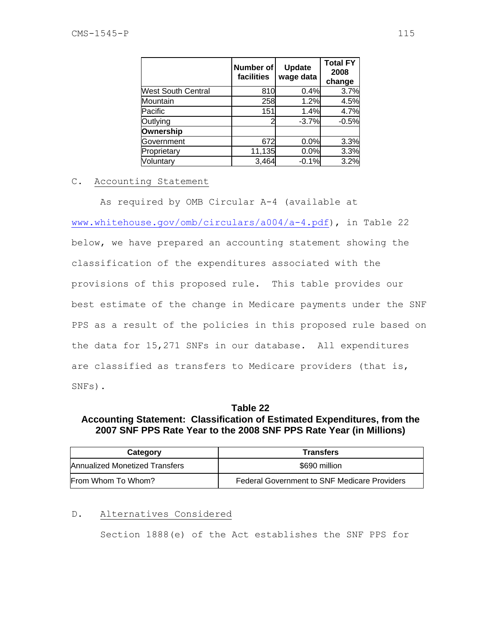|                           | Number of<br>facilities | <b>Update</b><br>wage data | <b>Total FY</b><br>2008<br>change |
|---------------------------|-------------------------|----------------------------|-----------------------------------|
| <b>West South Central</b> | 810                     | 0.4%                       | 3.7%                              |
| Mountain                  | 258                     | 1.2%                       | 4.5%                              |
| Pacific                   | 151                     | 1.4%                       | 4.7%                              |
| Outlying                  |                         | $-3.7%$                    | $-0.5%$                           |
| Ownership                 |                         |                            |                                   |
| Government                | 672                     | 0.0%                       | 3.3%                              |
| Proprietary               | 11,135                  | 0.0%                       | 3.3%                              |
| Voluntary                 | 3,464                   | $-0.1%$                    | 3.2%                              |

## C. Accounting Statement

 As required by OMB Circular A-4 (available at www.whitehouse.gov/omb/circulars/a004/a-4.pdf), in Table 22 below, we have prepared an accounting statement showing the classification of the expenditures associated with the provisions of this proposed rule. This table provides our best estimate of the change in Medicare payments under the SNF PPS as a result of the policies in this proposed rule based on the data for 15,271 SNFs in our database. All expenditures are classified as transfers to Medicare providers (that is, SNFs).

# **Table 22 Accounting Statement: Classification of Estimated Expenditures, from the 2007 SNF PPS Rate Year to the 2008 SNF PPS Rate Year (in Millions)**

| Category                       | <b>Transfers</b>                                    |
|--------------------------------|-----------------------------------------------------|
| Annualized Monetized Transfers | \$690 million                                       |
| From Whom To Whom?             | <b>Federal Government to SNF Medicare Providers</b> |

# D. Alternatives Considered

Section 1888(e) of the Act establishes the SNF PPS for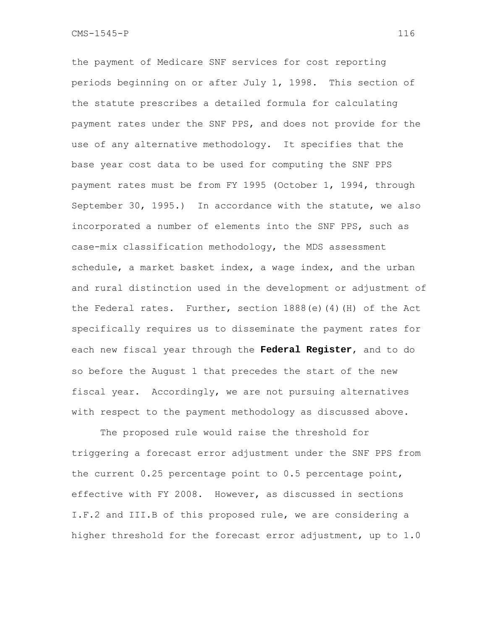the payment of Medicare SNF services for cost reporting periods beginning on or after July 1, 1998. This section of the statute prescribes a detailed formula for calculating payment rates under the SNF PPS, and does not provide for the use of any alternative methodology. It specifies that the base year cost data to be used for computing the SNF PPS payment rates must be from FY 1995 (October 1, 1994, through September 30, 1995.) In accordance with the statute, we also incorporated a number of elements into the SNF PPS, such as case-mix classification methodology, the MDS assessment schedule, a market basket index, a wage index, and the urban and rural distinction used in the development or adjustment of the Federal rates. Further, section  $1888(e)$  (4)(H) of the Act specifically requires us to disseminate the payment rates for each new fiscal year through the **Federal Register**, and to do so before the August 1 that precedes the start of the new fiscal year. Accordingly, we are not pursuing alternatives with respect to the payment methodology as discussed above.

The proposed rule would raise the threshold for triggering a forecast error adjustment under the SNF PPS from the current 0.25 percentage point to 0.5 percentage point, effective with FY 2008. However, as discussed in sections I.F.2 and III.B of this proposed rule, we are considering a higher threshold for the forecast error adjustment, up to 1.0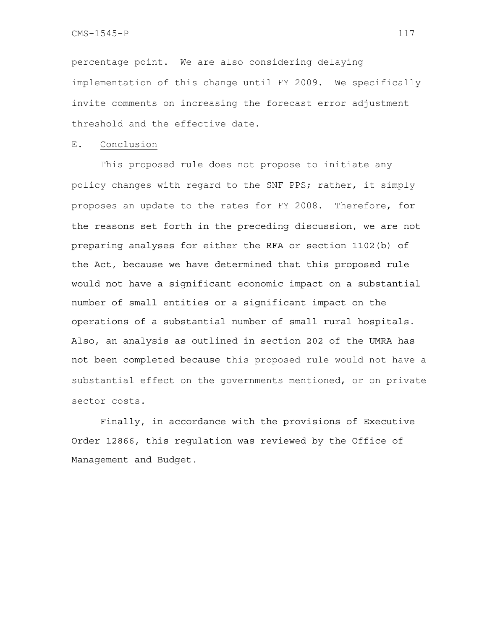percentage point. We are also considering delaying implementation of this change until FY 2009. We specifically invite comments on increasing the forecast error adjustment threshold and the effective date.

#### E. Conclusion

This proposed rule does not propose to initiate any policy changes with regard to the SNF PPS; rather, it simply proposes an update to the rates for FY 2008. Therefore, for the reasons set forth in the preceding discussion, we are not preparing analyses for either the RFA or section 1102(b) of the Act, because we have determined that this proposed rule would not have a significant economic impact on a substantial number of small entities or a significant impact on the operations of a substantial number of small rural hospitals. Also, an analysis as outlined in section 202 of the UMRA has not been completed because this proposed rule would not have a substantial effect on the governments mentioned, or on private sector costs.

Finally, in accordance with the provisions of Executive Order 12866, this regulation was reviewed by the Office of Management and Budget.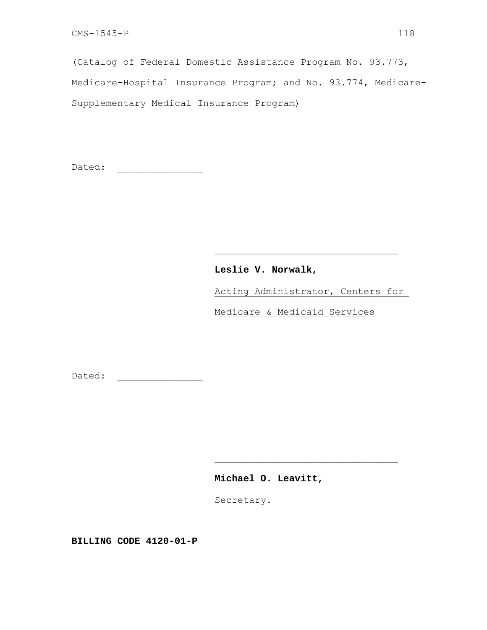(Catalog of Federal Domestic Assistance Program No. 93.773, Medicare-Hospital Insurance Program; and No. 93.774, Medicare-Supplementary Medical Insurance Program)

Dated: \_\_\_\_\_\_\_\_\_\_\_\_\_\_\_

# **Leslie V. Norwalk,**

 $\mathcal{L}_\mathcal{L} = \{ \mathcal{L}_\mathcal{L} \mid \mathcal{L}_\mathcal{L} \in \mathcal{L}_\mathcal{L} \}$  , where  $\mathcal{L}_\mathcal{L} = \{ \mathcal{L}_\mathcal{L} \mid \mathcal{L}_\mathcal{L} \in \mathcal{L}_\mathcal{L} \}$ 

Acting Administrator, Centers for

Medicare & Medicaid Services

Dated: \_\_\_\_\_\_\_\_\_\_\_\_\_\_\_

**Michael O. Leavitt,** 

Secretary.

 $\mathcal{L}_\mathcal{L} = \{ \mathcal{L}_\mathcal{L} \mid \mathcal{L}_\mathcal{L} \in \mathcal{L}_\mathcal{L} \}$  , where  $\mathcal{L}_\mathcal{L} = \{ \mathcal{L}_\mathcal{L} \mid \mathcal{L}_\mathcal{L} \in \mathcal{L}_\mathcal{L} \}$ 

**BILLING CODE 4120-01-P**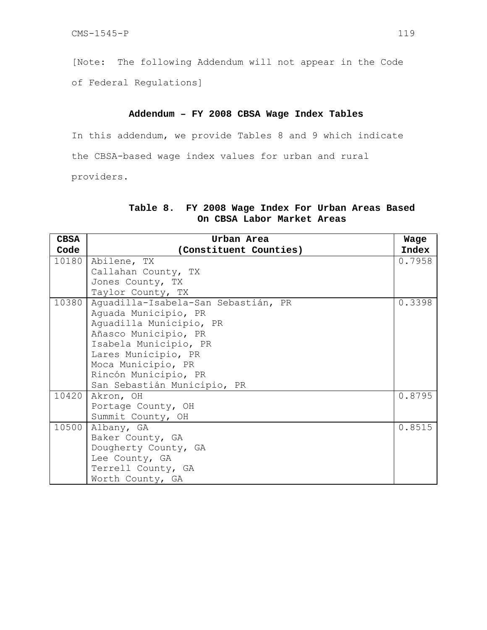[Note: The following Addendum will not appear in the Code

of Federal Regulations]

### **Addendum – FY 2008 CBSA Wage Index Tables**

In this addendum, we provide Tables 8 and 9 which indicate the CBSA-based wage index values for urban and rural

providers.

## **Table 8. FY 2008 Wage Index For Urban Areas Based On CBSA Labor Market Areas**

| <b>CBSA</b> | Urban Area                          | Wage   |
|-------------|-------------------------------------|--------|
| Code        | (Constituent Counties)              | Index  |
| 10180       | Abilene, TX                         | 0.7958 |
|             | Callahan County, TX                 |        |
|             | Jones County, TX                    |        |
|             | Taylor County, TX                   |        |
| 10380       | Aguadilla-Isabela-San Sebastián, PR | 0.3398 |
|             | Aquada Municipio, PR                |        |
|             | Aquadilla Municipio, PR             |        |
|             | Añasco Municipio, PR                |        |
|             | Isabela Municipio, PR               |        |
|             | Lares Municipio, PR                 |        |
|             | Moca Municipio, PR                  |        |
|             | Rincón Municipio, PR                |        |
|             | San Sebastián Municipio, PR         |        |
| 10420       | Akron, OH                           | 0.8795 |
|             | Portage County, OH                  |        |
|             | Summit County, OH                   |        |
| 10500       | Albany, GA                          | 0.8515 |
|             | Baker County, GA                    |        |
|             | Dougherty County, GA                |        |
|             | Lee County, GA                      |        |
|             | Terrell County, GA                  |        |
|             | Worth County, GA                    |        |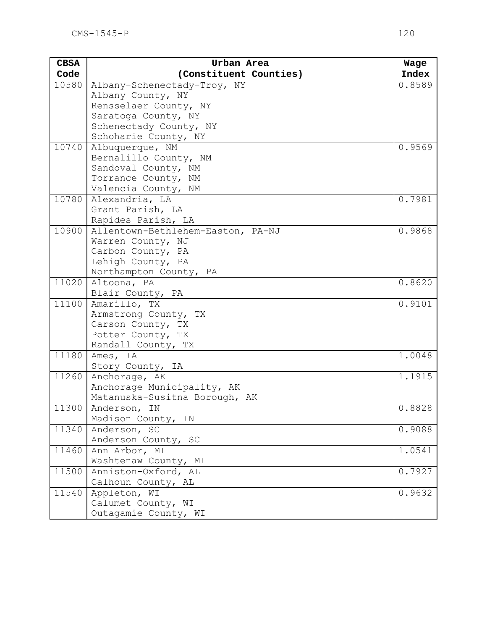| <b>CBSA</b> | Urban Area                             | Wage   |
|-------------|----------------------------------------|--------|
| Code        | (Constituent Counties)                 | Index  |
| 10580       | Albany-Schenectady-Troy, NY            | 0.8589 |
|             | Albany County, NY                      |        |
|             | Rensselaer County, NY                  |        |
|             | Saratoga County, NY                    |        |
|             | Schenectady County, NY                 |        |
|             | Schoharie County, NY                   |        |
| 10740       | Albuquerque, NM                        | 0.9569 |
|             | Bernalillo County, NM                  |        |
|             | Sandoval County, NM                    |        |
|             | Torrance County, NM                    |        |
|             | Valencia County, NM                    |        |
| 10780       | Alexandria, LA                         | 0.7981 |
|             | Grant Parish, LA                       |        |
|             | Rapides Parish, LA                     |        |
| 10900       | Allentown-Bethlehem-Easton, PA-NJ      | 0.9868 |
|             | Warren County, NJ                      |        |
|             | Carbon County, PA<br>Lehigh County, PA |        |
|             | Northampton County, PA                 |        |
| 11020       | Altoona, PA                            | 0.8620 |
|             | Blair County, PA                       |        |
| 11100       | Amarillo, TX                           | 0.9101 |
|             | Armstrong County, TX                   |        |
|             | Carson County, TX                      |        |
|             | Potter County, TX                      |        |
|             | Randall County, TX                     |        |
| 11180       | Ames, IA                               | 1.0048 |
|             | Story County, IA                       |        |
| 11260       | Anchorage, AK                          | 1.1915 |
|             | Anchorage Municipality, AK             |        |
|             | Matanuska-Susitna Borough, AK          |        |
| 11300       | Anderson, IN                           | 0.8828 |
|             | Madison County, IN                     |        |
| 11340       | Anderson, SC                           | 0.9088 |
|             | Anderson County, SC                    |        |
| 11460       | Ann Arbor, MI                          | 1.0541 |
|             | Washtenaw County, MI                   |        |
| 11500       | Anniston-Oxford, AL                    | 0.7927 |
|             | Calhoun County, AL                     |        |
| 11540       | Appleton, WI                           | 0.9632 |
|             | Calumet County, WI                     |        |
|             | Outagamie County, WI                   |        |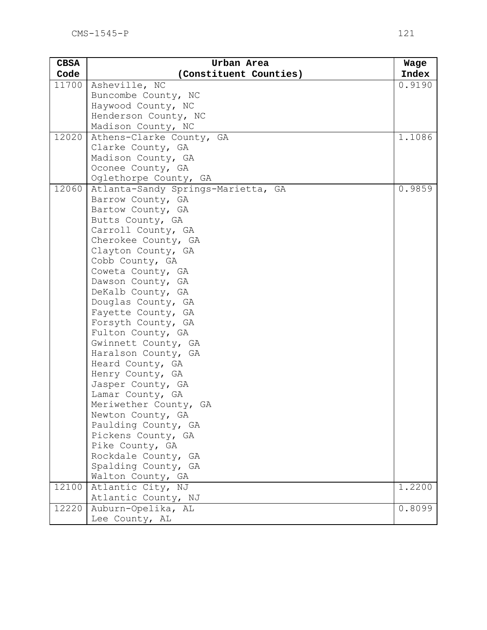| <b>CBSA</b> | Urban Area                                | Wage   |
|-------------|-------------------------------------------|--------|
| Code        | (Constituent Counties)                    | Index  |
| 11700       | Asheville, NC                             | 0.9190 |
|             | Buncombe County, NC                       |        |
|             | Haywood County, NC                        |        |
|             | Henderson County, NC                      |        |
|             | Madison County, NC                        |        |
| 12020       | Athens-Clarke County, GA                  | 1.1086 |
|             | Clarke County, GA                         |        |
|             | Madison County, GA                        |        |
|             | Oconee County, GA                         |        |
|             | Oglethorpe County, GA                     |        |
| 12060       | Atlanta-Sandy Springs-Marietta, GA        | 0.9859 |
|             | Barrow County, GA                         |        |
|             | Bartow County, GA                         |        |
|             | Butts County, GA                          |        |
|             | Carroll County, GA                        |        |
|             | Cherokee County, GA<br>Clayton County, GA |        |
|             | Cobb County, GA                           |        |
|             | Coweta County, GA                         |        |
|             | Dawson County, GA                         |        |
|             | DeKalb County, GA                         |        |
|             | Douglas County, GA                        |        |
|             | Fayette County, GA                        |        |
|             | Forsyth County, GA                        |        |
|             | Fulton County, GA                         |        |
|             | Gwinnett County, GA                       |        |
|             | Haralson County, GA                       |        |
|             | Heard County, GA                          |        |
|             | Henry County, GA                          |        |
|             | Jasper County, GA                         |        |
|             | Lamar County, GA                          |        |
|             | Meriwether County, GA                     |        |
|             | Newton County, GA                         |        |
|             | Paulding County, GA                       |        |
|             | Pickens County, GA                        |        |
|             | Pike County, GA                           |        |
|             | Rockdale County, GA                       |        |
|             | Spalding County, GA                       |        |
|             | Walton County, GA                         |        |
| 12100       | Atlantic City, NJ                         | 1.2200 |
|             | Atlantic County, NJ                       |        |
| 12220       | Auburn-Opelika, AL                        | 0.8099 |
|             | Lee County, AL                            |        |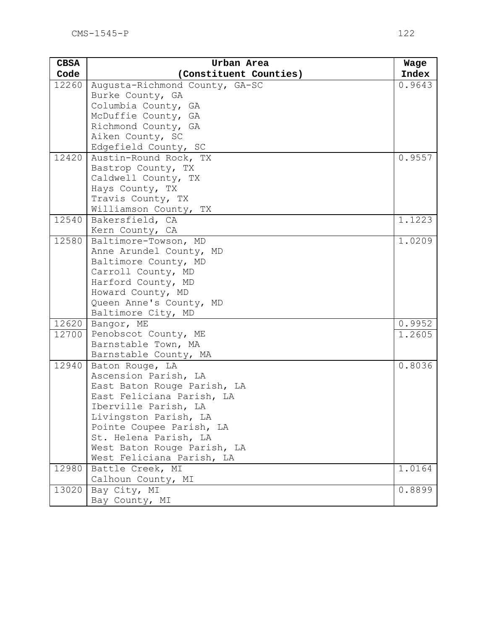| <b>CBSA</b> | Urban Area                     | Wage   |
|-------------|--------------------------------|--------|
| Code        | (Constituent Counties)         | Index  |
| 12260       | Augusta-Richmond County, GA-SC | 0.9643 |
|             | Burke County, GA               |        |
|             | Columbia County, GA            |        |
|             | McDuffie County, GA            |        |
|             | Richmond County, GA            |        |
|             | Aiken County, SC               |        |
|             | Edgefield County, SC           |        |
| 12420       | Austin-Round Rock, TX          | 0.9557 |
|             | Bastrop County, TX             |        |
|             | Caldwell County, TX            |        |
|             | Hays County, TX                |        |
|             | Travis County, TX              |        |
|             | Williamson County, TX          |        |
| 12540       | Bakersfield, CA                | 1.1223 |
|             | Kern County, CA                |        |
| 12580       | Baltimore-Towson, MD           | 1.0209 |
|             | Anne Arundel County, MD        |        |
|             | Baltimore County, MD           |        |
|             | Carroll County, MD             |        |
|             | Harford County, MD             |        |
|             | Howard County, MD              |        |
|             | Queen Anne's County, MD        |        |
|             | Baltimore City, MD             |        |
| 12620       | Bangor, ME                     | 0.9952 |
| 12700       | Penobscot County, ME           | 1.2605 |
|             | Barnstable Town, MA            |        |
|             | Barnstable County, MA          |        |
| 12940       | Baton Rouge, LA                | 0.8036 |
|             | Ascension Parish, LA           |        |
|             | East Baton Rouge Parish, LA    |        |
|             | East Feliciana Parish, LA      |        |
|             | Iberville Parish, LA           |        |
|             | Livingston Parish, LA          |        |
|             | Pointe Coupee Parish, LA       |        |
|             | St. Helena Parish, LA          |        |
|             | West Baton Rouge Parish, LA    |        |
|             | West Feliciana Parish, LA      |        |
| 12980       | Battle Creek, MI               | 1.0164 |
|             | Calhoun County, MI             |        |
| 13020       | Bay City, MI                   | 0.8899 |
|             | Bay County, MI                 |        |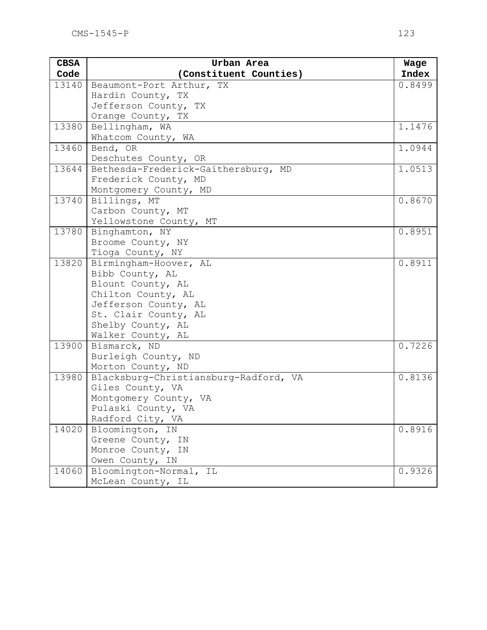| <b>CBSA</b> | Urban Area                                 | Wage   |
|-------------|--------------------------------------------|--------|
| Code        | (Constituent Counties)                     | Index  |
| 13140       | Beaumont-Port Arthur, TX                   | 0.8499 |
|             | Hardin County, TX                          |        |
|             | Jefferson County, TX                       |        |
|             | Orange County, TX                          |        |
| 13380       | Bellingham, WA                             | 1.1476 |
|             | Whatcom County, WA                         |        |
| 13460       | Bend, OR                                   | 1.0944 |
|             | Deschutes County, OR                       |        |
| 13644       | Bethesda-Frederick-Gaithersburg, MD        | 1.0513 |
|             | Frederick County, MD                       |        |
|             | Montgomery County, MD                      |        |
| 13740       | Billings, MT                               | 0.8670 |
|             | Carbon County, MT                          |        |
|             | Yellowstone County, MT                     |        |
| 13780       | Binghamton, NY                             | 0.8951 |
|             | Broome County, NY                          |        |
|             | Tioga County, NY                           |        |
| 13820       | Birmingham-Hoover, AL                      | 0.8911 |
|             | Bibb County, AL                            |        |
|             | Blount County, AL                          |        |
|             | Chilton County, AL<br>Jefferson County, AL |        |
|             | St. Clair County, AL                       |        |
|             | Shelby County, AL                          |        |
|             | Walker County, AL                          |        |
| 13900       | Bismarck, ND                               | 0.7226 |
|             | Burleigh County, ND                        |        |
|             | Morton County, ND                          |        |
| 13980       | Blacksburg-Christiansburg-Radford, VA      | 0.8136 |
|             | Giles County, VA                           |        |
|             | Montgomery County, VA                      |        |
|             | Pulaski County, VA                         |        |
|             | Radford City, VA                           |        |
| 14020       | Bloomington, IN                            | 0.8916 |
|             | Greene County, IN                          |        |
|             | Monroe County, IN                          |        |
|             | Owen County, IN                            |        |
| 14060       | Bloomington-Normal, IL                     | 0.9326 |
|             | McLean County, IL                          |        |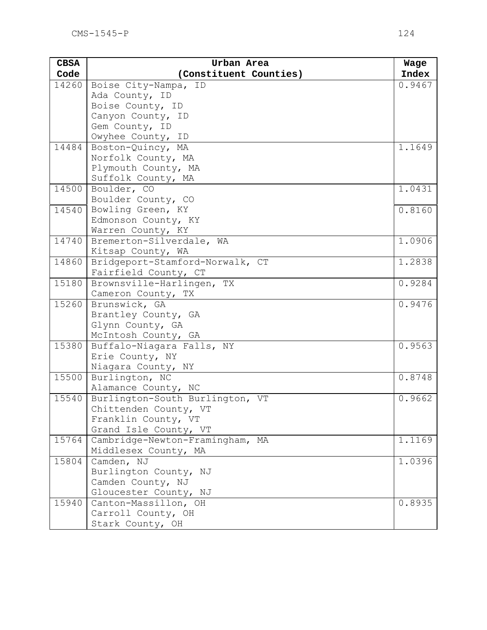| <b>CBSA</b> | Urban Area                                    | Wage                  |
|-------------|-----------------------------------------------|-----------------------|
| Code        | (Constituent Counties)                        | Index                 |
| 14260       | Boise City-Nampa, ID                          | 0.9467                |
|             | Ada County, ID                                |                       |
|             | Boise County, ID                              |                       |
|             | Canyon County, ID                             |                       |
|             | Gem County, ID                                |                       |
|             | Owyhee County, ID                             |                       |
| 14484       | Boston-Quincy, MA                             | 1.1649                |
|             | Norfolk County, MA                            |                       |
|             | Plymouth County, MA                           |                       |
|             | Suffolk County, MA                            |                       |
| 14500       | Boulder, CO                                   | 1.0431                |
|             | Boulder County, CO                            |                       |
| 14540       | Bowling Green, KY                             | 0.8160                |
|             | Edmonson County, KY                           |                       |
| 14740       | Warren County, KY<br>Bremerton-Silverdale, WA | 1.0906                |
|             | Kitsap County, WA                             |                       |
| 14860       | Bridgeport-Stamford-Norwalk, CT               | 1.2838                |
|             | Fairfield County, CT                          |                       |
| 15180       | Brownsville-Harlingen, TX                     | 0.9284                |
|             | Cameron County, TX                            |                       |
| 15260       | Brunswick, GA                                 | 0.9476                |
|             | Brantley County, GA                           |                       |
|             | Glynn County, GA                              |                       |
|             | McIntosh County, GA                           |                       |
| 15380       | Buffalo-Niagara Falls, NY                     | 0.9563                |
|             | Erie County, NY                               |                       |
|             | Niagara County, NY                            |                       |
| 15500       | Burlington, NC                                | 0.8748                |
|             | Alamance County, NC                           |                       |
| 15540       | Burlington-South Burlington, VT               | 0.9662                |
|             | Chittenden County, VT                         |                       |
|             | Franklin County, VT                           |                       |
|             | Grand Isle County, VT                         |                       |
| 15764       | Cambridge-Newton-Framingham, MA               | $\overline{1}$ . 1169 |
|             | Middlesex County, MA                          |                       |
| 15804       | Camden, NJ                                    | 1.0396                |
|             | Burlington County, NJ                         |                       |
|             | Camden County, NJ                             |                       |
|             | Gloucester County, NJ                         |                       |
| 15940       | Canton-Massillon, OH                          | 0.8935                |
|             | Carroll County, OH                            |                       |
|             | Stark County, OH                              |                       |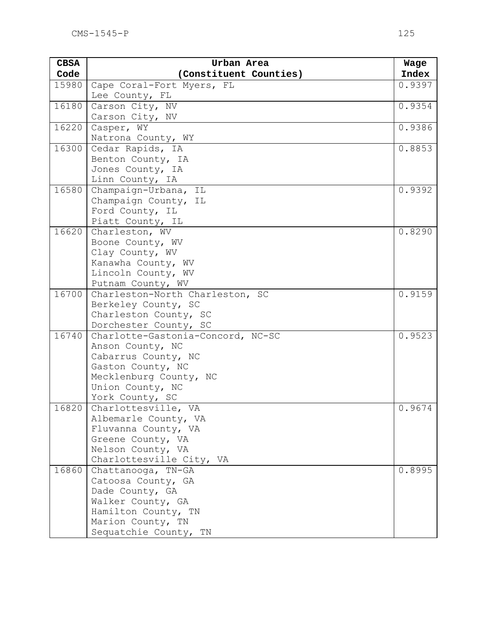| <b>CBSA</b> | Urban Area                             | Wage   |
|-------------|----------------------------------------|--------|
| Code        | (Constituent Counties)                 | Index  |
| 15980       | Cape Coral-Fort Myers, FL              | 0.9397 |
|             | Lee County, FL                         |        |
| 16180       | Carson City, NV                        | 0.9354 |
|             | Carson City, NV                        |        |
| 16220       | Casper, WY                             | 0.9386 |
|             | Natrona County, WY                     |        |
| 16300       | Cedar Rapids, IA                       | 0.8853 |
|             | Benton County, IA                      |        |
|             | Jones County, IA                       |        |
|             | Linn County, IA                        |        |
| 16580       | Champaign-Urbana, IL                   | 0.9392 |
|             | Champaign County, IL                   |        |
|             | Ford County, IL                        |        |
|             | Piatt County, IL                       |        |
| 16620       | Charleston, WV                         | 0.8290 |
|             | Boone County, WV                       |        |
|             | Clay County, WV                        |        |
|             | Kanawha County, WV                     |        |
|             | Lincoln County, WV                     |        |
|             | Putnam County, WV                      |        |
| 16700       | Charleston-North Charleston, SC        | 0.9159 |
|             | Berkeley County, SC                    |        |
|             | Charleston County, SC                  |        |
|             | Dorchester County, SC                  |        |
| 16740       | Charlotte-Gastonia-Concord, NC-SC      | 0.9523 |
|             | Anson County, NC                       |        |
|             | Cabarrus County, NC                    |        |
|             | Gaston County, NC                      |        |
|             | Mecklenburg County, NC                 |        |
|             | Union County, NC                       |        |
|             | York County, SC                        |        |
| 16820       | Charlottesville, VA                    | 0.9674 |
|             | Albemarle County, VA                   |        |
|             | Fluvanna County, VA                    |        |
|             | Greene County, VA<br>Nelson County, VA |        |
|             | Charlottesville City, VA               |        |
| 16860       | Chattanooga, TN-GA                     | 0.8995 |
|             | Catoosa County, GA                     |        |
|             | Dade County, GA                        |        |
|             | Walker County, GA                      |        |
|             | Hamilton County, TN                    |        |
|             | Marion County, TN                      |        |
|             | Sequatchie County, TN                  |        |
|             |                                        |        |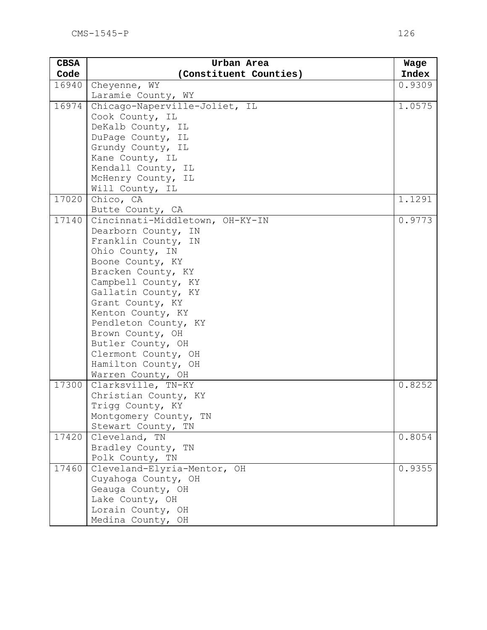| <b>CBSA</b> | Urban Area                                | Wage         |
|-------------|-------------------------------------------|--------------|
| Code        | (Constituent Counties)                    | <b>Index</b> |
| 16940       | Cheyenne, WY                              | 0.9309       |
|             | Laramie County, WY                        |              |
| 16974       | Chicago-Naperville-Joliet, IL             | 1.0575       |
|             | Cook County, IL                           |              |
|             | DeKalb County, IL                         |              |
|             | DuPage County, IL                         |              |
|             | Grundy County, IL                         |              |
|             | Kane County, IL                           |              |
|             | Kendall County, IL                        |              |
|             | McHenry County, IL                        |              |
|             | Will County, IL                           |              |
| 17020       | Chico, CA                                 | 1.1291       |
|             | Butte County, CA                          |              |
| 17140       | Cincinnati-Middletown, OH-KY-IN           | 0.9773       |
|             | Dearborn County, IN                       |              |
|             | Franklin County, IN                       |              |
|             | Ohio County, IN                           |              |
|             | Boone County, KY                          |              |
|             | Bracken County, KY                        |              |
|             | Campbell County, KY                       |              |
|             | Gallatin County, KY                       |              |
|             | Grant County, KY                          |              |
|             | Kenton County, KY<br>Pendleton County, KY |              |
|             | Brown County, OH                          |              |
|             | Butler County, OH                         |              |
|             | Clermont County, OH                       |              |
|             | Hamilton County, OH                       |              |
|             | Warren County, OH                         |              |
| 17300       | Clarksville, TN-KY                        | 0.8252       |
|             | Christian County, KY                      |              |
|             | Trigg County, KY                          |              |
|             | Montgomery County, TN                     |              |
|             | Stewart County, TN                        |              |
| 17420       | Cleveland, TN                             | 0.8054       |
|             | Bradley County, TN                        |              |
|             | Polk County, TN                           |              |
| 17460       | Cleveland-Elyria-Mentor, OH               | 0.9355       |
|             | Cuyahoga County, OH                       |              |
|             | Geauga County, OH                         |              |
|             | Lake County, OH                           |              |
|             | Lorain County, OH                         |              |
|             | Medina County, OH                         |              |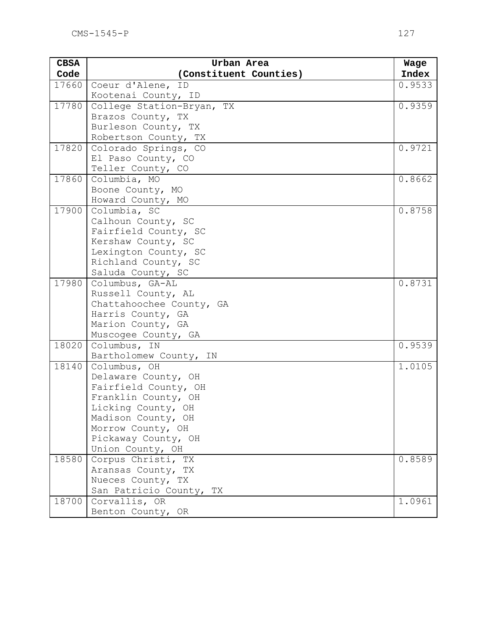| <b>CBSA</b> | Urban Area                                    | Wage   |
|-------------|-----------------------------------------------|--------|
| Code        | (Constituent Counties)                        | Index  |
| 17660       | Coeur d'Alene, ID                             | 0.9533 |
|             | Kootenai County, ID                           |        |
| 17780       | College Station-Bryan, TX                     | 0.9359 |
|             | Brazos County, TX                             |        |
|             | Burleson County, TX                           |        |
|             | Robertson County, TX                          |        |
| 17820       | Colorado Springs, CO                          | 0.9721 |
|             | El Paso County, CO                            |        |
|             | Teller County, CO                             |        |
| 17860       | Columbia, MO                                  | 0.8662 |
|             | Boone County, MO                              |        |
|             | Howard County, MO                             |        |
| 17900       | Columbia, SC                                  | 0.8758 |
|             | Calhoun County, SC                            |        |
|             | Fairfield County, SC                          |        |
|             | Kershaw County, SC                            |        |
|             | Lexington County, SC                          |        |
|             | Richland County, SC                           |        |
| 17980       | Saluda County, SC                             | 0.8731 |
|             | Columbus, GA-AL                               |        |
|             | Russell County, AL                            |        |
|             | Chattahoochee County, GA<br>Harris County, GA |        |
|             | Marion County, GA                             |        |
|             | Muscogee County, GA                           |        |
| 18020       | Columbus, IN                                  | 0.9539 |
|             | Bartholomew County, IN                        |        |
| 18140       | Columbus, OH                                  | 1.0105 |
|             | Delaware County, OH                           |        |
|             | Fairfield County, OH                          |        |
|             | Franklin County, OH                           |        |
|             | Licking County, OH                            |        |
|             | Madison County, OH                            |        |
|             | Morrow County, OH                             |        |
|             | Pickaway County, OH                           |        |
|             | Union County, OH                              |        |
| 18580       | Corpus Christi, TX                            | 0.8589 |
|             | Aransas County, TX                            |        |
|             | Nueces County, TX                             |        |
|             | San Patricio County, TX                       |        |
| 18700       | Corvallis, OR                                 | 1.0961 |
|             | Benton County, OR                             |        |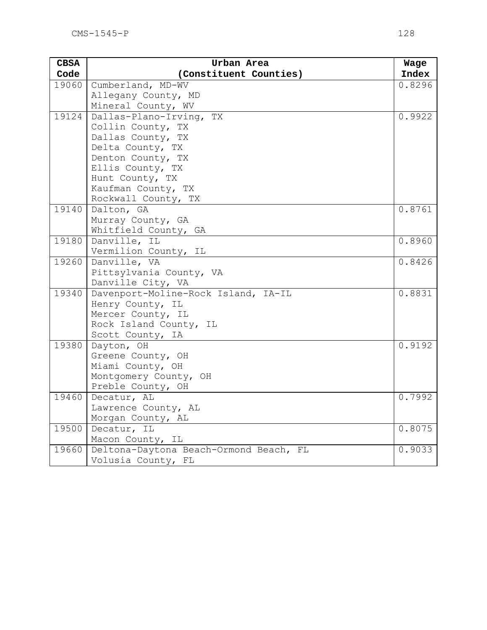| <b>CBSA</b> | Urban Area                             | Wage   |
|-------------|----------------------------------------|--------|
| Code        | (Constituent Counties)                 | Index  |
| 19060       | Cumberland, MD-WV                      | 0.8296 |
|             | Allegany County, MD                    |        |
|             | Mineral County, WV                     |        |
| 19124       | Dallas-Plano-Irving, TX                | 0.9922 |
|             | Collin County, TX                      |        |
|             | Dallas County, TX                      |        |
|             | Delta County, TX                       |        |
|             | Denton County, TX                      |        |
|             | Ellis County, TX                       |        |
|             | Hunt County, TX                        |        |
|             | Kaufman County, TX                     |        |
|             | Rockwall County, TX                    |        |
| 19140       | Dalton, GA                             | 0.8761 |
|             | Murray County, GA                      |        |
|             | Whitfield County, GA                   |        |
| 19180       | Danville, IL                           | 0.8960 |
|             | Vermilion County, IL                   |        |
| 19260       | Danville, VA                           | 0.8426 |
|             | Pittsylvania County, VA                |        |
|             | Danville City, VA                      |        |
| 19340       | Davenport-Moline-Rock Island, IA-IL    | 0.8831 |
|             | Henry County, IL                       |        |
|             | Mercer County, IL                      |        |
|             | Rock Island County, IL                 |        |
|             | Scott County, IA                       |        |
| 19380       | Dayton, OH                             | 0.9192 |
|             | Greene County, OH                      |        |
|             | Miami County, OH                       |        |
|             | Montgomery County, OH                  |        |
|             | Preble County, OH                      |        |
| 19460       | Decatur, AL                            | 0.7992 |
|             | Lawrence County, AL                    |        |
|             | Morgan County, AL                      |        |
| 19500       | Decatur, IL                            | 0.8075 |
|             | Macon County, IL                       |        |
| 19660       | Deltona-Daytona Beach-Ormond Beach, FL | 0.9033 |
|             | Volusia County, FL                     |        |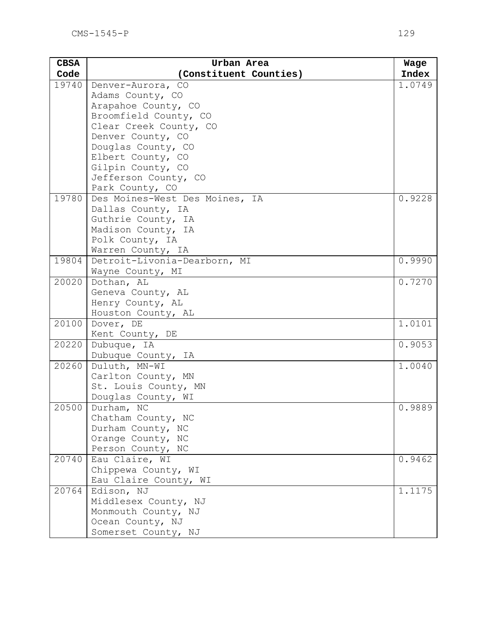| <b>CBSA</b> | Urban Area                          | Wage   |
|-------------|-------------------------------------|--------|
| Code        | (Constituent Counties)              | Index  |
| 19740       | Denver-Aurora, CO                   | 1.0749 |
|             | Adams County, CO                    |        |
|             | Arapahoe County, CO                 |        |
|             | Broomfield County, CO               |        |
|             | Clear Creek County, CO              |        |
|             | Denver County, CO                   |        |
|             | Douglas County, CO                  |        |
|             | Elbert County, CO                   |        |
|             | Gilpin County, CO                   |        |
|             | Jefferson County, CO                |        |
|             | Park County, CO                     |        |
| 19780       | Des Moines-West Des Moines, IA      | 0.9228 |
|             | Dallas County, IA                   |        |
|             | Guthrie County, IA                  |        |
|             | Madison County, IA                  |        |
|             | Polk County, IA                     |        |
|             | Warren County, IA                   |        |
| 19804       | Detroit-Livonia-Dearborn, MI        | 0.9990 |
|             | Wayne County, MI                    |        |
| 20020       | Dothan, AL                          | 0.7270 |
|             | Geneva County, AL                   |        |
|             | Henry County, AL                    |        |
|             | Houston County, AL                  |        |
| 20100       | Dover, DE                           | 1.0101 |
| 20220       | Kent County, DE                     | 0.9053 |
|             | Dubuque, IA                         |        |
| 20260       | Dubuque County, IA<br>Duluth, MN-WI | 1.0040 |
|             | Carlton County, MN                  |        |
|             | St. Louis County, MN                |        |
|             | Douglas County, WI                  |        |
| 20500       | Durham, NC                          | 0.9889 |
|             | Chatham County, NC                  |        |
|             | Durham County, NC                   |        |
|             | Orange County, NC                   |        |
|             | Person County, NC                   |        |
| 20740       | Eau Claire, WI                      | 0.9462 |
|             | Chippewa County, WI                 |        |
|             | Eau Claire County, WI               |        |
| 20764       | Edison, NJ                          | 1.1175 |
|             | Middlesex County, NJ                |        |
|             | Monmouth County, NJ                 |        |
|             | Ocean County, NJ                    |        |
|             | Somerset County, NJ                 |        |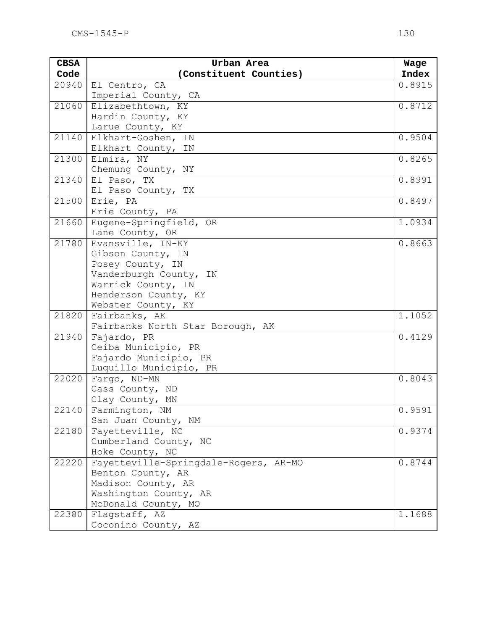| <b>CBSA</b> | Urban Area                                        | Wage   |
|-------------|---------------------------------------------------|--------|
| Code        | (Constituent Counties)                            | Index  |
| 20940       | El Centro, CA                                     | 0.8915 |
|             | Imperial County, CA                               |        |
| 21060       | Elizabethtown, KY                                 | 0.8712 |
|             | Hardin County, KY                                 |        |
|             | Larue County, KY                                  |        |
| 21140       | Elkhart-Goshen, IN                                | 0.9504 |
|             | Elkhart County, IN                                |        |
| 21300       | Elmira, NY                                        | 0.8265 |
|             | Chemung County, NY                                |        |
| 21340       | El Paso, TX                                       | 0.8991 |
|             | El Paso County, TX                                |        |
| 21500       | Erie, PA                                          | 0.8497 |
|             | Erie County, PA                                   |        |
| 21660       | Eugene-Springfield, OR                            | 1.0934 |
|             | Lane County, OR                                   |        |
| 21780       | Evansville, IN-KY                                 | 0.8663 |
|             | Gibson County, IN                                 |        |
|             | Posey County, IN                                  |        |
|             | Vanderburgh County, IN                            |        |
|             | Warrick County, IN                                |        |
|             | Henderson County, KY                              |        |
| 21820       | Webster County, KY                                | 1.1052 |
|             | Fairbanks, AK<br>Fairbanks North Star Borough, AK |        |
| 21940       | Fajardo, PR                                       | 0.4129 |
|             | Ceiba Municipio, PR                               |        |
|             | Fajardo Municipio, PR                             |        |
|             | Luquillo Municipio, PR                            |        |
| 22020       | Fargo, ND-MN                                      | 0.8043 |
|             | Cass County, ND                                   |        |
|             | Clay County, MN                                   |        |
|             | 22140 Farmington, NM                              | 0.9591 |
|             | San Juan County, NM                               |        |
| 22180       | Fayetteville, NC                                  | 0.9374 |
|             | Cumberland County, NC                             |        |
|             | Hoke County, NC                                   |        |
| 22220       | Fayetteville-Springdale-Rogers, AR-MO             | 0.8744 |
|             | Benton County, AR                                 |        |
|             | Madison County, AR                                |        |
|             | Washington County, AR                             |        |
|             | McDonald County, MO                               |        |
| 22380       | Flagstaff, AZ                                     | 1.1688 |
|             | Coconino County, AZ                               |        |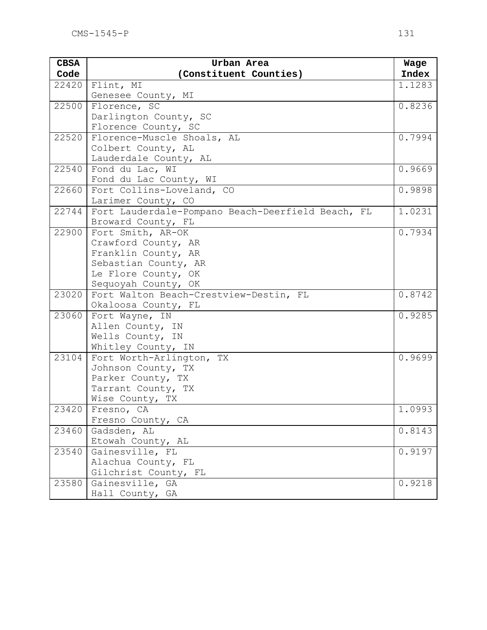| <b>CBSA</b> | Urban Area                                        | Wage   |
|-------------|---------------------------------------------------|--------|
| Code        | (Constituent Counties)                            | Index  |
| 22420       | Flint, MI                                         | 1.1283 |
|             | Genesee County, MI                                |        |
| 22500       | Florence, SC                                      | 0.8236 |
|             | Darlington County, SC                             |        |
|             | Florence County, SC                               |        |
| 22520       | Florence-Muscle Shoals, AL                        | 0.7994 |
|             | Colbert County, AL                                |        |
|             | Lauderdale County, AL                             |        |
| 22540       | Fond du Lac, WI                                   | 0.9669 |
|             | Fond du Lac County, WI                            |        |
| 22660       | Fort Collins-Loveland, CO                         | 0.9898 |
|             | Larimer County, CO                                |        |
| 22744       | Fort Lauderdale-Pompano Beach-Deerfield Beach, FL | 1.0231 |
|             | Broward County, FL                                |        |
| 22900       | Fort Smith, AR-OK                                 | 0.7934 |
|             | Crawford County, AR                               |        |
|             | Franklin County, AR                               |        |
|             | Sebastian County, AR                              |        |
|             | Le Flore County, OK                               |        |
|             | Sequoyah County, OK                               |        |
| 23020       | Fort Walton Beach-Crestview-Destin, FL            | 0.8742 |
|             | Okaloosa County, FL                               |        |
| 23060       | Fort Wayne, IN                                    | 0.9285 |
|             | Allen County, IN                                  |        |
|             | Wells County, IN                                  |        |
|             | Whitley County, IN                                |        |
| 23104       | Fort Worth-Arlington, TX                          | 0.9699 |
|             | Johnson County, TX<br>Parker County, TX           |        |
|             |                                                   |        |
|             | Tarrant County, TX                                |        |
|             | Wise County, TX<br>Fresno, CA                     | 1.0993 |
| 23420       |                                                   |        |
| 23460       | Fresno County, CA<br>Gadsden, AL                  | 0.8143 |
|             | Etowah County, AL                                 |        |
| 23540       | Gainesville, FL                                   | 0.9197 |
|             | Alachua County, FL                                |        |
|             | Gilchrist County, FL                              |        |
| 23580       | Gainesville, GA                                   | 0.9218 |
|             | Hall County, GA                                   |        |
|             |                                                   |        |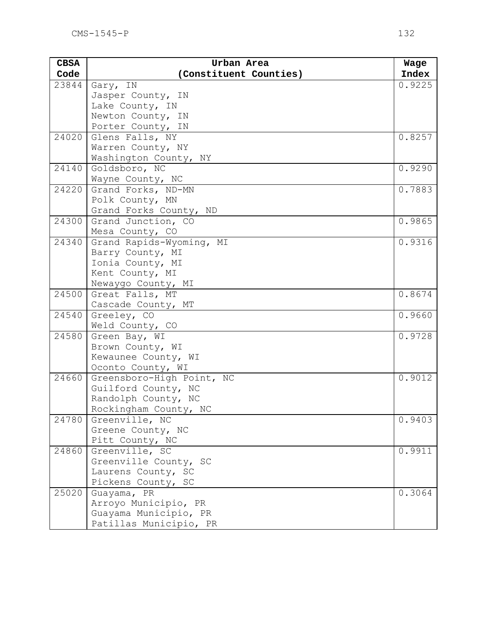| <b>CBSA</b> | Urban Area                | Wage   |
|-------------|---------------------------|--------|
| Code        | (Constituent Counties)    | Index  |
| 23844       | Gary, IN                  | 0.9225 |
|             | Jasper County, IN         |        |
|             | Lake County, IN           |        |
|             | Newton County, IN         |        |
|             | Porter County, IN         |        |
| 24020       | Glens Falls, NY           | 0.8257 |
|             | Warren County, NY         |        |
|             | Washington County, NY     |        |
| 24140       | Goldsboro, NC             | 0.9290 |
|             | Wayne County, NC          |        |
| 24220       | Grand Forks, ND-MN        | 0.7883 |
|             | Polk County, MN           |        |
|             | Grand Forks County, ND    |        |
| 24300       | Grand Junction, CO        | 0.9865 |
|             | Mesa County, CO           |        |
| 24340       | Grand Rapids-Wyoming, MI  | 0.9316 |
|             | Barry County, MI          |        |
|             | Ionia County, MI          |        |
|             | Kent County, MI           |        |
|             | Newaygo County, MI        |        |
| 24500       | Great Falls, MT           | 0.8674 |
|             | Cascade County, MT        |        |
| 24540       | Greeley, CO               | 0.9660 |
|             | Weld County, CO           |        |
| 24580       | Green Bay, WI             | 0.9728 |
|             | Brown County, WI          |        |
|             | Kewaunee County, WI       |        |
|             | Oconto County, WI         |        |
| 24660       | Greensboro-High Point, NC | 0.9012 |
|             | Guilford County, NC       |        |
|             | Randolph County, NC       |        |
|             | Rockingham County, NC     |        |
| 24780       | Greenville, NC            | 0.9403 |
|             | Greene County, NC         |        |
|             | Pitt County, NC           |        |
| 24860       | Greenville, SC            | 0.9911 |
|             | Greenville County, SC     |        |
|             | Laurens County, SC        |        |
|             | Pickens County, SC        |        |
| 25020       | Guayama, PR               | 0.3064 |
|             | Arroyo Municipio, PR      |        |
|             | Guayama Municipio, PR     |        |
|             | Patillas Municipio, PR    |        |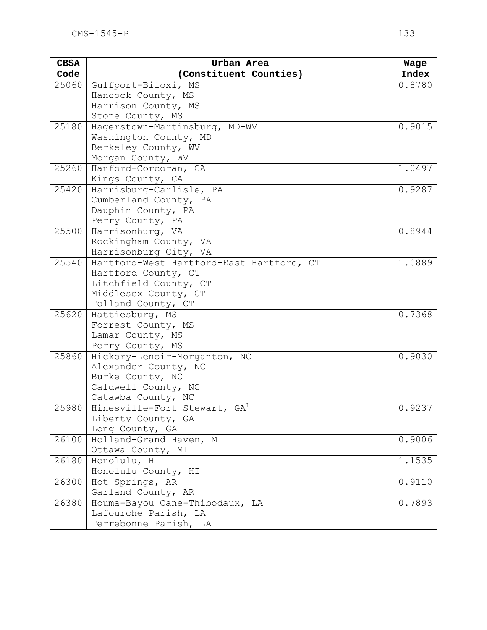| <b>CBSA</b> | Urban Area                                       | Wage   |
|-------------|--------------------------------------------------|--------|
| Code        | (Constituent Counties)                           | Index  |
| 25060       | Gulfport-Biloxi, MS                              | 0.8780 |
|             | Hancock County, MS                               |        |
|             | Harrison County, MS                              |        |
|             | Stone County, MS                                 |        |
| 25180       | Hagerstown-Martinsburg, MD-WV                    | 0.9015 |
|             | Washington County, MD                            |        |
|             | Berkeley County, WV                              |        |
|             | Morgan County, WV                                |        |
| 25260       | Hanford-Corcoran, CA                             | 1.0497 |
| 25420       | Kings County, CA                                 | 0.9287 |
|             | Harrisburg-Carlisle, PA<br>Cumberland County, PA |        |
|             | Dauphin County, PA                               |        |
|             | Perry County, PA                                 |        |
| 25500       | Harrisonburg, VA                                 | 0.8944 |
|             | Rockingham County, VA                            |        |
|             | Harrisonburg City, VA                            |        |
| 25540       | Hartford-West Hartford-East Hartford, CT         | 1.0889 |
|             | Hartford County, CT                              |        |
|             | Litchfield County, CT                            |        |
|             | Middlesex County, CT                             |        |
|             | Tolland County, CT                               |        |
| 25620       | Hattiesburg, MS                                  | 0.7368 |
|             | Forrest County, MS                               |        |
|             | Lamar County, MS                                 |        |
|             | Perry County, MS                                 |        |
| 25860       | Hickory-Lenoir-Morganton, NC                     | 0.9030 |
|             | Alexander County, NC                             |        |
|             | Burke County, NC                                 |        |
|             | Caldwell County, NC<br>Catawba County, NC        |        |
| 25980       | Hinesville-Fort Stewart, GA <sup>1</sup>         | 0.9237 |
|             | Liberty County, GA                               |        |
|             | Long County, GA                                  |        |
| 26100       | Holland-Grand Haven, MI                          | 0.9006 |
|             | Ottawa County, MI                                |        |
| 26180       | Honolulu, HI                                     | 1.1535 |
|             | Honolulu County, HI                              |        |
| 26300       | Hot Springs, AR                                  | 0.9110 |
|             | Garland County, AR                               |        |
| 26380       | Houma-Bayou Cane-Thibodaux, LA                   | 0.7893 |
|             | Lafourche Parish, LA                             |        |
|             | Terrebonne Parish, LA                            |        |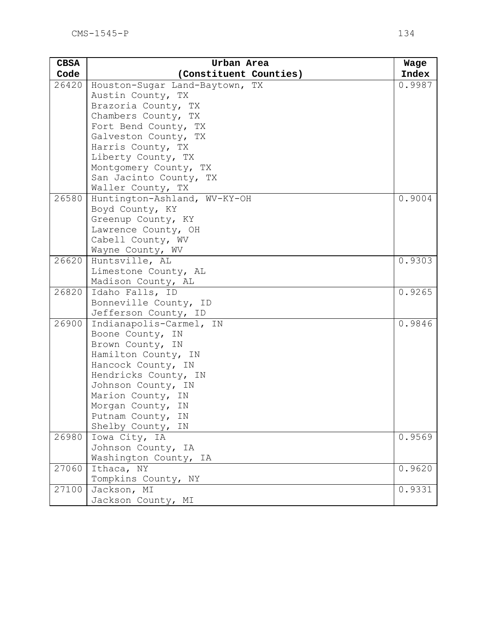| <b>CBSA</b> | Urban Area                                | Wage   |
|-------------|-------------------------------------------|--------|
| Code        | (Constituent Counties)                    | Index  |
| 26420       | Houston-Sugar Land-Baytown, TX            | 0.9987 |
|             | Austin County, TX                         |        |
|             | Brazoria County, TX                       |        |
|             | Chambers County, TX                       |        |
|             | Fort Bend County, TX                      |        |
|             | Galveston County, TX                      |        |
|             | Harris County, TX                         |        |
|             | Liberty County, TX                        |        |
|             | Montgomery County, TX                     |        |
|             | San Jacinto County, TX                    |        |
|             | Waller County, TX                         |        |
| 26580       | Huntington-Ashland, WV-KY-OH              | 0.9004 |
|             | Boyd County, KY                           |        |
|             | Greenup County, KY<br>Lawrence County, OH |        |
|             | Cabell County, WV                         |        |
|             | Wayne County, WV                          |        |
| 26620       | Huntsville, AL                            | 0.9303 |
|             | Limestone County, AL                      |        |
|             | Madison County, AL                        |        |
| 26820       | Idaho Falls, ID                           | 0.9265 |
|             | Bonneville County, ID                     |        |
|             | Jefferson County, ID                      |        |
| 26900       | Indianapolis-Carmel, IN                   | 0.9846 |
|             | Boone County, IN                          |        |
|             | Brown County, IN                          |        |
|             | Hamilton County, IN                       |        |
|             | Hancock County, IN                        |        |
|             | Hendricks County, IN                      |        |
|             | Johnson County, IN                        |        |
|             | Marion County, IN                         |        |
|             | Morgan County, IN                         |        |
|             | Putnam County,<br>ΙN                      |        |
|             | Shelby County,<br>ΙN                      |        |
| 26980       | Iowa City, IA                             | 0.9569 |
|             | Johnson County, IA                        |        |
|             | Washington County, IA                     |        |
| 27060       | Ithaca, NY                                | 0.9620 |
|             | Tompkins County, NY                       |        |
| 27100       | Jackson, MI                               | 0.9331 |
|             | Jackson County, MI                        |        |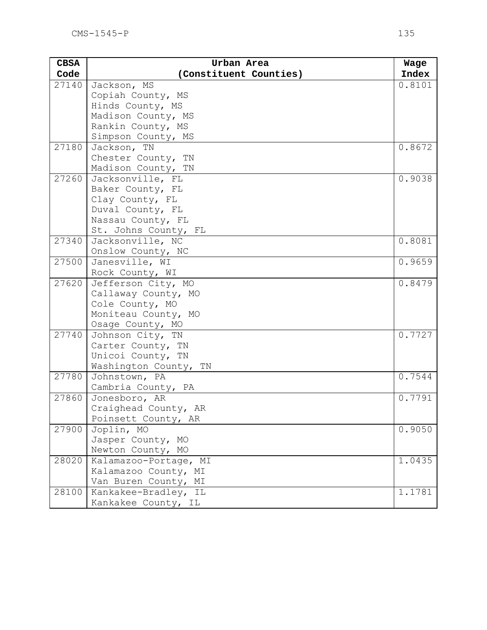| (Constituent Counties)<br>Code<br>27140<br>Jackson, MS | Index<br>0.8101      |
|--------------------------------------------------------|----------------------|
|                                                        |                      |
|                                                        |                      |
| Copiah County, MS                                      |                      |
| Hinds County, MS                                       |                      |
| Madison County, MS                                     |                      |
| Rankin County, MS                                      |                      |
| Simpson County, MS                                     |                      |
| 27180<br>Jackson, TN                                   | 0.8672               |
| Chester County, TN                                     |                      |
| Madison County, TN                                     |                      |
| 27260<br>Jacksonville, FL                              | 0.9038               |
| Baker County, FL                                       |                      |
| Clay County, FL                                        |                      |
| Duval County, FL                                       |                      |
| Nassau County, FL                                      |                      |
| St. Johns County, FL                                   |                      |
| 27340<br>Jacksonville, NC                              | 0.8081               |
| Onslow County, NC                                      |                      |
| 27500<br>Janesville, WI                                | 0.9659               |
| Rock County, WI                                        |                      |
| 27620<br>Jefferson City, MO                            | 0.8479               |
| Callaway County, MO                                    |                      |
| Cole County, MO                                        |                      |
| Moniteau County, MO                                    |                      |
| Osage County, MO<br>27740<br>Johnson City, TN          | 0.7727               |
| Carter County, TN                                      |                      |
| Unicoi County, TN                                      |                      |
| Washington County, TN                                  |                      |
| 27780<br>Johnstown, PA                                 | 0.7544               |
| Cambria County, PA                                     |                      |
| 27860<br>Jonesboro, AR                                 | $\overline{0.7791}$  |
| Craighead County, AR                                   |                      |
| Poinsett County, AR                                    |                      |
| Joplin, MO<br>27900                                    | 0.9050               |
| Jasper County, MO                                      |                      |
| Newton County, MO                                      |                      |
| 28020<br>Kalamazoo-Portage, MI                         | $\overline{1}$ .0435 |
| Kalamazoo County, MI                                   |                      |
| Van Buren County, MI                                   |                      |
| 28100<br>Kankakee-Bradley, IL                          | 1.1781               |
| Kankakee County, IL                                    |                      |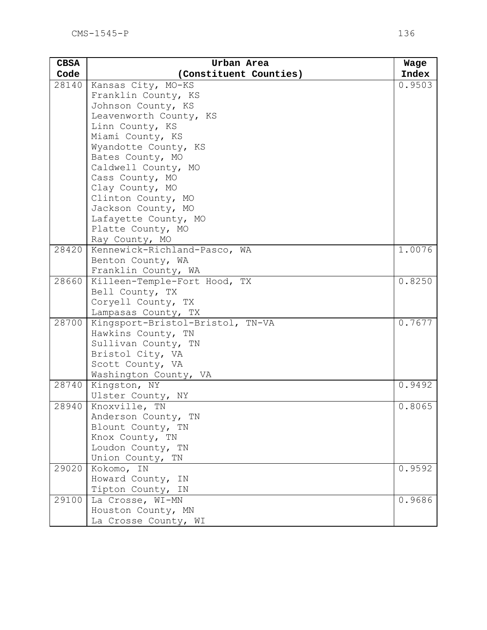| <b>CBSA</b> | Urban Area                            | Wage   |
|-------------|---------------------------------------|--------|
| Code        | (Constituent Counties)                | Index  |
| 28140       | Kansas City, MO-KS                    | 0.9503 |
|             | Franklin County, KS                   |        |
|             | Johnson County, KS                    |        |
|             | Leavenworth County, KS                |        |
|             | Linn County, KS                       |        |
|             | Miami County, KS                      |        |
|             | Wyandotte County, KS                  |        |
|             | Bates County, MO                      |        |
|             | Caldwell County, MO                   |        |
|             | Cass County, MO                       |        |
|             | Clay County, MO                       |        |
|             | Clinton County, MO                    |        |
|             | Jackson County, MO                    |        |
|             | Lafayette County, MO                  |        |
|             | Platte County, MO                     |        |
|             | Ray County, MO                        |        |
| 28420       | Kennewick-Richland-Pasco, WA          | 1.0076 |
|             | Benton County, WA                     |        |
|             | Franklin County, WA                   |        |
| 28660       | Killeen-Temple-Fort Hood, TX          | 0.8250 |
|             | Bell County, TX<br>Coryell County, TX |        |
|             | Lampasas County, TX                   |        |
| 28700       | Kingsport-Bristol-Bristol, TN-VA      | 0.7677 |
|             | Hawkins County, TN                    |        |
|             | Sullivan County, TN                   |        |
|             | Bristol City, VA                      |        |
|             | Scott County, VA                      |        |
|             | Washington County, VA                 |        |
| 28740       | Kingston, NY                          | 0.9492 |
|             | Ulster County, NY                     |        |
| 28940       | Knoxville, TN                         | 0.8065 |
|             | Anderson County, TN                   |        |
|             | Blount County, TN                     |        |
|             | Knox County, TN                       |        |
|             | Loudon County, TN                     |        |
|             | Union County, TN                      |        |
| 29020       | Kokomo, IN                            | 0.9592 |
|             | Howard County, IN                     |        |
|             | Tipton County, IN                     |        |
| 29100       | La Crosse, WI-MN                      | 0.9686 |
|             | Houston County, MN                    |        |
|             | La Crosse County, WI                  |        |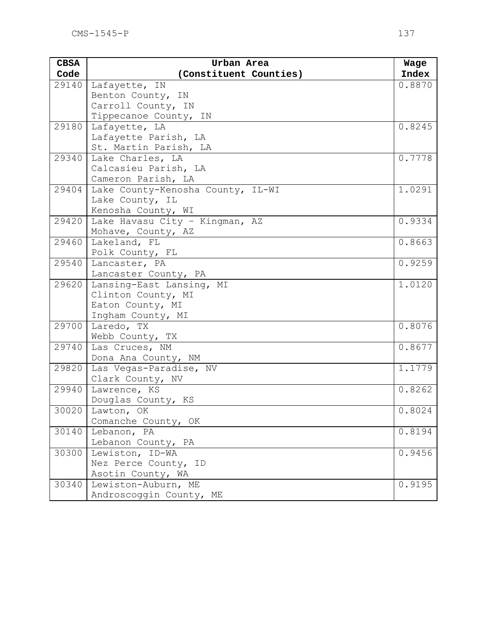| <b>CBSA</b> | Urban Area                        | Wage   |
|-------------|-----------------------------------|--------|
| Code        | (Constituent Counties)            | Index  |
| 29140       | Lafayette, IN                     | 0.8870 |
|             | Benton County, IN                 |        |
|             | Carroll County, IN                |        |
|             | Tippecanoe County, IN             |        |
| 29180       | Lafayette, LA                     | 0.8245 |
|             | Lafayette Parish, LA              |        |
|             | St. Martin Parish, LA             |        |
| 29340       | Lake Charles, LA                  | 0.7778 |
|             | Calcasieu Parish, LA              |        |
|             | Cameron Parish, LA                |        |
| 29404       | Lake County-Kenosha County, IL-WI | 1.0291 |
|             | Lake County, IL                   |        |
|             | Kenosha County, WI                |        |
| 29420       | Lake Havasu City - Kingman, AZ    | 0.9334 |
|             | Mohave, County, AZ                |        |
| 29460       | Lakeland, FL                      | 0.8663 |
|             | Polk County, FL                   |        |
| 29540       | Lancaster, PA                     | 0.9259 |
|             | Lancaster County, PA              |        |
| 29620       | Lansing-East Lansing, MI          | 1.0120 |
|             | Clinton County, MI                |        |
|             | Eaton County, MI                  |        |
| 29700       | Ingham County, MI<br>Laredo, TX   | 0.8076 |
|             | Webb County, TX                   |        |
| 29740       | Las Cruces, NM                    | 0.8677 |
|             | Dona Ana County, NM               |        |
| 29820       | Las Vegas-Paradise, NV            | 1.1779 |
|             | Clark County, NV                  |        |
| 29940       | Lawrence, KS                      | 0.8262 |
|             | Douglas County, KS                |        |
|             | $30020$   Lawton, OK              | 0.8024 |
|             | Comanche County, OK               |        |
| 30140       | Lebanon, PA                       | 0.8194 |
|             | Lebanon County, PA                |        |
| 30300       | Lewiston, ID-WA                   | 0.9456 |
|             | Nez Perce County, ID              |        |
|             | Asotin County, WA                 |        |
| 30340       | Lewiston-Auburn, ME               | 0.9195 |
|             | Androscoggin County, ME           |        |
|             |                                   |        |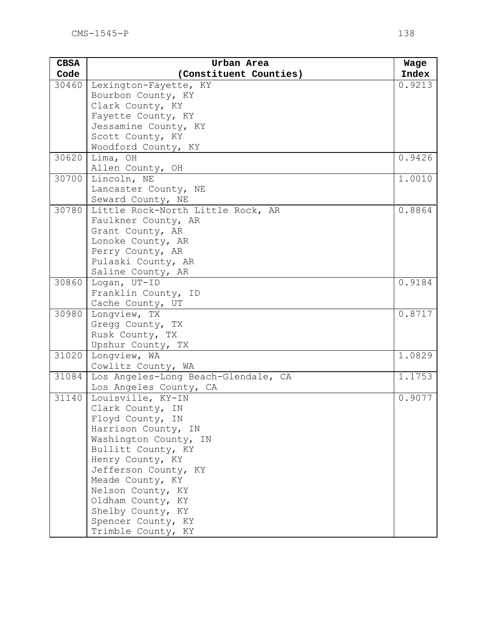| <b>CBSA</b> | Urban Area                               | Wage   |
|-------------|------------------------------------------|--------|
| Code        | (Constituent Counties)                   | Index  |
| 30460       | Lexington-Fayette, KY                    | 0.9213 |
|             | Bourbon County, KY                       |        |
|             | Clark County, KY                         |        |
|             | Fayette County, KY                       |        |
|             | Jessamine County, KY                     |        |
|             | Scott County, KY                         |        |
|             | Woodford County, KY                      |        |
| 30620       | Lima, OH                                 | 0.9426 |
|             | Allen County, OH                         |        |
| 30700       | Lincoln, NE                              | 1.0010 |
|             | Lancaster County, NE                     |        |
|             | Seward County, NE                        |        |
| 30780       | Little Rock-North Little Rock, AR        | 0.8864 |
|             | Faulkner County, AR                      |        |
|             | Grant County, AR                         |        |
|             | Lonoke County, AR                        |        |
|             | Perry County, AR                         |        |
|             | Pulaski County, AR                       |        |
|             | Saline County, AR                        |        |
| 30860       | Logan, UT-ID                             | 0.9184 |
|             | Franklin County, ID                      |        |
|             | Cache County, UT                         |        |
| 30980       | Longview, TX                             | 0.8717 |
|             | Gregg County, TX                         |        |
|             | Rusk County, TX                          |        |
|             | Upshur County, TX                        |        |
| 31020       | Longview, WA                             | 1.0829 |
|             | Cowlitz County, WA                       |        |
| 31084       | Los Angeles-Long Beach-Glendale, CA      | 1.1753 |
|             | Los Angeles County, CA                   |        |
| 31140       | Louisville, KY-IN                        | 0.9077 |
|             | Clark County, IN                         |        |
|             | Floyd County, IN                         |        |
|             | Harrison County, IN                      |        |
|             | Washington County, IN                    |        |
|             | Bullitt County, KY                       |        |
|             | Henry County, KY                         |        |
|             | Jefferson County, KY<br>Meade County, KY |        |
|             | Nelson County, KY                        |        |
|             | Oldham County, KY                        |        |
|             | Shelby County, KY                        |        |
|             | Spencer County, KY                       |        |
|             | Trimble County, KY                       |        |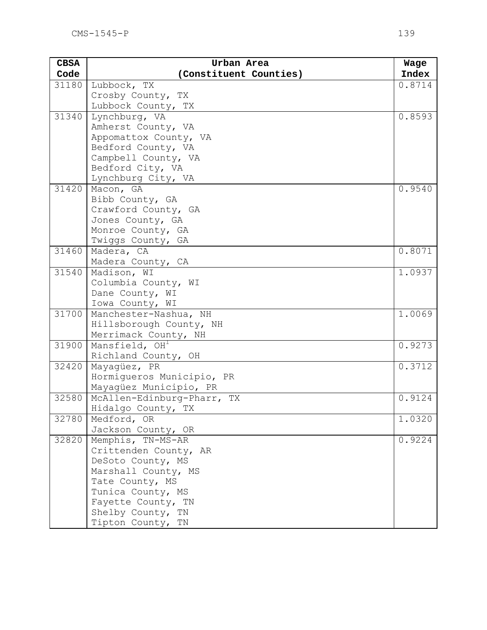| <b>CBSA</b> | Urban Area                                       | Wage   |
|-------------|--------------------------------------------------|--------|
| Code        | (Constituent Counties)                           | Index  |
| 31180       | Lubbock, TX                                      | 0.8714 |
|             | Crosby County, TX                                |        |
|             | Lubbock County, TX                               |        |
| 31340       | Lynchburg, VA                                    | 0.8593 |
|             | Amherst County, VA                               |        |
|             | Appomattox County, VA                            |        |
|             | Bedford County, VA                               |        |
|             | Campbell County, VA                              |        |
|             | Bedford City, VA                                 |        |
| 31420       | Lynchburg City, VA                               | 0.9540 |
|             | Macon, GA<br>Bibb County, GA                     |        |
|             | Crawford County, GA                              |        |
|             | Jones County, GA                                 |        |
|             | Monroe County, GA                                |        |
|             | Twiggs County, GA                                |        |
| 31460       | Madera, CA                                       | 0.8071 |
|             | Madera County, CA                                |        |
| 31540       | Madison, WI                                      | 1.0937 |
|             | Columbia County, WI                              |        |
|             | Dane County, WI                                  |        |
|             | Iowa County, WI                                  |        |
| 31700       | Manchester-Nashua, NH                            | 1.0069 |
|             | Hillsborough County, NH                          |        |
|             | Merrimack County, NH                             |        |
| 31900       | Mansfield, OH                                    | 0.9273 |
|             | Richland County, OH                              |        |
| 32420       | Mayaqüez, PR                                     | 0.3712 |
|             | Hormiqueros Municipio, PR                        |        |
| 32580       | Mayagüez Municipio, PR                           | 0.9124 |
|             | McAllen-Edinburg-Pharr, TX<br>Hidalgo County, TX |        |
| 32780       | Medford, OR                                      | 1.0320 |
|             | Jackson County, OR                               |        |
| 32820       | Memphis, TN-MS-AR                                | 0.9224 |
|             | Crittenden County, AR                            |        |
|             | DeSoto County, MS                                |        |
|             | Marshall County, MS                              |        |
|             | Tate County, MS                                  |        |
|             | Tunica County, MS                                |        |
|             | Fayette County, TN                               |        |
|             | Shelby County, TN                                |        |
|             | Tipton County, TN                                |        |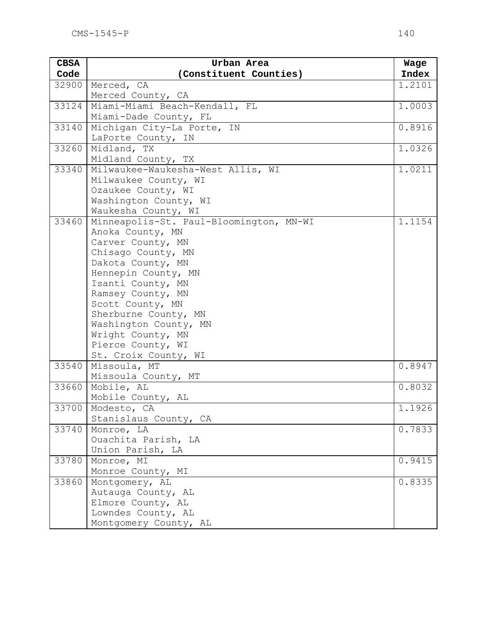| <b>CBSA</b> | Urban Area                                                  | Wage   |
|-------------|-------------------------------------------------------------|--------|
| Code        | (Constituent Counties)                                      | Index  |
| 32900       | Merced, CA                                                  | 1.2101 |
|             | Merced County, CA                                           |        |
| 33124       | Miami-Miami Beach-Kendall, FL                               | 1.0003 |
|             | Miami-Dade County, FL                                       |        |
| 33140       | Michigan City-La Porte, IN                                  | 0.8916 |
|             | LaPorte County, IN                                          |        |
| 33260       | Midland, TX                                                 | 1.0326 |
|             | Midland County, TX                                          |        |
| 33340       | Milwaukee-Waukesha-West Allis, WI                           | 1.0211 |
|             | Milwaukee County, WI                                        |        |
|             | Ozaukee County, WI                                          |        |
|             | Washington County, WI                                       |        |
| 33460       | Waukesha County, WI                                         |        |
|             | Minneapolis-St. Paul-Bloomington, MN-WI<br>Anoka County, MN | 1.1154 |
|             | Carver County, MN                                           |        |
|             | Chisago County, MN                                          |        |
|             | Dakota County, MN                                           |        |
|             | Hennepin County, MN                                         |        |
|             | Isanti County, MN                                           |        |
|             | Ramsey County, MN                                           |        |
|             | Scott County, MN                                            |        |
|             | Sherburne County, MN                                        |        |
|             | Washington County, MN                                       |        |
|             | Wright County, MN                                           |        |
|             | Pierce County, WI                                           |        |
|             | St. Croix County, WI                                        |        |
| 33540       | Missoula, MT                                                | 0.8947 |
|             | Missoula County, MT                                         |        |
| 33660       | Mobile, AL                                                  | 0.8032 |
|             | Mobile County, AL                                           |        |
|             | 33700   Modesto, CA                                         | 1.1926 |
|             | Stanislaus County, CA                                       |        |
| 33740       | Monroe, LA                                                  | 0.7833 |
|             | Ouachita Parish, LA                                         |        |
|             | Union Parish, LA                                            |        |
| 33780       | Monroe, MI                                                  | 0.9415 |
| 33860       | Monroe County, MI                                           |        |
|             | Montgomery, AL                                              | 0.8335 |
|             | Autauga County, AL<br>Elmore County, AL                     |        |
|             | Lowndes County, AL                                          |        |
|             |                                                             |        |
|             | Montgomery County, AL                                       |        |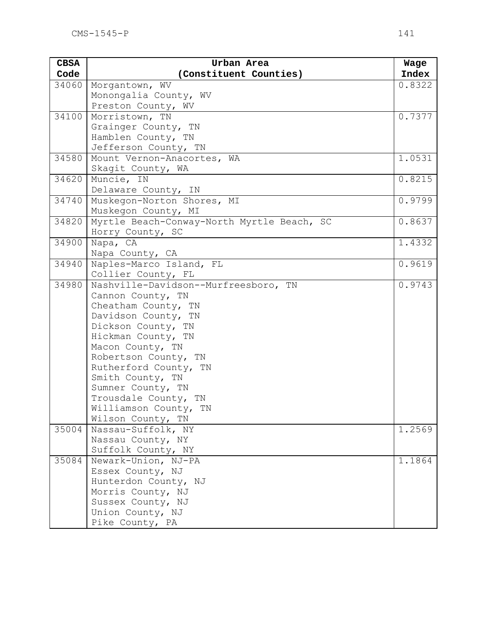| <b>CBSA</b> | Urban Area                                 | Wage   |
|-------------|--------------------------------------------|--------|
| Code        | (Constituent Counties)                     | Index  |
| 34060       | Morgantown, WV                             | 0.8322 |
|             | Monongalia County, WV                      |        |
|             | Preston County, WV                         |        |
| 34100       | Morristown, TN                             | 0.7377 |
|             | Grainger County, TN                        |        |
|             | Hamblen County, TN                         |        |
|             | Jefferson County, TN                       |        |
| 34580       | Mount Vernon-Anacortes, WA                 | 1.0531 |
|             | Skagit County, WA                          |        |
| 34620       | Muncie, IN                                 | 0.8215 |
|             | Delaware County, IN                        |        |
| 34740       | Muskegon-Norton Shores, MI                 | 0.9799 |
|             | Muskegon County, MI                        |        |
| 34820       | Myrtle Beach-Conway-North Myrtle Beach, SC | 0.8637 |
|             | Horry County, SC                           |        |
| 34900       | Napa, CA                                   | 1.4332 |
|             | Napa County, CA                            |        |
| 34940       | Naples-Marco Island, FL                    | 0.9619 |
| 34980       | Collier County, FL                         |        |
|             | Nashville-Davidson--Murfreesboro, TN       | 0.9743 |
|             | Cannon County, TN<br>Cheatham County, TN   |        |
|             | Davidson County, TN                        |        |
|             | Dickson County, TN                         |        |
|             | Hickman County, TN                         |        |
|             | Macon County, TN                           |        |
|             | Robertson County, TN                       |        |
|             | Rutherford County, TN                      |        |
|             | Smith County, TN                           |        |
|             | Sumner County, TN                          |        |
|             | Trousdale County, TN                       |        |
|             | Williamson County, TN                      |        |
|             | Wilson County, TN                          |        |
| 35004       | Nassau-Suffolk, NY                         | 1.2569 |
|             | Nassau County, NY                          |        |
|             | Suffolk County, NY                         |        |
| 35084       | Newark-Union, NJ-PA                        | 1.1864 |
|             | Essex County, NJ                           |        |
|             | Hunterdon County, NJ                       |        |
|             | Morris County, NJ                          |        |
|             | Sussex County, NJ                          |        |
|             | Union County, NJ                           |        |
|             | Pike County, PA                            |        |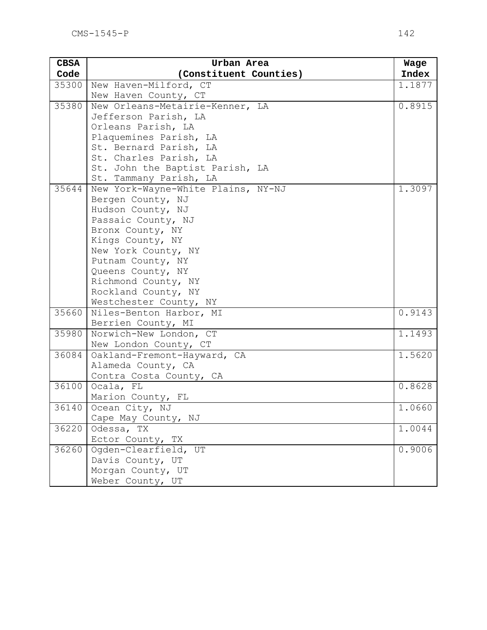| <b>CBSA</b> | Urban Area                               | Wage                |
|-------------|------------------------------------------|---------------------|
| Code        | (Constituent Counties)                   | Index               |
| 35300       | New Haven-Milford, CT                    | 1.1877              |
|             | New Haven County, CT                     |                     |
| 35380       | New Orleans-Metairie-Kenner, LA          | 0.8915              |
|             | Jefferson Parish, LA                     |                     |
|             | Orleans Parish, LA                       |                     |
|             | Plaquemines Parish, LA                   |                     |
|             | St. Bernard Parish, LA                   |                     |
|             | St. Charles Parish, LA                   |                     |
|             | St. John the Baptist Parish, LA          |                     |
|             | St. Tammany Parish, LA                   |                     |
| 35644       | New York-Wayne-White Plains, NY-NJ       | 1.3097              |
|             | Bergen County, NJ                        |                     |
|             | Hudson County, NJ                        |                     |
|             | Passaic County, NJ                       |                     |
|             | Bronx County, NY                         |                     |
|             | Kings County, NY                         |                     |
|             | New York County, NY<br>Putnam County, NY |                     |
|             | Queens County, NY                        |                     |
|             | Richmond County, NY                      |                     |
|             | Rockland County, NY                      |                     |
|             | Westchester County, NY                   |                     |
| 35660       | Niles-Benton Harbor, MI                  | $\overline{0.9143}$ |
|             | Berrien County, MI                       |                     |
| 35980       | Norwich-New London, CT                   | 1.1493              |
|             | New London County, CT                    |                     |
| 36084       | Oakland-Fremont-Hayward, CA              | 1.5620              |
|             | Alameda County, CA                       |                     |
|             | Contra Costa County, CA                  |                     |
| 36100       | Ocala, FL                                | 0.8628              |
|             | Marion County, FL                        |                     |
| 36140       | Ocean City, NJ                           | 1.0660              |
|             | Cape May County, NJ                      |                     |
| 36220       | Odessa, TX                               | 1.0044              |
|             | Ector County, TX                         |                     |
| 36260       | Ogden-Clearfield, UT                     | 0.9006              |
|             | Davis County, UT                         |                     |
|             | Morgan County, UT                        |                     |
|             | Weber County, UT                         |                     |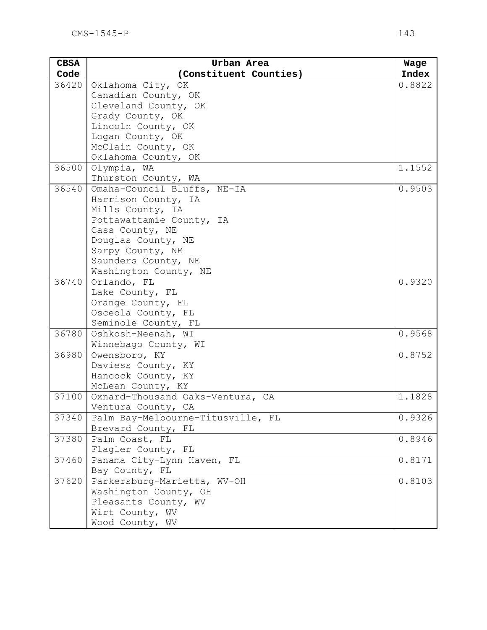| <b>CBSA</b> | Urban Area                            | Wage   |
|-------------|---------------------------------------|--------|
| Code        | (Constituent Counties)                | Index  |
| 36420       | Oklahoma City, OK                     | 0.8822 |
|             | Canadian County, OK                   |        |
|             | Cleveland County, OK                  |        |
|             | Grady County, OK                      |        |
|             | Lincoln County, OK                    |        |
|             | Logan County, OK                      |        |
|             | McClain County, OK                    |        |
|             | Oklahoma County, OK                   |        |
| 36500       | Olympia, WA                           | 1.1552 |
|             | Thurston County, WA                   |        |
| 36540       | Omaha-Council Bluffs, NE-IA           | 0.9503 |
|             | Harrison County, IA                   |        |
|             | Mills County, IA                      |        |
|             | Pottawattamie County, IA              |        |
|             | Cass County, NE<br>Douglas County, NE |        |
|             | Sarpy County, NE                      |        |
|             | Saunders County, NE                   |        |
|             | Washington County, NE                 |        |
| 36740       | Orlando, FL                           | 0.9320 |
|             | Lake County, FL                       |        |
|             | Orange County, FL                     |        |
|             | Osceola County, FL                    |        |
|             | Seminole County, FL                   |        |
| 36780       | Oshkosh-Neenah, WI                    | 0.9568 |
|             | Winnebago County, WI                  |        |
| 36980       | Owensboro, KY                         | 0.8752 |
|             | Daviess County, KY                    |        |
|             | Hancock County, KY                    |        |
|             | McLean County, KY                     |        |
| 37100       | Oxnard-Thousand Oaks-Ventura, CA      | 1.1828 |
|             | Ventura County, CA                    |        |
| 37340       | Palm Bay-Melbourne-Titusville, FL     | 0.9326 |
|             | Brevard County, FL                    |        |
| 37380       | Palm Coast, FL                        | 0.8946 |
|             | Flagler County, FL                    |        |
| 37460       | Panama City-Lynn Haven, FL            | 0.8171 |
|             | Bay County, FL                        |        |
| 37620       | Parkersburg-Marietta, WV-OH           | 0.8103 |
|             | Washington County, OH                 |        |
|             | Pleasants County, WV                  |        |
|             | Wirt County, WV                       |        |
|             | Wood County, WV                       |        |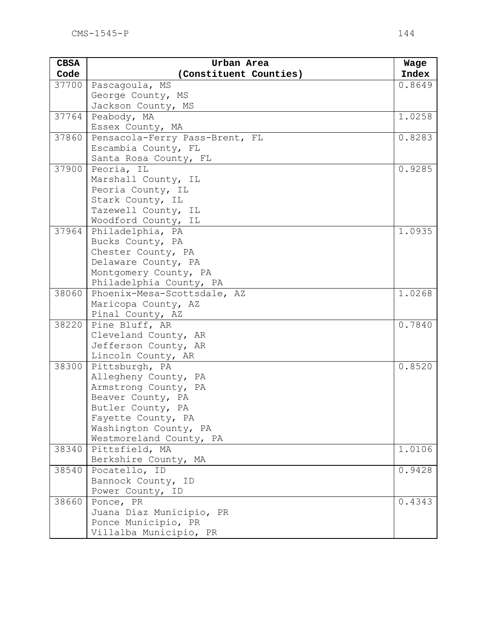| <b>CBSA</b> | Urban Area                             | Wage   |
|-------------|----------------------------------------|--------|
| Code        | (Constituent Counties)                 | Index  |
| 37700       | Pascagoula, MS                         | 0.8649 |
|             | George County, MS                      |        |
|             | Jackson County, MS                     |        |
| 37764       | Peabody, MA                            | 1.0258 |
|             | Essex County, MA                       |        |
| 37860       | Pensacola-Ferry Pass-Brent, FL         | 0.8283 |
|             | Escambia County, FL                    |        |
|             | Santa Rosa County, FL                  |        |
| 37900       | Peoria, IL                             | 0.9285 |
|             | Marshall County, IL                    |        |
|             | Peoria County, IL                      |        |
|             | Stark County, IL                       |        |
|             | Tazewell County, IL                    |        |
|             | Woodford County, IL                    |        |
| 37964       | Philadelphia, PA                       | 1.0935 |
|             | Bucks County, PA                       |        |
|             | Chester County, PA                     |        |
|             | Delaware County, PA                    |        |
|             | Montgomery County, PA                  |        |
| 38060       | Philadelphia County, PA                | 1.0268 |
|             | Phoenix-Mesa-Scottsdale, AZ            |        |
|             | Maricopa County, AZ                    |        |
| 38220       | Pinal County, AZ                       | 0.7840 |
|             | Pine Bluff, AR<br>Cleveland County, AR |        |
|             | Jefferson County, AR                   |        |
|             | Lincoln County, AR                     |        |
| 38300       | Pittsburgh, PA                         | 0.8520 |
|             | Allegheny County, PA                   |        |
|             | Armstrong County, PA                   |        |
|             | Beaver County, PA                      |        |
|             | Butler County, PA                      |        |
|             | Fayette County, PA                     |        |
|             | Washington County, PA                  |        |
|             | Westmoreland County, PA                |        |
| 38340       | Pittsfield, MA                         | 1.0106 |
|             | Berkshire County, MA                   |        |
| 38540       | Pocatello, ID                          | 0.9428 |
|             | Bannock County, ID                     |        |
|             | Power County, ID                       |        |
| 38660       | Ponce, PR                              | 0.4343 |
|             | Juana Díaz Municipio, PR               |        |
|             | Ponce Municipio, PR                    |        |
|             | Villalba Municipio, PR                 |        |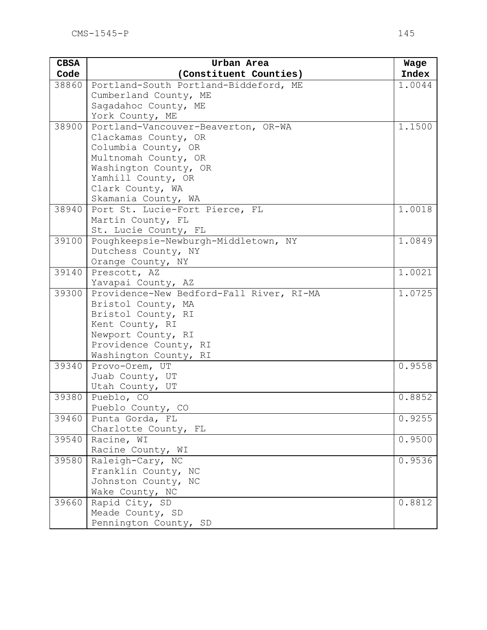| <b>CBSA</b> | Urban Area                               | Wage   |
|-------------|------------------------------------------|--------|
| Code        | (Constituent Counties)                   | Index  |
| 38860       | Portland-South Portland-Biddeford, ME    | 1.0044 |
|             | Cumberland County, ME                    |        |
|             | Sagadahoc County, ME                     |        |
|             | York County, ME                          |        |
| 38900       | Portland-Vancouver-Beaverton, OR-WA      | 1.1500 |
|             | Clackamas County, OR                     |        |
|             | Columbia County, OR                      |        |
|             | Multnomah County, OR                     |        |
|             | Washington County, OR                    |        |
|             | Yamhill County, OR                       |        |
|             | Clark County, WA                         |        |
|             | Skamania County, WA                      |        |
| 38940       | Port St. Lucie-Fort Pierce, FL           | 1.0018 |
|             | Martin County, FL                        |        |
|             | St. Lucie County, FL                     |        |
| 39100       | Poughkeepsie-Newburgh-Middletown, NY     | 1.0849 |
|             | Dutchess County, NY                      |        |
| 39140       | Orange County, NY                        | 1.0021 |
|             | Prescott, AZ<br>Yavapai County, AZ       |        |
| 39300       | Providence-New Bedford-Fall River, RI-MA | 1.0725 |
|             | Bristol County, MA                       |        |
|             | Bristol County, RI                       |        |
|             | Kent County, RI                          |        |
|             | Newport County, RI                       |        |
|             | Providence County, RI                    |        |
|             | Washington County, RI                    |        |
| 39340       | Provo-Orem, UT                           | 0.9558 |
|             | Juab County, UT                          |        |
|             | Utah County, UT                          |        |
| 39380       | Pueblo, CO                               | 0.8852 |
|             | Pueblo County, CO                        |        |
| 39460       | Punta Gorda, FL                          | 0.9255 |
|             | Charlotte County, FL                     |        |
| 39540       | Racine, WI                               | 0.9500 |
|             | Racine County, WI                        |        |
| 39580       | Raleigh-Cary, NC                         | 0.9536 |
|             | Franklin County, NC                      |        |
|             | Johnston County, NC                      |        |
|             | Wake County, NC                          |        |
| 39660       | Rapid City, SD                           | 0.8812 |
|             | Meade County, SD                         |        |
|             | Pennington County, SD                    |        |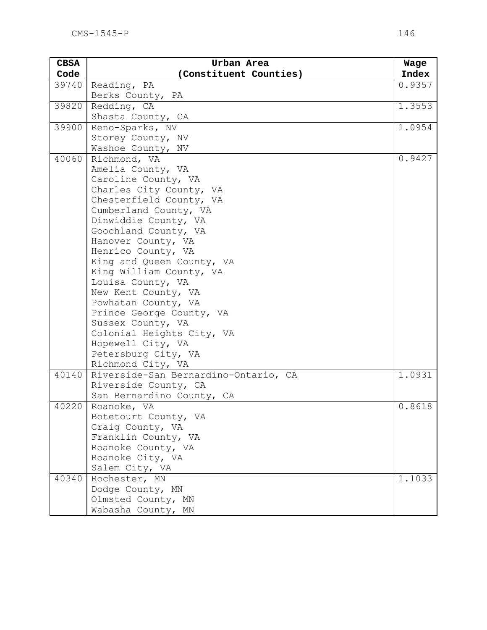| <b>CBSA</b> | Urban Area                                        | Wage   |
|-------------|---------------------------------------------------|--------|
| Code        | (Constituent Counties)                            | Index  |
| 39740       | Reading, PA                                       | 0.9357 |
|             | Berks County, PA                                  |        |
| 39820       | Redding, CA                                       | 1.3553 |
|             | Shasta County, CA                                 |        |
| 39900       | Reno-Sparks, NV                                   | 1.0954 |
|             | Storey County, NV                                 |        |
|             | Washoe County, NV                                 |        |
| 40060       | Richmond, VA                                      | 0.9427 |
|             | Amelia County, VA                                 |        |
|             | Caroline County, VA                               |        |
|             | Charles City County, VA                           |        |
|             | Chesterfield County, VA                           |        |
|             | Cumberland County, VA                             |        |
|             | Dinwiddie County, VA                              |        |
|             | Goochland County, VA                              |        |
|             | Hanover County, VA                                |        |
|             | Henrico County, VA                                |        |
|             | King and Queen County, VA                         |        |
|             | King William County, VA                           |        |
|             | Louisa County, VA                                 |        |
|             | New Kent County, VA                               |        |
|             | Powhatan County, VA                               |        |
|             | Prince George County, VA                          |        |
|             | Sussex County, VA                                 |        |
|             | Colonial Heights City, VA                         |        |
|             | Hopewell City, VA                                 |        |
|             | Petersburg City, VA                               |        |
|             | Richmond City, VA                                 |        |
| 40140       | Riverside-San Bernardino-Ontario, CA              | 1.0931 |
|             | Riverside County, CA<br>San Bernardino County, CA |        |
| 40220       | Roanoke, VA                                       | 0.8618 |
|             | Botetourt County, VA                              |        |
|             | Craig County, VA                                  |        |
|             | Franklin County, VA                               |        |
|             | Roanoke County, VA                                |        |
|             | Roanoke City, VA                                  |        |
|             | Salem City, VA                                    |        |
| 40340       | Rochester, MN                                     | 1.1033 |
|             | Dodge County, MN                                  |        |
|             | Olmsted County, MN                                |        |
|             | Wabasha County, MN                                |        |
|             |                                                   |        |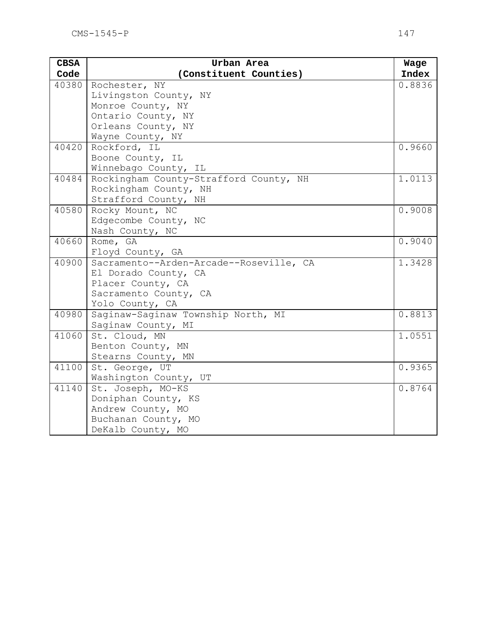| <b>CBSA</b> | Urban Area                              | Wage   |
|-------------|-----------------------------------------|--------|
| Code        | (Constituent Counties)                  | Index  |
| 40380       | Rochester, NY                           | 0.8836 |
|             | Livingston County, NY                   |        |
|             | Monroe County, NY                       |        |
|             | Ontario County, NY                      |        |
|             | Orleans County, NY                      |        |
|             | Wayne County, NY                        |        |
| 40420       | Rockford, IL                            | 0.9660 |
|             | Boone County, IL                        |        |
|             | Winnebago County, IL                    |        |
| 40484       | Rockingham County-Strafford County, NH  | 1.0113 |
|             | Rockingham County, NH                   |        |
|             | Strafford County, NH                    |        |
| 40580       | Rocky Mount, NC                         | 0.9008 |
|             | Edgecombe County, NC                    |        |
|             | Nash County, NC                         |        |
| 40660       | Rome, GA                                | 0.9040 |
|             | Floyd County, GA                        |        |
| 40900       | Sacramento--Arden-Arcade--Roseville, CA | 1.3428 |
|             | El Dorado County, CA                    |        |
|             | Placer County, CA                       |        |
|             | Sacramento County, CA                   |        |
|             | Yolo County, CA                         |        |
| 40980       | Saginaw-Saginaw Township North, MI      | 0.8813 |
|             | Saginaw County, MI                      |        |
| 41060       | St. Cloud, MN                           | 1.0551 |
|             | Benton County, MN                       |        |
|             | Stearns County, MN                      |        |
| 41100       | St. George, UT                          | 0.9365 |
|             | Washington County, UT                   |        |
| 41140       | St. Joseph, MO-KS                       | 0.8764 |
|             | Doniphan County, KS                     |        |
|             | Andrew County, MO                       |        |
|             | Buchanan County, MO                     |        |
|             | DeKalb County, MO                       |        |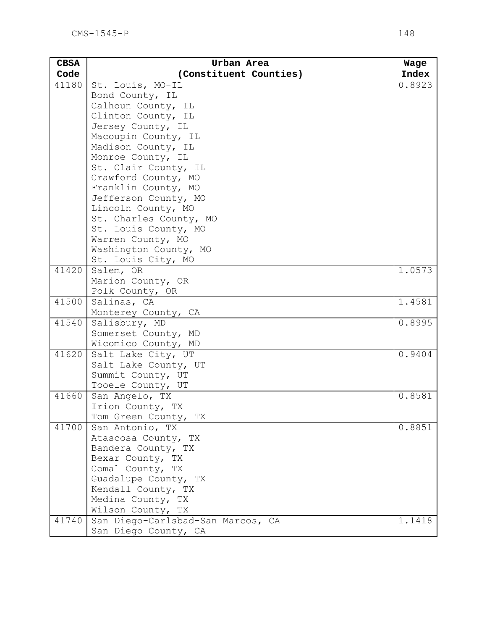| <b>CBSA</b> | Urban Area                             | Wage   |
|-------------|----------------------------------------|--------|
| Code        | (Constituent Counties)                 | Index  |
| 41180       | St. Louis, MO-IL                       | 0.8923 |
|             | Bond County, IL                        |        |
|             | Calhoun County, IL                     |        |
|             | Clinton County, IL                     |        |
|             | Jersey County, IL                      |        |
|             | Macoupin County, IL                    |        |
|             | Madison County, IL                     |        |
|             | Monroe County, IL                      |        |
|             | St. Clair County, IL                   |        |
|             | Crawford County, MO                    |        |
|             | Franklin County, MO                    |        |
|             | Jefferson County, MO                   |        |
|             | Lincoln County, MO                     |        |
|             | St. Charles County, MO                 |        |
|             | St. Louis County, MO                   |        |
|             | Warren County, MO                      |        |
|             | Washington County, MO                  |        |
|             | St. Louis City, MO                     |        |
| 41420       | Salem, OR                              | 1.0573 |
|             | Marion County, OR                      |        |
|             | Polk County, OR                        |        |
| 41500       | Salinas, CA                            | 1.4581 |
|             | Monterey County, CA                    |        |
| 41540       | Salisbury, MD                          | 0.8995 |
|             | Somerset County, MD                    |        |
|             | Wicomico County, MD                    |        |
| 41620       | Salt Lake City, UT                     | 0.9404 |
|             | Salt Lake County, UT                   |        |
|             | Summit County, UT                      |        |
|             | Tooele County, UT                      |        |
| 41660       | San Angelo, TX                         | 0.8581 |
|             | Irion County, TX                       |        |
|             | Tom Green County, TX                   |        |
| 41700       | San Antonio, TX<br>Atascosa County, TX | 0.8851 |
|             | Bandera County, TX                     |        |
|             | Bexar County, TX                       |        |
|             | Comal County, TX                       |        |
|             | Guadalupe County, TX                   |        |
|             | Kendall County, TX                     |        |
|             | Medina County, TX                      |        |
|             | Wilson County, TX                      |        |
| 41740       | San Diego-Carlsbad-San Marcos, CA      | 1.1418 |
|             | San Diego County, CA                   |        |
|             |                                        |        |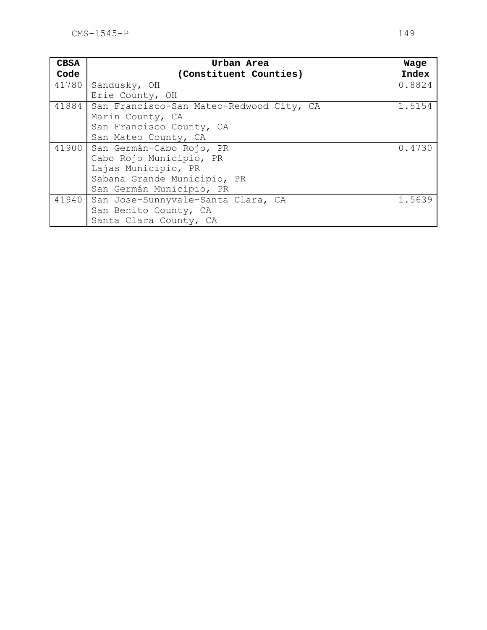| <b>CBSA</b> | Urban Area                               | Wage   |
|-------------|------------------------------------------|--------|
| Code        | (Constituent Counties)                   | Index  |
| 41780       | Sandusky, OH                             | 0.8824 |
|             | Erie County, OH                          |        |
| 41884       | San Francisco-San Mateo-Redwood City, CA | 1.5154 |
|             | Marin County, CA                         |        |
|             | San Francisco County, CA                 |        |
|             | San Mateo County, CA                     |        |
| 41900       | San Germán-Cabo Rojo, PR                 | 0.4730 |
|             | Cabo Rojo Municipio, PR                  |        |
|             | Lajas Municipio, PR                      |        |
|             | Sabana Grande Municipio, PR              |        |
|             | San Germán Municipio, PR                 |        |
| 41940       | San Jose-Sunnyvale-Santa Clara, CA       | 1.5639 |
|             | San Benito County, CA                    |        |
|             | Santa Clara County, CA                   |        |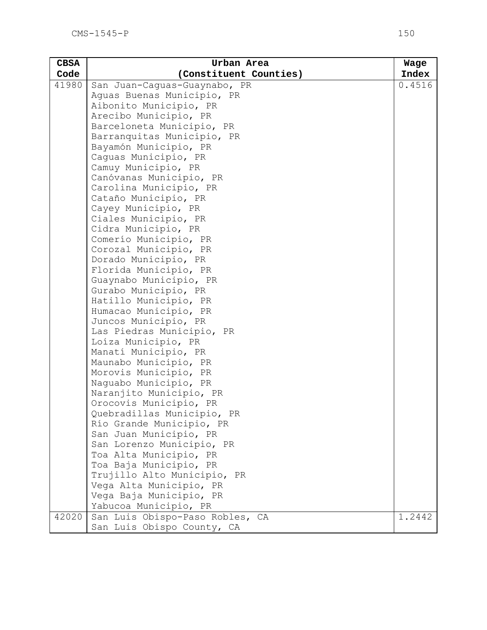| <b>CBSA</b> | Urban Area                      | Wage   |
|-------------|---------------------------------|--------|
| Code        | (Constituent Counties)          | Index  |
| 41980       | San Juan-Caguas-Guaynabo, PR    | 0.4516 |
|             | Aguas Buenas Municipio, PR      |        |
|             | Aibonito Municipio, PR          |        |
|             | Arecibo Municipio, PR           |        |
|             | Barceloneta Municipio, PR       |        |
|             | Barranquitas Municipio, PR      |        |
|             | Bayamón Municipio, PR           |        |
|             | Caguas Municipio, PR            |        |
|             | Camuy Municipio, PR             |        |
|             | Canóvanas Municipio, PR         |        |
|             | Carolina Municipio, PR          |        |
|             | Cataño Municipio, PR            |        |
|             | Cayey Municipio, PR             |        |
|             | Ciales Municipio, PR            |        |
|             | Cidra Municipio, PR             |        |
|             | Comerío Municipio, PR           |        |
|             | Corozal Municipio, PR           |        |
|             | Dorado Municipio, PR            |        |
|             | Florida Municipio, PR           |        |
|             | Guaynabo Municipio, PR          |        |
|             | Gurabo Municipio, PR            |        |
|             | Hatillo Municipio, PR           |        |
|             | Humacao Municipio, PR           |        |
|             | Juncos Municipio, PR            |        |
|             | Las Piedras Municipio, PR       |        |
|             | Loíza Municipio, PR             |        |
|             | Manatí Municipio, PR            |        |
|             | Maunabo Municipio, PR           |        |
|             | Morovis Municipio, PR           |        |
|             | Naquabo Municipio, PR           |        |
|             | Naranjito Municipio, PR         |        |
|             | Orocovis Municipio, PR          |        |
|             | Quebradillas Municipio, PR      |        |
|             | Río Grande Municipio, PR        |        |
|             | San Juan Municipio, PR          |        |
|             | San Lorenzo Municipio, PR       |        |
|             | Toa Alta Municipio, PR          |        |
|             | Toa Baja Municipio, PR          |        |
|             | Trujillo Alto Municipio, PR     |        |
|             | Vega Alta Municipio, PR         |        |
|             | Vega Baja Municipio, PR         |        |
|             | Yabucoa Municipio, PR           |        |
| 42020       | San Luis Obispo-Paso Robles, CA | 1.2442 |
|             | San Luis Obispo County, CA      |        |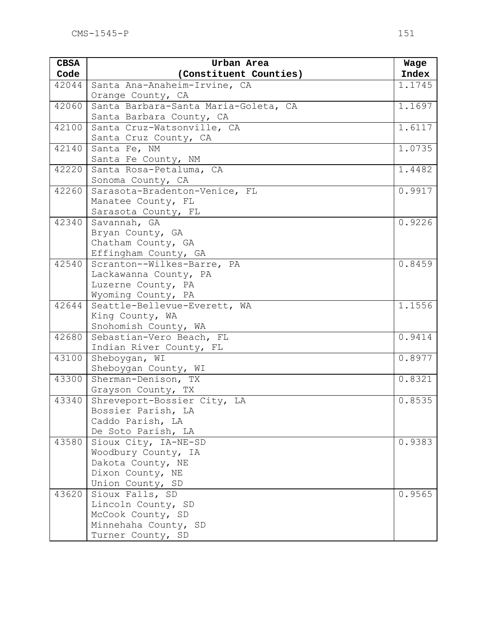| <b>CBSA</b> | Urban Area                                      | Wage   |
|-------------|-------------------------------------------------|--------|
| Code        | (Constituent Counties)                          | Index  |
| 42044       | Santa Ana-Anaheim-Irvine, CA                    | 1.1745 |
|             | Orange County, CA                               |        |
| 42060       | Santa Barbara-Santa Maria-Goleta, CA            | 1.1697 |
|             | Santa Barbara County, CA                        |        |
| 42100       | Santa Cruz-Watsonville, CA                      | 1.6117 |
|             | Santa Cruz County, CA                           |        |
| 42140       | Santa Fe, NM                                    | 1.0735 |
|             | Santa Fe County, NM                             |        |
| 42220       | Santa Rosa-Petaluma, CA                         | 1.4482 |
|             | Sonoma County, CA                               |        |
| 42260       | Sarasota-Bradenton-Venice, FL                   | 0.9917 |
|             | Manatee County, FL                              |        |
|             | Sarasota County, FL                             |        |
| 42340       | Savannah, GA                                    | 0.9226 |
|             | Bryan County, GA                                |        |
|             | Chatham County, GA                              |        |
|             | Effingham County, GA                            |        |
| 42540       | Scranton--Wilkes-Barre, PA                      | 0.8459 |
|             | Lackawanna County, PA                           |        |
|             | Luzerne County, PA                              |        |
| 42644       | Wyoming County, PA                              | 1.1556 |
|             | Seattle-Bellevue-Everett, WA<br>King County, WA |        |
|             | Snohomish County, WA                            |        |
| 42680       | Sebastian-Vero Beach, FL                        | 0.9414 |
|             | Indian River County, FL                         |        |
| 43100       | Sheboygan, WI                                   | 0.8977 |
|             | Sheboygan County, WI                            |        |
| 43300       | Sherman-Denison, TX                             | 0.8321 |
|             | Grayson County, TX                              |        |
| 43340       | Shreveport-Bossier City, LA                     | 0.8535 |
|             | Bossier Parish, LA                              |        |
|             | Caddo Parish, LA                                |        |
|             | De Soto Parish, LA                              |        |
| 43580       | Sioux City, IA-NE-SD                            | 0.9383 |
|             | Woodbury County, IA                             |        |
|             | Dakota County, NE                               |        |
|             | Dixon County, NE                                |        |
|             | Union County, SD                                |        |
| 43620       | Sioux Falls, SD                                 | 0.9565 |
|             | Lincoln County, SD                              |        |
|             | McCook County, SD                               |        |
|             | Minnehaha County, SD                            |        |
|             | Turner County, SD                               |        |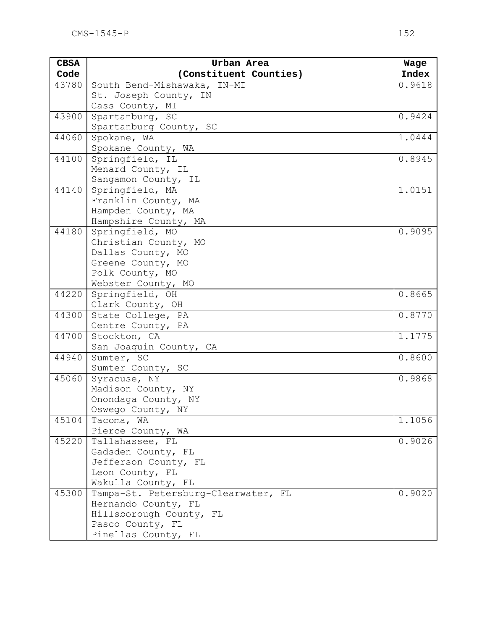| <b>CBSA</b> | Urban Area                            | Wage   |
|-------------|---------------------------------------|--------|
| Code        | (Constituent Counties)                | Index  |
| 43780       | South Bend-Mishawaka, IN-MI           | 0.9618 |
|             | St. Joseph County, IN                 |        |
|             | Cass County, MI                       |        |
| 43900       | Spartanburg, SC                       | 0.9424 |
|             | Spartanburg County, SC                |        |
| 44060       | Spokane, WA                           | 1.0444 |
|             | Spokane County, WA                    |        |
| 44100       | Springfield, IL                       | 0.8945 |
|             | Menard County, IL                     |        |
|             | Sangamon County, IL                   |        |
| 44140       | Springfield, MA                       | 1.0151 |
|             | Franklin County, MA                   |        |
|             | Hampden County, MA                    |        |
|             | Hampshire County, MA                  |        |
| 44180       | Springfield, MO                       | 0.9095 |
|             | Christian County, MO                  |        |
|             | Dallas County, MO                     |        |
|             | Greene County, MO                     |        |
|             | Polk County, MO                       |        |
|             | Webster County, MO                    |        |
| 44220       | Springfield, OH                       | 0.8665 |
| 44300       | Clark County, OH<br>State College, PA | 0.8770 |
|             | Centre County, PA                     |        |
| 44700       | Stockton, CA                          | 1.1775 |
|             | San Joaquin County, CA                |        |
| 44940       | Sumter, SC                            | 0.8600 |
|             | Sumter County, SC                     |        |
| 45060       | Syracuse, NY                          | 0.9868 |
|             | Madison County, NY                    |        |
|             | Onondaga County, NY                   |        |
|             | Oswego County, NY                     |        |
| 45104       | Tacoma, WA                            | 1.1056 |
|             | Pierce County, WA                     |        |
| 45220       | Tallahassee, FL                       | 0.9026 |
|             | Gadsden County, FL                    |        |
|             | Jefferson County, FL                  |        |
|             | Leon County, FL                       |        |
|             | Wakulla County, FL                    |        |
| 45300       | Tampa-St. Petersburg-Clearwater, FL   | 0.9020 |
|             | Hernando County, FL                   |        |
|             | Hillsborough County, FL               |        |
|             | Pasco County, FL                      |        |
|             | Pinellas County, FL                   |        |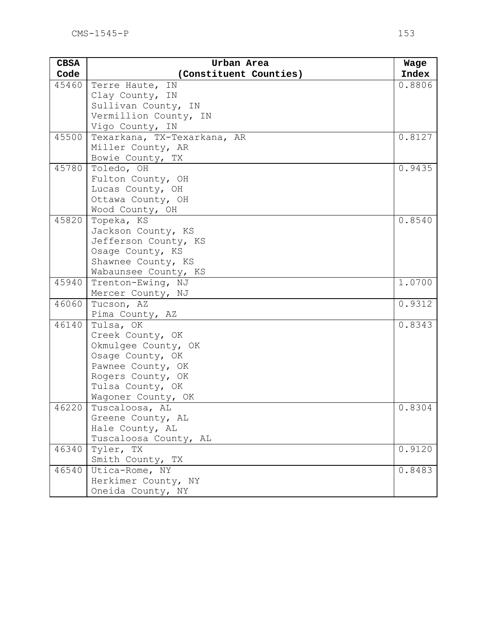| <b>CBSA</b> | Urban Area                  | Wage   |
|-------------|-----------------------------|--------|
| Code        | (Constituent Counties)      | Index  |
| 45460       | Terre Haute, IN             | 0.8806 |
|             | Clay County, IN             |        |
|             | Sullivan County, IN         |        |
|             | Vermillion County, IN       |        |
|             | Vigo County, IN             |        |
| 45500       | Texarkana, TX-Texarkana, AR | 0.8127 |
|             | Miller County, AR           |        |
|             | Bowie County, TX            |        |
| 45780       | Toledo, OH                  | 0.9435 |
|             | Fulton County, OH           |        |
|             | Lucas County, OH            |        |
|             | Ottawa County, OH           |        |
|             | Wood County, OH             |        |
| 45820       | Topeka, KS                  | 0.8540 |
|             | Jackson County, KS          |        |
|             | Jefferson County, KS        |        |
|             | Osage County, KS            |        |
|             | Shawnee County, KS          |        |
|             | Wabaunsee County, KS        |        |
| 45940       | Trenton-Ewing, NJ           | 1.0700 |
|             | Mercer County, NJ           |        |
| 46060       | Tucson, AZ                  | 0.9312 |
|             | Pima County, AZ             |        |
| 46140       | Tulsa, OK                   | 0.8343 |
|             | Creek County, OK            |        |
|             | Okmulgee County, OK         |        |
|             | Osage County, OK            |        |
|             | Pawnee County, OK           |        |
|             | Rogers County, OK           |        |
|             | Tulsa County, OK            |        |
|             | Wagoner County, OK          |        |
| 46220       | Tuscaloosa, AL              | 0.8304 |
|             | Greene County, AL           |        |
|             | Hale County, AL             |        |
|             | Tuscaloosa County, AL       |        |
| 46340       | Tyler, TX                   | 0.9120 |
|             | Smith County, TX            |        |
| 46540       | Utica-Rome, NY              | 0.8483 |
|             | Herkimer County, NY         |        |
|             | Oneida County, NY           |        |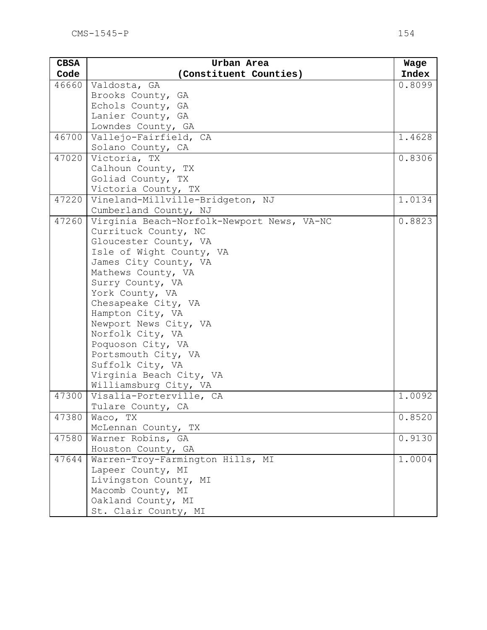| <b>CBSA</b> | Urban Area                                       | Wage   |
|-------------|--------------------------------------------------|--------|
| Code        | (Constituent Counties)                           | Index  |
| 46660       | Valdosta, GA                                     | 0.8099 |
|             | Brooks County, GA                                |        |
|             | Echols County, GA                                |        |
|             | Lanier County, GA                                |        |
|             | Lowndes County, GA                               |        |
| 46700       | Vallejo-Fairfield, CA                            | 1.4628 |
|             | Solano County, CA                                |        |
| 47020       | Victoria, TX                                     | 0.8306 |
|             | Calhoun County, TX                               |        |
|             | Goliad County, TX                                |        |
|             | Victoria County, TX                              |        |
| 47220       | Vineland-Millville-Bridgeton, NJ                 | 1.0134 |
|             | Cumberland County, NJ                            |        |
| 47260       | Virginia Beach-Norfolk-Newport News, VA-NC       | 0.8823 |
|             | Currituck County, NC                             |        |
|             | Gloucester County, VA                            |        |
|             | Isle of Wight County, VA                         |        |
|             | James City County, VA                            |        |
|             | Mathews County, VA                               |        |
|             | Surry County, VA                                 |        |
|             | York County, VA                                  |        |
|             | Chesapeake City, VA                              |        |
|             | Hampton City, VA                                 |        |
|             | Newport News City, VA                            |        |
|             | Norfolk City, VA                                 |        |
|             | Poquoson City, VA                                |        |
|             | Portsmouth City, VA                              |        |
|             | Suffolk City, VA                                 |        |
|             | Virginia Beach City, VA<br>Williamsburg City, VA |        |
| 47300       | Visalia-Porterville, CA                          | 1.0092 |
|             | Tulare County, CA                                |        |
| 47380       | Waco, TX                                         | 0.8520 |
|             | McLennan County, TX                              |        |
| 47580       | Warner Robins, GA                                | 0.9130 |
|             | Houston County, GA                               |        |
| 47644       | Warren-Troy-Farmington Hills, MI                 | 1.0004 |
|             | Lapeer County, MI                                |        |
|             | Livingston County, MI                            |        |
|             | Macomb County, MI                                |        |
|             | Oakland County, MI                               |        |
|             | St. Clair County, MI                             |        |
|             |                                                  |        |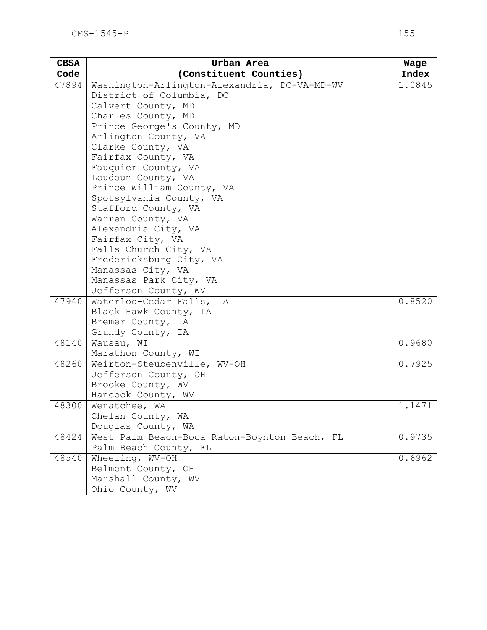| <b>CBSA</b> | Urban Area                                   | Wage   |
|-------------|----------------------------------------------|--------|
| Code        | (Constituent Counties)                       | Index  |
| 47894       | Washington-Arlington-Alexandria, DC-VA-MD-WV | 1.0845 |
|             | District of Columbia, DC                     |        |
|             | Calvert County, MD                           |        |
|             | Charles County, MD                           |        |
|             | Prince George's County, MD                   |        |
|             | Arlington County, VA                         |        |
|             | Clarke County, VA                            |        |
|             | Fairfax County, VA                           |        |
|             | Fauquier County, VA                          |        |
|             | Loudoun County, VA                           |        |
|             | Prince William County, VA                    |        |
|             | Spotsylvania County, VA                      |        |
|             | Stafford County, VA                          |        |
|             | Warren County, VA                            |        |
|             | Alexandria City, VA                          |        |
|             | Fairfax City, VA                             |        |
|             | Falls Church City, VA                        |        |
|             | Fredericksburg City, VA                      |        |
|             | Manassas City, VA                            |        |
|             | Manassas Park City, VA                       |        |
|             | Jefferson County, WV                         |        |
| 47940       | Waterloo-Cedar Falls, IA                     | 0.8520 |
|             | Black Hawk County, IA                        |        |
|             | Bremer County, IA                            |        |
| 48140       | Grundy County, IA                            | 0.9680 |
|             | Wausau, WI                                   |        |
|             | Marathon County, WI                          | 0.7925 |
| 48260       | Weirton-Steubenville, WV-OH                  |        |
|             | Jefferson County, OH                         |        |
|             | Brooke County, WV                            |        |
| 48300       | Hancock County, WV                           |        |
|             | Wenatchee, WA<br>Chelan County, WA           | 1.1471 |
|             |                                              |        |
|             | Douglas County, WA                           |        |
| 48424       | West Palm Beach-Boca Raton-Boynton Beach, FL | 0.9735 |
|             | Palm Beach County, FL                        |        |
| 48540       | Wheeling, WV-OH                              | 0.6962 |
|             | Belmont County, OH                           |        |
|             | Marshall County, WV                          |        |
|             | Ohio County, WV                              |        |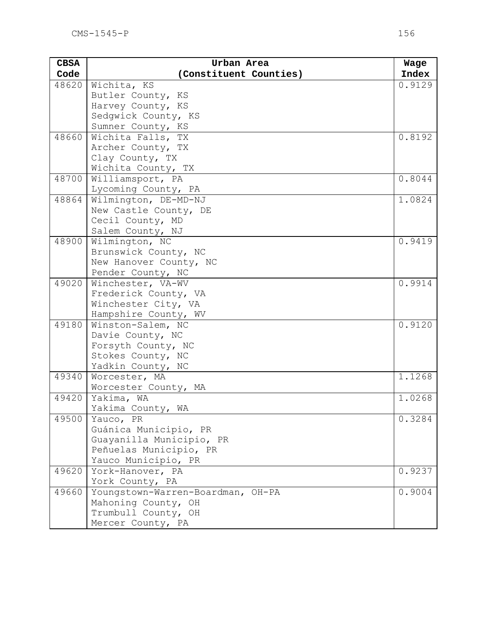| <b>CBSA</b> | Urban Area                             | Wage   |
|-------------|----------------------------------------|--------|
| Code        | (Constituent Counties)                 | Index  |
| 48620       | Wichita, KS                            | 0.9129 |
|             | Butler County, KS                      |        |
|             | Harvey County, KS                      |        |
|             | Sedqwick County, KS                    |        |
|             | Sumner County, KS                      |        |
| 48660       | Wichita Falls, TX                      | 0.8192 |
|             | Archer County, TX                      |        |
|             | Clay County, TX                        |        |
|             | Wichita County, TX                     |        |
| 48700       | Williamsport, PA                       | 0.8044 |
|             | Lycoming County, PA                    |        |
| 48864       | Wilmington, DE-MD-NJ                   | 1.0824 |
|             | New Castle County, DE                  |        |
|             | Cecil County, MD                       |        |
|             | Salem County, NJ                       |        |
| 48900       | Wilmington, NC                         | 0.9419 |
|             | Brunswick County, NC                   |        |
|             | New Hanover County, NC                 |        |
| 49020       | Pender County, NC<br>Winchester, VA-WV | 0.9914 |
|             | Frederick County, VA                   |        |
|             | Winchester City, VA                    |        |
|             | Hampshire County, WV                   |        |
| 49180       | Winston-Salem, NC                      | 0.9120 |
|             | Davie County, NC                       |        |
|             | Forsyth County, NC                     |        |
|             | Stokes County, NC                      |        |
|             | Yadkin County, NC                      |        |
| 49340       | Worcester, MA                          | 1.1268 |
|             | Worcester County, MA                   |        |
| 49420       | Yakima, WA                             | 1.0268 |
|             | Yakima County, WA                      |        |
| 49500       | Yauco, PR                              | 0.3284 |
|             | Guánica Municipio, PR                  |        |
|             | Guayanilla Municipio, PR               |        |
|             | Peñuelas Municipio, PR                 |        |
|             | Yauco Municipio, PR                    |        |
| 49620       | York-Hanover, PA                       | 0.9237 |
|             | York County, PA                        |        |
| 49660       | Youngstown-Warren-Boardman, OH-PA      | 0.9004 |
|             | Mahoning County, OH                    |        |
|             | Trumbull County, OH                    |        |
|             | Mercer County, PA                      |        |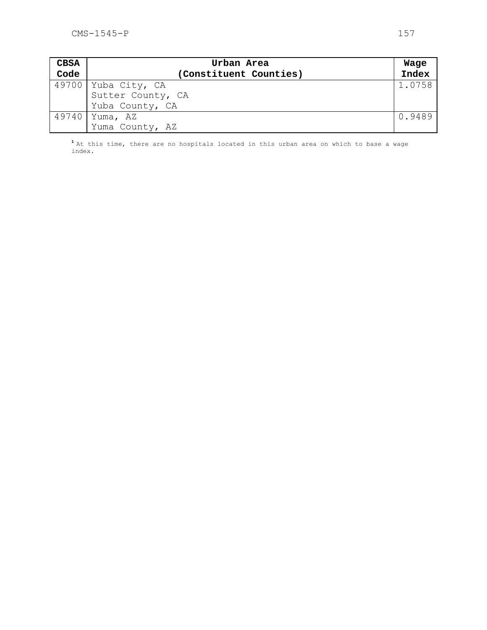| <b>CBSA</b> | Urban Area             |        |
|-------------|------------------------|--------|
| Code        | (Constituent Counties) | Index  |
|             | 49700 Yuba City, CA    | 1.0758 |
|             | Sutter County, CA      |        |
|             | Yuba County, CA        |        |
|             | 49740   Yuma, AZ       | 0.9489 |
|             | Yuma County, AZ        |        |

**<sup>1</sup>**At this time, there are no hospitals located in this urban area on which to base a wage index.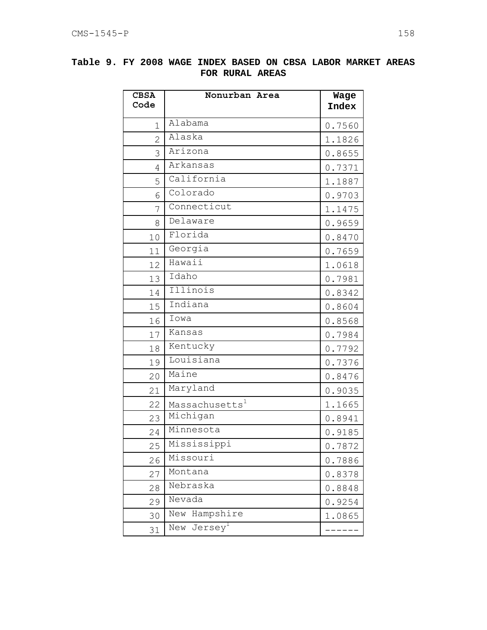| <b>CBSA</b><br>Code | Nonurban Area              | Wage<br><b>Index</b> |
|---------------------|----------------------------|----------------------|
| $\mathbf 1$         | Alabama                    | 0.7560               |
| $\overline{2}$      | Alaska                     | 1.1826               |
| 3                   | Arizona                    | 0.8655               |
| 4                   | Arkansas                   | 0.7371               |
| 5                   | California                 | 1.1887               |
| 6                   | Colorado                   | 0.9703               |
| 7                   | Connecticut                | 1.1475               |
| 8                   | Delaware                   | 0.9659               |
| 10                  | Florida                    | 0.8470               |
| 11                  | Georgia                    | 0.7659               |
| 12                  | Hawaii                     | 1.0618               |
| 13                  | Idaho                      | 0.7981               |
| 14                  | Illinois                   | 0.8342               |
| 15                  | Indiana                    | 0.8604               |
| 16                  | Iowa                       | 0.8568               |
| 17                  | Kansas                     | 0.7984               |
| 18                  | Kentucky                   | 0.7792               |
| 19                  | Louisiana                  | 0.7376               |
| 20                  | Maine                      | 0.8476               |
| 21                  | Maryland                   | 0.9035               |
| 22                  | Massachusetts <sup>1</sup> | 1.1665               |
| 23                  | Michigan                   | 0.8941               |
| 24                  | Minnesota                  | 0.9185               |
| 25                  | Mississippi                | 0.7872               |
| 26                  | Missouri                   | 0.7886               |
| 27                  | Montana                    | 0.8378               |
| 28                  | Nebraska                   | 0.8848               |
| 29                  | Nevada                     | 0.9254               |
| 30                  | Hampshire<br>New           | 1.0865               |
| 31                  | Jersey <sup>1</sup><br>New |                      |

## **Table 9. FY 2008 WAGE INDEX BASED ON CBSA LABOR MARKET AREAS FOR RURAL AREAS**